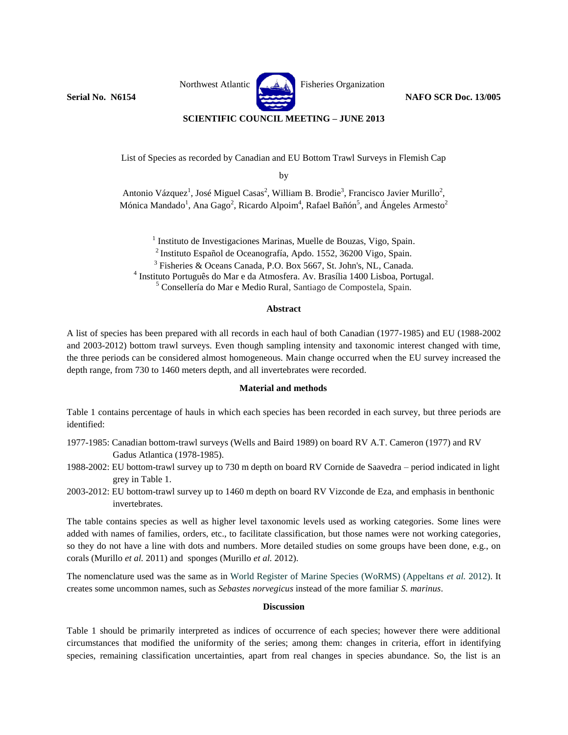

# **SCIENTIFIC COUNCIL MEETING – JUNE 2013**

List of Species as recorded by Canadian and EU Bottom Trawl Surveys in Flemish Cap

by

Antonio Vázquez<sup>1</sup>, José Miguel Casas<sup>2</sup>, William B. Brodie<sup>3</sup>, Francisco Javier Murillo<sup>2</sup>, Mónica Mandado<sup>1</sup>, Ana Gago<sup>2</sup>, Ricardo Alpoim<sup>4</sup>, Rafael Bañón<sup>5</sup>, and Ángeles Armesto<sup>2</sup>

<sup>1</sup> Instituto de Investigaciones Marinas, Muelle de Bouzas, Vigo, Spain. Instituto Español de Oceanografía, Apdo. 1552, 36200 Vigo, Spain. Fisheries & Oceans Canada, P.O. Box 5667, St. John's, NL, Canada. Instituto Português [do Mar e da Atmosfera.](http://www.ipma.pt/) Av. Brasília 1400 Lisboa, Portugal. Consellería do Mar e Medio Rural, Santiago de Compostela, Spain.

### **Abstract**

A list of species has been prepared with all records in each haul of both Canadian (1977-1985) and EU (1988-2002 and 2003-2012) bottom trawl surveys. Even though sampling intensity and taxonomic interest changed with time, the three periods can be considered almost homogeneous. Main change occurred when the EU survey increased the depth range, from 730 to 1460 meters depth, and all invertebrates were recorded.

#### **Material and methods**

Table 1 contains percentage of hauls in which each species has been recorded in each survey, but three periods are identified:

- 1977-1985: Canadian bottom-trawl surveys (Wells and Baird 1989) on board RV A.T. Cameron (1977) and RV Gadus Atlantica (1978-1985).
- 1988-2002: EU bottom-trawl survey up to 730 m depth on board RV Cornide de Saavedra period indicated in light grey in Table 1.
- 2003-2012: EU bottom-trawl survey up to 1460 m depth on board RV Vizconde de Eza, and emphasis in benthonic invertebrates.

The table contains species as well as higher level taxonomic levels used as working categories. Some lines were added with names of families, orders, etc., to facilitate classification, but those names were not working categories, so they do not have a line with dots and numbers. More detailed studies on some groups have been done, e.g., on corals (Murillo *et al.* 2011) and sponges (Murillo *et al.* 2012).

The nomenclature used was the same as in World Register of Marine Species (WoRMS) (Appeltans *et al.* 2012). It creates some uncommon names, such as *Sebastes norvegicus* instead of the more familiar *S. marinus*.

## **Discussion**

Table 1 should be primarily interpreted as indices of occurrence of each species; however there were additional circumstances that modified the uniformity of the series; among them: changes in criteria, effort in identifying species, remaining classification uncertainties, apart from real changes in species abundance. So, the list is an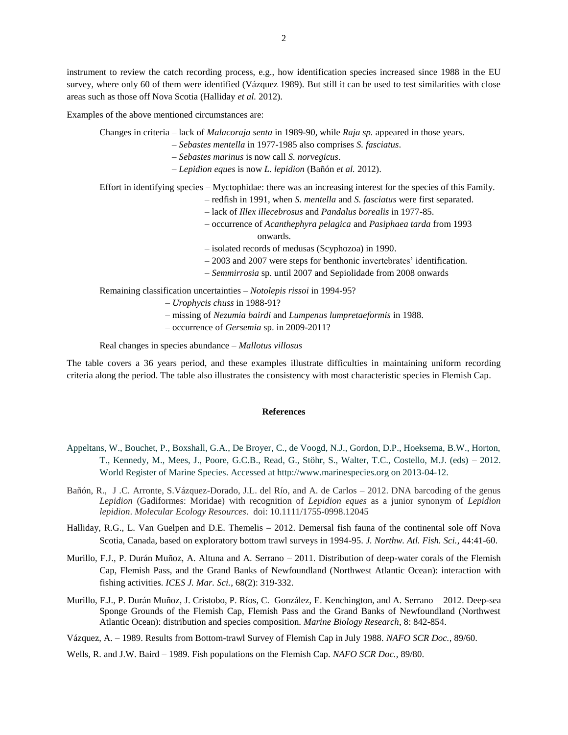instrument to review the catch recording process, e.g., how identification species increased since 1988 in the EU survey, where only 60 of them were identified (Vázquez 1989). But still it can be used to test similarities with close areas such as those off Nova Scotia (Halliday *et al.* 2012).

Examples of the above mentioned circumstances are:

Changes in criteria – lack of *Malacoraja senta* in 1989-90, while *Raja sp.* appeared in those years.

– *Sebastes mentella* in 1977-1985 also comprises *S. fasciatus*.

– *Sebastes marinus* is now call *S. norvegicus*.

– *Lepidion eques* is now *L. lepidion* (Bañón *et al.* 2012).

Effort in identifying species – Myctophidae: there was an increasing interest for the species of this Family.

- redfish in 1991, when *S. mentella* and *S. fasciatus* were first separated.
- lack of *Illex illecebrosus* and *Pandalus borealis* in 1977-85.
- occurrence of *Acanthephyra pelagica* and *Pasiphaea tarda* from 1993 onwards.
- isolated records of medusas (Scyphozoa) in 1990.
- 2003 and 2007 were steps for benthonic invertebrates' identification.
- *Semmirrosia* sp. until 2007 and Sepiolidade from 2008 onwards

Remaining classification uncertainties – *Notolepis rissoi* in 1994-95?

- *Urophycis chuss* in 1988-91?
- missing of *Nezumia bairdi* and *Lumpenus lumpretaeformis* in 1988.
- occurrence of *Gersemia* sp. in 2009-2011?

Real changes in species abundance – *Mallotus villosus*

The table covers a 36 years period, and these examples illustrate difficulties in maintaining uniform recording criteria along the period. The table also illustrates the consistency with most characteristic species in Flemish Cap.

#### **References**

- Appeltans, W., Bouchet, P., Boxshall, G.A., De Broyer, C., de Voogd, N.J., Gordon, D.P., Hoeksema, B.W., Horton, T., Kennedy, M., Mees, J., Poore, G.C.B., Read, G., Stöhr, S., Walter, T.C., Costello, M.J. (eds) – 2012. World Register of Marine Species. Accessed at http://www.marinespecies.org on 2013-04-12.
- Bañón, R., J .C. Arronte, S.Vázquez-Dorado, J.L. del Río, and A. de Carlos 2012. DNA barcoding of the genus *Lepidion* (Gadiformes: Moridae) with recognition of *Lepidion eques* as a junior synonym of *Lepidion lepidion*. *Molecular Ecology Resources*. doi: 10.1111/1755-0998.12045
- Halliday, R.G., L. Van Guelpen and D.E. Themelis 2012. Demersal fish fauna of the continental sole off Nova Scotia, Canada, based on exploratory bottom trawl surveys in 1994-95. *J. Northw. Atl. Fish. Sci.*, 44:41-60.
- Murillo, F.J., P. Durán Muñoz, A. Altuna and A. Serrano 2011. Distribution of deep-water corals of the Flemish Cap, Flemish Pass, and the Grand Banks of Newfoundland (Northwest Atlantic Ocean): interaction with fishing activities. *ICES J. Mar. Sci.*, 68(2): 319-332.
- Murillo, F.J., P. Durán Muñoz, J. Cristobo, P. Ríos, C. González, E. Kenchington, and A. Serrano 2012. Deep-sea Sponge Grounds of the Flemish Cap, Flemish Pass and the Grand Banks of Newfoundland (Northwest Atlantic Ocean): distribution and species composition. *Marine Biology Research*, 8: 842-854.

Vázquez, A. – 1989. Results from Bottom-trawl Survey of Flemish Cap in July 1988. *NAFO SCR Doc.*, 89/60.

Wells, R. and J.W. Baird – 1989. Fish populations on the Flemish Cap. *NAFO SCR Doc.*, 89/80.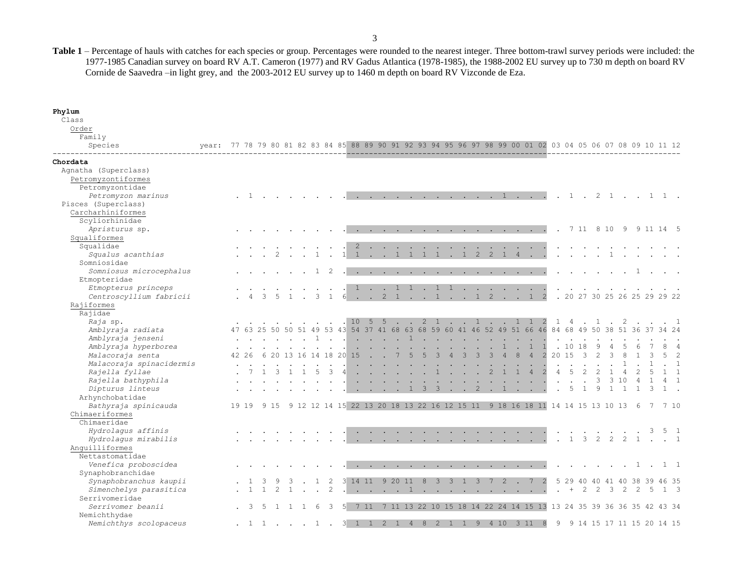**Table 1** – Percentage of hauls with catches for each species or group. Percentages were rounded to the nearest integer. Three bottom-trawl survey periods were included: the 1977-1985 Canadian survey on board RV A.T. Cameron (1977) and RV Gadus Atlantica (1978-1985), the 1988-2002 EU survey up to 730 m depth on board RV Cornide de Saavedra –in light grey, and the 2003-2012 EU survey up to 1460 m depth on board RV Vizconde de Eza.

**Phylum**

| Class                                    |                                                                                                             |       |           |                |                      |              |                   |               |                        |     |  |                 |             |                |                         |                                                                                                                 |              |                |             |              |                |                                                                                                                                                                                                                                               |                |                           |       |                              |                |                             |                |             |     |              |             |
|------------------------------------------|-------------------------------------------------------------------------------------------------------------|-------|-----------|----------------|----------------------|--------------|-------------------|---------------|------------------------|-----|--|-----------------|-------------|----------------|-------------------------|-----------------------------------------------------------------------------------------------------------------|--------------|----------------|-------------|--------------|----------------|-----------------------------------------------------------------------------------------------------------------------------------------------------------------------------------------------------------------------------------------------|----------------|---------------------------|-------|------------------------------|----------------|-----------------------------|----------------|-------------|-----|--------------|-------------|
| Order                                    |                                                                                                             |       |           |                |                      |              |                   |               |                        |     |  |                 |             |                |                         |                                                                                                                 |              |                |             |              |                |                                                                                                                                                                                                                                               |                |                           |       |                              |                |                             |                |             |     |              |             |
| Family                                   |                                                                                                             |       |           |                |                      |              |                   |               |                        |     |  |                 |             |                |                         |                                                                                                                 |              |                |             |              |                |                                                                                                                                                                                                                                               |                |                           |       |                              |                |                             |                |             |     |              |             |
| Species                                  | vear: 77 78 79 80 81 82 83 84 85 88 89 90 91 92 93 94 95 96 97 98 99 00 01 02 03 04 05 06 07 08 09 10 11 12 |       |           |                |                      |              |                   |               |                        |     |  |                 |             |                |                         |                                                                                                                 |              |                |             |              |                |                                                                                                                                                                                                                                               |                |                           |       |                              |                |                             |                |             |     |              |             |
| Chordata                                 |                                                                                                             |       |           |                |                      |              |                   |               |                        |     |  |                 |             |                |                         |                                                                                                                 |              |                |             |              |                |                                                                                                                                                                                                                                               |                |                           |       |                              |                |                             |                |             |     |              |             |
| Agnatha (Superclass)                     |                                                                                                             |       |           |                |                      |              |                   |               |                        |     |  |                 |             |                |                         |                                                                                                                 |              |                |             |              |                |                                                                                                                                                                                                                                               |                |                           |       |                              |                |                             |                |             |     |              |             |
| Petromyzontiformes                       |                                                                                                             |       |           |                |                      |              |                   |               |                        |     |  |                 |             |                |                         |                                                                                                                 |              |                |             |              |                |                                                                                                                                                                                                                                               |                |                           |       |                              |                |                             |                |             |     |              |             |
| Petromyzontidae                          |                                                                                                             |       |           |                |                      |              |                   |               |                        |     |  |                 |             |                |                         |                                                                                                                 |              |                |             |              |                |                                                                                                                                                                                                                                               |                |                           |       |                              |                |                             |                |             |     |              |             |
| Petromyzon marinus                       |                                                                                                             |       |           | . 1            |                      |              |                   |               |                        |     |  |                 |             |                |                         |                                                                                                                 |              |                |             |              |                | . 1 2 1 1 1 .                                                                                                                                                                                                                                 |                |                           |       |                              |                |                             |                |             |     |              |             |
| Pisces (Superclass)                      |                                                                                                             |       |           |                |                      |              |                   |               |                        |     |  |                 |             |                |                         |                                                                                                                 |              |                |             |              |                |                                                                                                                                                                                                                                               |                |                           |       |                              |                |                             |                |             |     |              |             |
| Carcharhiniformes                        |                                                                                                             |       |           |                |                      |              |                   |               |                        |     |  |                 |             |                |                         |                                                                                                                 |              |                |             |              |                |                                                                                                                                                                                                                                               |                |                           |       |                              |                |                             |                |             |     |              |             |
| Scyliorhinidae                           |                                                                                                             |       |           |                |                      |              |                   |               |                        |     |  |                 |             |                |                         |                                                                                                                 |              |                |             |              |                |                                                                                                                                                                                                                                               |                |                           |       |                              |                |                             |                |             |     |              |             |
| Apristurus sp.                           |                                                                                                             |       |           |                |                      |              |                   |               |                        |     |  |                 |             |                |                         |                                                                                                                 |              |                |             |              |                | the contract of the contract of the contract of the contract of the contract of the contract of the contract of                                                                                                                               |                |                           |       | . 7 11 8 10 9 9 11 14 5      |                |                             |                |             |     |              |             |
| Squaliformes                             |                                                                                                             |       |           |                |                      |              |                   |               |                        |     |  |                 |             |                |                         |                                                                                                                 |              |                |             |              |                |                                                                                                                                                                                                                                               |                |                           |       |                              |                |                             |                |             |     |              |             |
| Squalidae                                |                                                                                                             |       |           |                |                      |              |                   |               |                        |     |  |                 |             |                |                         |                                                                                                                 |              |                |             |              |                |                                                                                                                                                                                                                                               |                |                           |       |                              |                |                             |                |             |     |              |             |
| Squalus acanthias                        |                                                                                                             |       |           |                |                      |              |                   |               |                        |     |  |                 |             | $\overline{1}$ |                         | $\sim$                                                                                                          | $\mathbf{1}$ | $\overline{2}$ | 2           | $\mathbf{1}$ | $\overline{4}$ |                                                                                                                                                                                                                                               |                |                           |       |                              |                |                             |                |             |     |              |             |
| Somniosidae                              |                                                                                                             |       |           |                |                      |              |                   |               |                        |     |  |                 |             |                |                         |                                                                                                                 |              |                |             |              |                |                                                                                                                                                                                                                                               |                |                           |       |                              |                |                             |                |             |     |              |             |
| Somniosus microcephalus<br>Etmopteridae  |                                                                                                             |       |           |                | $\ddot{\phantom{0}}$ | <sup>1</sup> | -2                |               |                        |     |  |                 |             |                |                         |                                                                                                                 |              |                |             |              |                | the contract of the contract of the contract of the contract of the contract of the contract of the contract of                                                                                                                               |                |                           |       | $\sim$ $\sim$                |                | $\mathbf{r}$ , $\mathbf{r}$ |                |             |     |              |             |
| Etmopterus princeps                      |                                                                                                             |       |           |                |                      |              |                   |               |                        |     |  |                 |             |                |                         |                                                                                                                 |              |                |             |              |                | 1 1 1 . 1 1                                                                                                                                                                                                                                   |                |                           |       |                              |                |                             |                |             |     |              |             |
| Centroscyllium fabricii                  |                                                                                                             |       |           | 3 <sub>5</sub> | $\sim$               |              | 3<br><sup>1</sup> |               |                        |     |  |                 |             |                |                         |                                                                                                                 |              |                |             |              |                | $6 \t . \t 2 \t 1 \t . \t 1 \t . \t 1 \t 2 \t . \t 1$                                                                                                                                                                                         | $\overline{2}$ |                           |       | . 20 27 30 25 26 25 29 29 22 |                |                             |                |             |     |              |             |
| Rajiformes                               |                                                                                                             |       |           |                |                      |              |                   |               |                        |     |  |                 |             |                |                         |                                                                                                                 |              |                |             |              |                |                                                                                                                                                                                                                                               |                |                           |       |                              |                |                             |                |             |     |              |             |
| Rajidae                                  |                                                                                                             |       |           |                |                      |              |                   |               |                        |     |  |                 |             |                |                         |                                                                                                                 |              |                |             |              |                |                                                                                                                                                                                                                                               |                |                           |       |                              |                |                             |                |             |     |              |             |
| Raja sp.                                 |                                                                                                             |       |           |                |                      |              |                   |               |                        |     |  |                 |             |                |                         |                                                                                                                 |              |                |             |              |                | 10 5 5 2 1 1 1 1 2 1 4 . 1 . 2                                                                                                                                                                                                                |                |                           |       |                              |                |                             |                |             |     |              |             |
| Amblyraja radiata                        |                                                                                                             |       |           |                |                      |              |                   |               |                        |     |  |                 |             |                |                         |                                                                                                                 |              |                |             |              |                | 51 49 53 43 54 37 41 68 63 68 59 60 41 46 52 49 51 66 46 84 68 49 50 38 51 36 37                                                                                                                                                              |                |                           |       |                              |                |                             |                |             |     |              |             |
| Amblyraja jenseni                        |                                                                                                             |       |           |                |                      |              |                   |               | . 1                    |     |  |                 |             |                |                         |                                                                                                                 |              |                |             |              |                |                                                                                                                                                                                                                                               |                |                           |       |                              |                |                             |                |             |     |              |             |
| Amblyraja hyperborea                     |                                                                                                             |       |           |                |                      |              |                   |               |                        |     |  |                 |             |                |                         |                                                                                                                 |              |                |             |              |                |                                                                                                                                                                                                                                               |                |                           | .1018 |                              |                |                             |                |             |     |              |             |
| Malacoraja senta                         |                                                                                                             | 42 26 |           |                |                      |              |                   |               | 6 20 13 16 14 18 20 15 |     |  | $7\overline{ }$ | $5^{\circ}$ | $\overline{5}$ | $\overline{\mathbf{3}}$ | $4 \t3 \t3 \t3 \t4$                                                                                             |              |                |             |              |                | 8 4 2 20 15                                                                                                                                                                                                                                   |                |                           |       | $\overline{\mathbf{3}}$      |                |                             |                |             |     |              |             |
| Malacoraja spinacidermis                 |                                                                                                             |       |           |                |                      |              |                   |               |                        |     |  |                 |             |                |                         |                                                                                                                 |              |                |             |              |                |                                                                                                                                                                                                                                               |                |                           |       |                              |                |                             |                |             |     |              |             |
| Rajella fyllae                           |                                                                                                             |       |           | 3              | $\overline{1}$       |              | 5                 | $\mathcal{B}$ | $\vert$                |     |  |                 |             |                |                         | . 1 2                                                                                                           |              |                |             |              |                |                                                                                                                                                                                                                                               |                | $4 \quad 5$               |       | 2                            | 2              |                             | $\overline{4}$ | 2           |     |              |             |
| Rajella bathyphila                       |                                                                                                             |       |           |                |                      |              |                   |               |                        |     |  |                 |             |                |                         |                                                                                                                 |              |                |             |              |                | the contract of the contract of the contract of the contract of the contract of the contract of the contract of                                                                                                                               |                | $\sim 10^{-1}$ km $^{-1}$ |       | $\sim$                       |                |                             | 3, 10          |             |     |              |             |
| Dipturus linteus                         |                                                                                                             |       |           |                |                      |              |                   |               |                        |     |  |                 |             |                |                         |                                                                                                                 |              |                |             |              |                | 1 3 3 1 2 1 1 1 1                                                                                                                                                                                                                             |                | $\ddot{\phantom{a}}$      | 5     | $\mathbf{1}$                 | 9              | $\mathbf{1}$                |                |             | 3   | $\mathbf{1}$ |             |
| Arhynchobatidae                          |                                                                                                             |       |           |                |                      |              |                   |               |                        |     |  |                 |             |                |                         |                                                                                                                 |              |                |             |              |                |                                                                                                                                                                                                                                               |                |                           |       |                              |                |                             |                |             |     |              |             |
| Bathyraja spinicauda                     |                                                                                                             |       |           |                |                      |              |                   |               |                        |     |  |                 |             |                |                         |                                                                                                                 |              |                |             |              |                | 19 19 9 15 9 12 12 14 15 22 13 20 18 13 22 16 12 15 11 9 18 16 18 11 14 14 15 13 10 13 6 7 7 10                                                                                                                                               |                |                           |       |                              |                |                             |                |             |     |              |             |
| Chimaeriformes                           |                                                                                                             |       |           |                |                      |              |                   |               |                        |     |  |                 |             |                |                         |                                                                                                                 |              |                |             |              |                |                                                                                                                                                                                                                                               |                |                           |       |                              |                |                             |                |             |     |              |             |
| Chimaeridae                              |                                                                                                             |       |           |                |                      |              |                   |               |                        |     |  |                 |             |                |                         |                                                                                                                 |              |                |             |              |                |                                                                                                                                                                                                                                               |                |                           |       |                              |                |                             |                |             |     |              |             |
| Hydrolagus affinis                       |                                                                                                             |       |           |                |                      |              |                   |               |                        |     |  |                 |             |                |                         |                                                                                                                 |              |                |             |              |                | $\mathbf{r} = \mathbf{r} - \mathbf{r}$ , and the set of the set of the set of the set of the set of the set of the set of the set of the set of the set of the set of the set of the set of the set of the set of the set of the set of the s |                |                           |       | $\sim$ $\sim$ $\sim$         |                |                             |                |             | - 3 |              |             |
| Hydrolagus mirabilis                     |                                                                                                             |       |           |                |                      |              |                   |               |                        |     |  |                 |             |                |                         |                                                                                                                 |              |                |             |              |                | .                                                                                                                                                                                                                                             |                | $\sim$                    |       | $1 \quad 3$                  | $\mathcal{L}$  | $\mathcal{P}$               | $2^{1}$        |             |     |              |             |
| Anguilliformes                           |                                                                                                             |       |           |                |                      |              |                   |               |                        |     |  |                 |             |                |                         |                                                                                                                 |              |                |             |              |                |                                                                                                                                                                                                                                               |                |                           |       |                              |                |                             |                |             |     |              |             |
| Nettastomatidae                          |                                                                                                             |       |           |                |                      |              |                   |               |                        |     |  |                 |             |                |                         |                                                                                                                 |              |                |             |              |                |                                                                                                                                                                                                                                               |                |                           |       |                              |                |                             |                |             |     |              |             |
| Venefica proboscidea                     |                                                                                                             |       |           |                |                      |              |                   |               |                        |     |  |                 |             |                |                         | the contract of the contract of the contract of the contract of the contract of the contract of the contract of |              |                |             |              |                |                                                                                                                                                                                                                                               |                |                           |       |                              |                |                             |                |             |     |              | 1 1         |
| Synaphobranchidae                        |                                                                                                             |       |           |                |                      |              |                   |               |                        |     |  |                 |             |                |                         |                                                                                                                 |              |                | $7^{\circ}$ |              |                | 7                                                                                                                                                                                                                                             |                |                           |       |                              |                |                             |                |             |     |              |             |
| Synaphobranchus kaupii                   |                                                                                                             |       | $1\quad1$ |                |                      |              | $\overline{1}$    |               | 3 14 11 9 20 11 8      |     |  |                 |             |                |                         | 3 3 1 3                                                                                                         |              |                |             |              | $2 \cdot$      | $\frac{1}{2}$ . $\frac{1}{2}$ . $\frac{1}{2}$ . $\frac{1}{2}$ . $\frac{1}{2}$ . $\frac{1}{2}$ . $\frac{1}{2}$ . $\frac{1}{2}$ . $\frac{1}{2}$                                                                                                 |                |                           |       | 5 29 40 40                   |                |                             |                | 41 40 38 39 |     | 46 35        |             |
| Simenchelys parasitica<br>Serrivomeridae |                                                                                                             |       |           |                |                      |              |                   | 2             |                        |     |  |                 |             |                |                         |                                                                                                                 |              |                |             |              |                |                                                                                                                                                                                                                                               |                | $\sim$                    | $+$   | 2                            | $\overline{2}$ | $\overline{\mathbf{3}}$     | $\overline{2}$ | -2          | - 5 |              | $1 \quad 3$ |
| Serrivomer beanii                        |                                                                                                             | -3    | -5        | $\overline{1}$ | $\overline{1}$       |              | -6                | 3             |                        | 711 |  |                 |             |                |                         |                                                                                                                 |              |                |             |              |                | 7 11 13 22 10 15 18 14 22 24 14 15 13 13 24 35 39 36 36 35 42 43 34                                                                                                                                                                           |                |                           |       |                              |                |                             |                |             |     |              |             |
| Nemichthydae                             |                                                                                                             |       |           |                |                      |              |                   |               |                        |     |  |                 |             |                |                         |                                                                                                                 |              |                |             |              |                |                                                                                                                                                                                                                                               |                |                           |       |                              |                |                             |                |             |     |              |             |
| Nemichthys scolopaceus                   |                                                                                                             |       |           |                |                      |              | . 1 1 1 .         |               | $\mathcal{B}$          |     |  |                 |             | 8              |                         |                                                                                                                 |              | 9              |             | 10           |                | 311                                                                                                                                                                                                                                           | 8              | 9                         |       | 9 14 15 17 11 15 20 14 15    |                |                             |                |             |     |              |             |
|                                          |                                                                                                             |       |           |                |                      |              |                   |               |                        |     |  |                 |             |                |                         |                                                                                                                 |              |                |             |              |                |                                                                                                                                                                                                                                               |                |                           |       |                              |                |                             |                |             |     |              |             |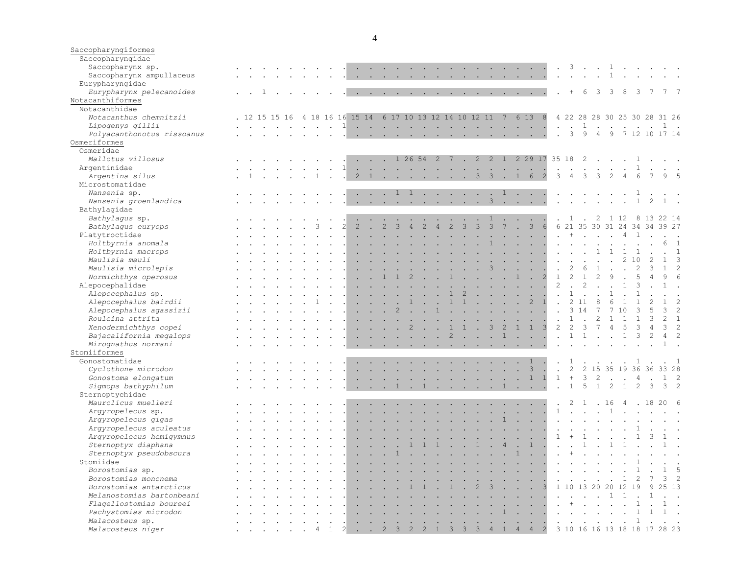| Saccopharyngiformes<br>Saccopharyngidae |                                                                                                                                  |                                                                          |               |               |                                         |              |                      |                                                                         |                                                |                          |                                 |                                                                                                                                                                                                                                   |                      |                                                                                                                                                                                                                                                                                                                                                                                                                                                            |             |                                            |               |                                                                               |                          |                                                                                                                                                                                                                                      |                            |                      |                             |                           |                         |                                                                                                                 |                |                                                                                                            |                |                              |                           |
|-----------------------------------------|----------------------------------------------------------------------------------------------------------------------------------|--------------------------------------------------------------------------|---------------|---------------|-----------------------------------------|--------------|----------------------|-------------------------------------------------------------------------|------------------------------------------------|--------------------------|---------------------------------|-----------------------------------------------------------------------------------------------------------------------------------------------------------------------------------------------------------------------------------|----------------------|------------------------------------------------------------------------------------------------------------------------------------------------------------------------------------------------------------------------------------------------------------------------------------------------------------------------------------------------------------------------------------------------------------------------------------------------------------|-------------|--------------------------------------------|---------------|-------------------------------------------------------------------------------|--------------------------|--------------------------------------------------------------------------------------------------------------------------------------------------------------------------------------------------------------------------------------|----------------------------|----------------------|-----------------------------|---------------------------|-------------------------|-----------------------------------------------------------------------------------------------------------------|----------------|------------------------------------------------------------------------------------------------------------|----------------|------------------------------|---------------------------|
| Saccopharynx sp.                        |                                                                                                                                  |                                                                          |               |               |                                         |              |                      |                                                                         |                                                |                          |                                 |                                                                                                                                                                                                                                   |                      | the contract of the contract of the contract of the contract of the contract of the contract of the contract of                                                                                                                                                                                                                                                                                                                                            |             |                                            |               |                                                                               |                          |                                                                                                                                                                                                                                      |                            |                      |                             |                           |                         |                                                                                                                 |                | $\cdot$ 3 $\cdot$ $\cdot$ 1 $\cdot$ $\cdot$ $\cdot$                                                        |                |                              |                           |
| Saccopharynx ampullaceus                |                                                                                                                                  |                                                                          | $\sim$ $\sim$ |               |                                         |              |                      |                                                                         |                                                |                          |                                 |                                                                                                                                                                                                                                   |                      | and a series of the contract of the contract of the contract of the contract of the contract of the contract of                                                                                                                                                                                                                                                                                                                                            |             |                                            |               |                                                                               |                          |                                                                                                                                                                                                                                      | $\sim$                     | $\ddot{\phantom{a}}$ |                             | $\sim$                    | $\ddot{\phantom{a}}$    | $\mathbf{1}$                                                                                                    |                |                                                                                                            |                |                              |                           |
| Eurypharyngidae                         |                                                                                                                                  |                                                                          |               |               |                                         |              |                      |                                                                         |                                                |                          |                                 |                                                                                                                                                                                                                                   |                      |                                                                                                                                                                                                                                                                                                                                                                                                                                                            |             |                                            |               |                                                                               |                          |                                                                                                                                                                                                                                      |                            |                      |                             |                           |                         |                                                                                                                 |                |                                                                                                            |                |                              |                           |
| Eurypharynx pelecanoides                | . . 1                                                                                                                            |                                                                          |               |               |                                         |              |                      |                                                                         |                                                |                          |                                 |                                                                                                                                                                                                                                   |                      | and the contract of the contract of the contract of the contract of the contract of the contract of the contract of the contract of the contract of the contract of the contract of the contract of the contract of the contra                                                                                                                                                                                                                             |             |                                            |               |                                                                               |                          |                                                                                                                                                                                                                                      |                            |                      | $+$                         | 6                         | $\overline{\mathbf{3}}$ | 3                                                                                                               | 8              | 3                                                                                                          | $\overline{7}$ | 7 7                          |                           |
| Notacanthiformes                        |                                                                                                                                  |                                                                          |               |               |                                         |              |                      |                                                                         |                                                |                          |                                 |                                                                                                                                                                                                                                   |                      |                                                                                                                                                                                                                                                                                                                                                                                                                                                            |             |                                            |               |                                                                               |                          |                                                                                                                                                                                                                                      |                            |                      |                             |                           |                         |                                                                                                                 |                |                                                                                                            |                |                              |                           |
| Notacanthidae                           |                                                                                                                                  |                                                                          |               |               |                                         |              |                      |                                                                         |                                                |                          |                                 |                                                                                                                                                                                                                                   |                      |                                                                                                                                                                                                                                                                                                                                                                                                                                                            |             |                                            |               |                                                                               |                          |                                                                                                                                                                                                                                      |                            |                      |                             |                           |                         |                                                                                                                 |                |                                                                                                            |                |                              |                           |
| Notacanthus chemnitzii                  | . 12 15 15 16                                                                                                                    |                                                                          |               |               |                                         |              |                      |                                                                         |                                                |                          |                                 |                                                                                                                                                                                                                                   |                      | 4 18 16 16 15 14 6 17 10 13 12 14 10 12 11 7 6 13                                                                                                                                                                                                                                                                                                                                                                                                          |             |                                            |               |                                                                               |                          |                                                                                                                                                                                                                                      | 8                          |                      |                             |                           |                         |                                                                                                                 |                |                                                                                                            |                | 4 22 28 28 30 25 30 28 31 26 |                           |
| Lipogenys gillii                        |                                                                                                                                  |                                                                          |               |               |                                         | $\mathbf{1}$ | $\sim$               | <b>Contract Contract Contract</b>                                       |                                                |                          |                                 | $\sim$                                                                                                                                                                                                                            | $\sim$ $\sim$        |                                                                                                                                                                                                                                                                                                                                                                                                                                                            | $\sim$      |                                            | $\sim$ $\sim$ |                                                                               |                          | and the company of the company                                                                                                                                                                                                       |                            |                      | $\cdot$ $\cdot$ 1           |                           |                         | $\mathcal{L}^{\text{max}}$ and $\mathcal{L}^{\text{max}}$                                                       | $\sim$ $\sim$  |                                                                                                            |                | 1.                           |                           |
| Polyacanthonotus rissoanus              |                                                                                                                                  |                                                                          |               |               |                                         |              |                      |                                                                         |                                                |                          |                                 |                                                                                                                                                                                                                                   |                      | $\mathbf{1} \qquad \mathbf{1} \qquad \mathbf{1} \qquad \mathbf{1} \qquad \mathbf{1} \qquad \mathbf{1} \qquad \mathbf{1} \qquad \mathbf{1} \qquad \mathbf{1} \qquad \mathbf{1} \qquad \mathbf{1} \qquad \mathbf{1} \qquad \mathbf{1} \qquad \mathbf{1} \qquad \mathbf{1} \qquad \mathbf{1} \qquad \mathbf{1} \qquad \mathbf{1} \qquad \mathbf{1} \qquad \mathbf{1} \qquad \mathbf{1} \qquad \mathbf{1} \qquad \mathbf{1} \qquad \mathbf{1} \qquad \mathbf{$ |             |                                            |               |                                                                               |                          |                                                                                                                                                                                                                                      |                            | $\sim$               |                             | 3 <sup>9</sup>            | 4                       | 9                                                                                                               |                |                                                                                                            |                | 7 12 10 17 14                |                           |
| Osmeriformes                            |                                                                                                                                  |                                                                          |               |               |                                         |              |                      |                                                                         |                                                |                          |                                 |                                                                                                                                                                                                                                   |                      |                                                                                                                                                                                                                                                                                                                                                                                                                                                            |             |                                            |               |                                                                               |                          |                                                                                                                                                                                                                                      |                            |                      |                             |                           |                         |                                                                                                                 |                |                                                                                                            |                |                              |                           |
| Osmeridae                               |                                                                                                                                  |                                                                          |               |               |                                         |              |                      |                                                                         |                                                |                          |                                 |                                                                                                                                                                                                                                   |                      |                                                                                                                                                                                                                                                                                                                                                                                                                                                            |             |                                            |               |                                                                               |                          |                                                                                                                                                                                                                                      |                            |                      |                             |                           |                         |                                                                                                                 |                |                                                                                                            |                |                              |                           |
|                                         |                                                                                                                                  |                                                                          |               |               |                                         |              |                      |                                                                         |                                                |                          |                                 |                                                                                                                                                                                                                                   |                      |                                                                                                                                                                                                                                                                                                                                                                                                                                                            |             |                                            |               |                                                                               |                          |                                                                                                                                                                                                                                      |                            |                      |                             |                           |                         |                                                                                                                 |                |                                                                                                            |                |                              |                           |
| Mallotus villosus                       |                                                                                                                                  |                                                                          |               |               |                                         |              |                      |                                                                         |                                                |                          |                                 | $\cdot$ $\cdot$ 1 26 54 2 7                                                                                                                                                                                                       |                      |                                                                                                                                                                                                                                                                                                                                                                                                                                                            | $\sim$      | $2 \quad 2$                                |               |                                                                               |                          | 1 2 29 17 35 18 2                                                                                                                                                                                                                    |                            |                      |                             |                           |                         |                                                                                                                 |                |                                                                                                            |                |                              |                           |
| Argentinidae                            |                                                                                                                                  |                                                                          |               |               | $\sim$                                  | $\mathbf{1}$ |                      |                                                                         |                                                |                          |                                 |                                                                                                                                                                                                                                   |                      | the contract of the contract of the contract of the contract of the contract of the contract of the contract of                                                                                                                                                                                                                                                                                                                                            |             |                                            |               |                                                                               |                          | $\ddot{\phantom{a}}$                                                                                                                                                                                                                 | $\sim$                     |                      |                             |                           |                         |                                                                                                                 |                |                                                                                                            |                |                              |                           |
| Argentina silus                         |                                                                                                                                  |                                                                          |               |               |                                         |              | 2                    |                                                                         |                                                |                          |                                 |                                                                                                                                                                                                                                   |                      | 1. 3                                                                                                                                                                                                                                                                                                                                                                                                                                                       |             |                                            |               | $3 \cdot 1$                                                                   |                          | 6                                                                                                                                                                                                                                    | 2                          |                      |                             | 3                         |                         |                                                                                                                 |                |                                                                                                            |                | 9                            |                           |
| Microstomatidae                         |                                                                                                                                  |                                                                          |               |               |                                         |              |                      |                                                                         |                                                |                          |                                 |                                                                                                                                                                                                                                   |                      |                                                                                                                                                                                                                                                                                                                                                                                                                                                            |             |                                            |               |                                                                               |                          |                                                                                                                                                                                                                                      |                            |                      |                             |                           |                         |                                                                                                                 |                |                                                                                                            |                |                              |                           |
| Nansenia sp.                            |                                                                                                                                  |                                                                          |               |               |                                         |              |                      | $\cdot$ $\cdot$ $\cdot$ $\cdot$ $\cdot$ $\cdot$ $\cdot$                 |                                                |                          |                                 |                                                                                                                                                                                                                                   |                      | $\cdots$ 1                                                                                                                                                                                                                                                                                                                                                                                                                                                 |             |                                            |               |                                                                               |                          |                                                                                                                                                                                                                                      |                            |                      | $\mathbf{r}$ , $\mathbf{r}$ |                           | $\sim$                  |                                                                                                                 |                |                                                                                                            |                |                              |                           |
| Nansenia groenlandica                   |                                                                                                                                  |                                                                          |               |               |                                         |              |                      |                                                                         |                                                |                          |                                 |                                                                                                                                                                                                                                   |                      | . 3                                                                                                                                                                                                                                                                                                                                                                                                                                                        |             |                                            |               |                                                                               |                          |                                                                                                                                                                                                                                      |                            | $\sim$               |                             | $\sim$ $\sim$             |                         | $\mathbf{r}$ , $\mathbf{r}$ , $\mathbf{r}$                                                                      |                | 1                                                                                                          | 2              | $1$ .                        |                           |
| Bathylagidae                            |                                                                                                                                  |                                                                          |               |               |                                         |              |                      |                                                                         |                                                |                          |                                 |                                                                                                                                                                                                                                   |                      |                                                                                                                                                                                                                                                                                                                                                                                                                                                            |             |                                            |               |                                                                               |                          |                                                                                                                                                                                                                                      |                            |                      |                             |                           |                         |                                                                                                                 |                |                                                                                                            |                |                              |                           |
| Bathylagus sp.                          |                                                                                                                                  |                                                                          |               |               |                                         |              |                      |                                                                         |                                                |                          |                                 |                                                                                                                                                                                                                                   |                      |                                                                                                                                                                                                                                                                                                                                                                                                                                                            |             |                                            | $\mathbf{1}$  |                                                                               |                          |                                                                                                                                                                                                                                      |                            |                      | -1                          |                           | 2                       | 1 12                                                                                                            |                |                                                                                                            |                | 8 13 22 14                   |                           |
| Bathylagus euryops                      |                                                                                                                                  |                                                                          |               |               |                                         |              | $\overline{2}$       | $\sim$                                                                  | $\overline{2}$                                 |                          |                                 | $\overline{2}$                                                                                                                                                                                                                    | $\overline{4}$       | $\mathcal{L}$                                                                                                                                                                                                                                                                                                                                                                                                                                              | 3           | 3                                          | $\mathcal{E}$ |                                                                               | <b>College</b>           | $\mathcal{E}$                                                                                                                                                                                                                        | 6                          |                      |                             | 6 21 35 30 31             |                         |                                                                                                                 |                | 24 34 34                                                                                                   |                | 39 27                        |                           |
| Platytroctidae                          |                                                                                                                                  |                                                                          |               |               |                                         |              |                      |                                                                         |                                                |                          |                                 |                                                                                                                                                                                                                                   |                      |                                                                                                                                                                                                                                                                                                                                                                                                                                                            |             |                                            |               |                                                                               | <b>Contract Contract</b> |                                                                                                                                                                                                                                      |                            |                      | $+$                         |                           |                         |                                                                                                                 | $\overline{4}$ |                                                                                                            |                |                              |                           |
| Holtbyrnia anomala                      |                                                                                                                                  |                                                                          |               |               |                                         |              |                      |                                                                         |                                                |                          |                                 |                                                                                                                                                                                                                                   |                      |                                                                                                                                                                                                                                                                                                                                                                                                                                                            |             |                                            |               |                                                                               | $\ddot{\phantom{a}}$     | $\sim$                                                                                                                                                                                                                               |                            |                      |                             |                           |                         |                                                                                                                 |                |                                                                                                            |                | 6                            | $\overline{1}$            |
| Holtbyrnia macrops                      |                                                                                                                                  |                                                                          |               |               |                                         |              |                      |                                                                         |                                                |                          |                                 | $\ddot{\phantom{a}}$                                                                                                                                                                                                              |                      | $\sim$                                                                                                                                                                                                                                                                                                                                                                                                                                                     | $\sim$      | <b>Contract Contract</b>                   |               |                                                                               |                          | the contract of the contract of                                                                                                                                                                                                      |                            |                      |                             |                           | $\mathbf{1}$            | 1                                                                                                               | $\mathbf{1}$   |                                                                                                            |                |                              | 1                         |
| Maulisia mauli                          |                                                                                                                                  |                                                                          |               |               |                                         |              |                      |                                                                         |                                                |                          |                                 |                                                                                                                                                                                                                                   |                      |                                                                                                                                                                                                                                                                                                                                                                                                                                                            |             |                                            |               |                                                                               |                          | $\mathbf{r}$ , $\mathbf{r}$ , $\mathbf{r}$ , $\mathbf{r}$                                                                                                                                                                            |                            |                      |                             |                           |                         |                                                                                                                 |                |                                                                                                            |                |                              |                           |
| Maulisia microlepis                     |                                                                                                                                  |                                                                          |               |               |                                         |              |                      |                                                                         |                                                |                          | $\sim$                          | $\ddot{\phantom{a}}$                                                                                                                                                                                                              |                      | $\ddot{\phantom{a}}$                                                                                                                                                                                                                                                                                                                                                                                                                                       | $\sim$      | $\cdot$ 3                                  |               |                                                                               | <b>Contract Contract</b> |                                                                                                                                                                                                                                      | $\blacksquare$ .           |                      | $\overline{2}$              | 6                         | $\mathbf{1}$            |                                                                                                                 |                |                                                                                                            |                | $\mathbf{1}$                 | $\overline{2}$            |
| Normichthys operosus                    |                                                                                                                                  |                                                                          |               |               |                                         |              |                      |                                                                         |                                                |                          |                                 |                                                                                                                                                                                                                                   |                      |                                                                                                                                                                                                                                                                                                                                                                                                                                                            |             | <b>Contract Contract Contract</b>          |               |                                                                               |                          | $\sim$                                                                                                                                                                                                                               |                            | $\mathbf{1}$         | $\overline{2}$              | $\mathbf{1}$              | 2                       |                                                                                                                 |                |                                                                                                            |                | 9                            | 6                         |
|                                         |                                                                                                                                  |                                                                          |               |               |                                         |              |                      |                                                                         |                                                |                          |                                 |                                                                                                                                                                                                                                   |                      |                                                                                                                                                                                                                                                                                                                                                                                                                                                            |             |                                            |               |                                                                               |                          |                                                                                                                                                                                                                                      | n al                       | 2                    | $\mathbf{r}$                | $\overline{2}$            | $\sim$                  |                                                                                                                 | $\mathbf{1}$   |                                                                                                            |                |                              |                           |
| Alepocephalidae                         |                                                                                                                                  |                                                                          |               |               |                                         |              | $\sim$               | $\sim$                                                                  |                                                | $\sim$                   | $\sim$                          | $\bullet$                                                                                                                                                                                                                         | $\ddot{\phantom{a}}$ | $\ddot{\phantom{a}}$                                                                                                                                                                                                                                                                                                                                                                                                                                       |             |                                            |               |                                                                               |                          |                                                                                                                                                                                                                                      |                            |                      | $\mathbf{1}$                |                           |                         |                                                                                                                 |                |                                                                                                            |                |                              |                           |
| Alepocephalus sp.                       |                                                                                                                                  |                                                                          |               |               |                                         |              |                      |                                                                         |                                                |                          |                                 |                                                                                                                                                                                                                                   |                      |                                                                                                                                                                                                                                                                                                                                                                                                                                                            |             |                                            |               | $\mathbf{r} = \mathbf{r} + \mathbf{r} + \mathbf{r} + \mathbf{r} + \mathbf{r}$ |                          |                                                                                                                                                                                                                                      |                            |                      |                             |                           |                         |                                                                                                                 |                |                                                                                                            |                |                              |                           |
| Alepocephalus bairdii                   |                                                                                                                                  |                                                                          |               |               |                                         |              |                      | $\sim$                                                                  |                                                | <b>Contract Contract</b> | $\mathbf{1}$                    | $\ddot{\phantom{a}}$                                                                                                                                                                                                              | $\ddot{\phantom{a}}$ |                                                                                                                                                                                                                                                                                                                                                                                                                                                            |             |                                            |               |                                                                               |                          | $1 \quad 1 \quad . \quad . \quad . \quad . \quad 2 \quad 1$                                                                                                                                                                          |                            |                      |                             | 2 1 1                     | 8                       | $6\phantom{1}6$                                                                                                 | $\overline{1}$ |                                                                                                            |                | $\mathbf{1}$                 | 2                         |
| Alepocephalus agassizii                 |                                                                                                                                  |                                                                          |               |               |                                         |              |                      |                                                                         |                                                |                          |                                 |                                                                                                                                                                                                                                   |                      |                                                                                                                                                                                                                                                                                                                                                                                                                                                            |             |                                            |               |                                                                               |                          | $\mathbf{r}$ and $\mathbf{r}$ are the set of the set of the set of the set of the set of the set of the set of the set of the set of the set of the set of the set of the set of the set of the set of the set of the set of the set |                            |                      |                             | 3 14                      |                         |                                                                                                                 |                |                                                                                                            |                |                              | $\overline{2}$            |
| Rouleina attrita                        |                                                                                                                                  |                                                                          |               |               |                                         |              | $\sim$               | $\sim$                                                                  | $\sim$                                         |                          | $\sim$                          |                                                                                                                                                                                                                                   | $\mathbf{r}$         | $\sim$                                                                                                                                                                                                                                                                                                                                                                                                                                                     |             | and the company of the company             |               | ◆                                                                             | $\sim$                   | $\sim$                                                                                                                                                                                                                               | $\mathcal{L}_{\mathbf{z}}$ | $\ddot{\phantom{a}}$ | $\,$ 1 $\,$                 |                           | 2                       |                                                                                                                 |                |                                                                                                            |                | $2^{\circ}$                  | $\overline{1}$            |
| Xenodermichthys copei                   |                                                                                                                                  |                                                                          |               |               |                                         |              |                      |                                                                         | the contract of the contract of                |                          |                                 |                                                                                                                                                                                                                                   | $\sim$               |                                                                                                                                                                                                                                                                                                                                                                                                                                                            | $\bigoplus$ | $\sim$ 3                                   |               | 2                                                                             | $\overline{1}$           | $\mathbf{1}$                                                                                                                                                                                                                         |                            | 2                    | $\overline{2}$              | $\mathcal{B}$             | $7\phantom{.0}$         | $\overline{4}$                                                                                                  | 5              |                                                                                                            |                | 3                            | $\overline{2}$            |
| Bajacalifornia megalops                 |                                                                                                                                  |                                                                          |               |               |                                         |              | $\sim$               |                                                                         |                                                |                          |                                 | $\mathbf{1}$ . The set of the set of the set of the set of the set of the set of the set of the set of the set of the set of the set of the set of the set of the set of the set of the set of the set of the set of the set of t |                      | $\overline{c}$                                                                                                                                                                                                                                                                                                                                                                                                                                             |             | $\mathbf{r}$ , $\mathbf{r}$ , $\mathbf{r}$ |               |                                                                               |                          | $1 \cdot \cdot \cdot$                                                                                                                                                                                                                |                            | $\sim$               |                             | $1\quad1$                 |                         | $\sim$ $\sim$                                                                                                   | $\mathbf{1}$   | $\mathbf{3}$                                                                                               | 2              | $\overline{4}$               | $\mathcal{L}$             |
| Mirognathus normani                     |                                                                                                                                  |                                                                          |               |               |                                         |              |                      |                                                                         |                                                |                          |                                 |                                                                                                                                                                                                                                   |                      | the contract of the contract of the contract of the contract of the contract of the contract of the contract of                                                                                                                                                                                                                                                                                                                                            |             |                                            |               |                                                                               |                          |                                                                                                                                                                                                                                      |                            |                      |                             |                           |                         |                                                                                                                 |                |                                                                                                            |                |                              | $1 \cdot$                 |
| Stomiiformes                            |                                                                                                                                  |                                                                          |               |               |                                         |              |                      |                                                                         |                                                |                          |                                 |                                                                                                                                                                                                                                   |                      |                                                                                                                                                                                                                                                                                                                                                                                                                                                            |             |                                            |               |                                                                               |                          |                                                                                                                                                                                                                                      |                            |                      |                             |                           |                         |                                                                                                                 |                |                                                                                                            |                |                              |                           |
| Gonostomatidae                          |                                                                                                                                  |                                                                          |               |               |                                         |              |                      |                                                                         |                                                |                          |                                 |                                                                                                                                                                                                                                   |                      | the contract of the contract of the contract of the contract of the contract of the contract of the contract of                                                                                                                                                                                                                                                                                                                                            |             |                                            |               |                                                                               |                          | $\mathbf{1}$                                                                                                                                                                                                                         |                            | $\sim$               |                             |                           |                         | $\mathbf{r}$ , $\mathbf{r}$ , $\mathbf{r}$ , $\mathbf{r}$                                                       |                | 1                                                                                                          |                |                              | $\cdot$ 1                 |
| Cyclothone microdon                     |                                                                                                                                  |                                                                          |               |               |                                         |              | $\sim$               |                                                                         | <b>Contract Contract Contract</b>              |                          |                                 |                                                                                                                                                                                                                                   |                      | the contract of the contract of the contract of the contract of the contract of the contract of the contract of                                                                                                                                                                                                                                                                                                                                            |             |                                            |               |                                                                               |                          | $3$ .                                                                                                                                                                                                                                |                            | $\sim$               | $\overline{2}$              |                           |                         |                                                                                                                 |                | 2 15 35 19 36 36                                                                                           |                | 33 28                        |                           |
| Gonostoma elongatum                     |                                                                                                                                  |                                                                          |               |               |                                         |              |                      |                                                                         | $\mathbf{r}$ and $\mathbf{r}$ and $\mathbf{r}$ |                          |                                 |                                                                                                                                                                                                                                   |                      |                                                                                                                                                                                                                                                                                                                                                                                                                                                            |             |                                            |               |                                                                               |                          | $\begin{array}{ccccccccc}\n\cdot & \cdot & \cdot & 1 & 1\n\end{array}$                                                                                                                                                               |                            | $\mathbf{1}$         | $+$                         | 3                         | 2                       |                                                                                                                 |                |                                                                                                            |                | $1 \quad 2$                  |                           |
| Sigmops bathyphilum                     |                                                                                                                                  |                                                                          |               |               |                                         |              |                      | $\cdots$ $\cdots$ 1                                                     |                                                |                          |                                 |                                                                                                                                                                                                                                   |                      | . 1                                                                                                                                                                                                                                                                                                                                                                                                                                                        |             |                                            |               | $\mathbf{1}$                                                                  | $\sim$ 10 $\sim$         | $\sim$                                                                                                                                                                                                                               |                            |                      |                             | $1\quad 5$                | 1                       | 2                                                                                                               | $\mathbf{1}$   | 2                                                                                                          | $\mathbf{3}$   |                              | 3 <sub>2</sub>            |
| Sternoptychidae                         |                                                                                                                                  |                                                                          |               |               |                                         |              |                      |                                                                         |                                                |                          |                                 |                                                                                                                                                                                                                                   |                      |                                                                                                                                                                                                                                                                                                                                                                                                                                                            |             |                                            |               |                                                                               |                          |                                                                                                                                                                                                                                      |                            |                      |                             |                           |                         |                                                                                                                 |                |                                                                                                            |                |                              |                           |
| Maurolicus muelleri                     |                                                                                                                                  |                                                                          |               |               |                                         |              |                      |                                                                         |                                                |                          |                                 |                                                                                                                                                                                                                                   |                      |                                                                                                                                                                                                                                                                                                                                                                                                                                                            |             |                                            |               |                                                                               |                          |                                                                                                                                                                                                                                      |                            |                      | 2                           | $\mathbf{1}$              |                         | . 16                                                                                                            |                |                                                                                                            |                | . 18 20 6                    |                           |
| Argyropelecus sp.                       |                                                                                                                                  |                                                                          |               |               |                                         |              |                      |                                                                         |                                                |                          |                                 |                                                                                                                                                                                                                                   |                      | the contract of the contract of the contract of the contract of the contract of the contract of the contract of                                                                                                                                                                                                                                                                                                                                            |             |                                            |               |                                                                               |                          | <b>Contract Contract Contract</b>                                                                                                                                                                                                    |                            | $\mathbf{1}$         |                             | $\mathbf{L} = \mathbf{L}$ | $\sim$                  |                                                                                                                 |                |                                                                                                            |                |                              |                           |
| Argyropelecus gigas                     |                                                                                                                                  |                                                                          |               |               |                                         |              |                      |                                                                         |                                                |                          |                                 |                                                                                                                                                                                                                                   |                      |                                                                                                                                                                                                                                                                                                                                                                                                                                                            |             |                                            |               |                                                                               | $\ddot{\phantom{a}}$     | $\sim$ $\sim$                                                                                                                                                                                                                        |                            | $\ddot{\phantom{a}}$ |                             | $\ddot{\phantom{a}}$      |                         |                                                                                                                 |                |                                                                                                            |                |                              |                           |
| Argyropelecus aculeatus                 |                                                                                                                                  |                                                                          |               |               |                                         |              |                      |                                                                         |                                                |                          | the contract of the contract of |                                                                                                                                                                                                                                   |                      | the contract of the contract of the contract of the contract of the contract of                                                                                                                                                                                                                                                                                                                                                                            |             |                                            |               |                                                                               |                          | $\mathcal{L}^{\text{max}}$ , where $\mathcal{L}^{\text{max}}$                                                                                                                                                                        |                            |                      |                             |                           |                         | $\mathbf{r}$ , $\mathbf{r}$ , $\mathbf{r}$ , $\mathbf{r}$                                                       |                |                                                                                                            |                |                              |                           |
| Argyropelecus hemigymnus                |                                                                                                                                  |                                                                          |               |               |                                         |              | $\ddot{\phantom{0}}$ |                                                                         |                                                |                          |                                 |                                                                                                                                                                                                                                   |                      | $\mathbf{r}$ , and $\mathbf{r}$ , and $\mathbf{r}$ , and $\mathbf{r}$ , and $\mathbf{r}$ , and $\mathbf{r}$                                                                                                                                                                                                                                                                                                                                                |             |                                            |               |                                                                               |                          |                                                                                                                                                                                                                                      |                            | $\mathbf{1}$         |                             | $\mathbf{1}$              |                         |                                                                                                                 |                |                                                                                                            |                |                              | $1 \cdot \cdot$           |
| Sternoptyx diaphana                     |                                                                                                                                  |                                                                          |               |               |                                         |              |                      |                                                                         |                                                |                          |                                 |                                                                                                                                                                                                                                   |                      | $1 \quad 1 \quad 1 \quad . \quad . \quad 1 \quad .$                                                                                                                                                                                                                                                                                                                                                                                                        |             |                                            |               | $4^{\circ}$                                                                   |                          | $1 \cdot$                                                                                                                                                                                                                            |                            | $\sim$ $\sim$        |                             | $\mathbf{1}$              | $\sim$                  | $\mathbf{1}$                                                                                                    |                |                                                                                                            |                |                              |                           |
|                                         |                                                                                                                                  |                                                                          |               |               | $\cdot$ $\cdot$ $\cdot$ $\cdot$ $\cdot$ |              |                      | $\overline{a}$ and $\overline{a}$ and $\overline{a}$ and $\overline{a}$ |                                                |                          |                                 |                                                                                                                                                                                                                                   |                      |                                                                                                                                                                                                                                                                                                                                                                                                                                                            |             |                                            |               |                                                                               |                          |                                                                                                                                                                                                                                      |                            |                      |                             |                           |                         |                                                                                                                 |                |                                                                                                            |                |                              |                           |
| Sternoptyx pseudobscura                 | $\mathbf{r} = \mathbf{r} - \mathbf{r}$ , and $\mathbf{r} = \mathbf{r} - \mathbf{r}$ , and $\mathbf{r} = \mathbf{r} - \mathbf{r}$ |                                                                          |               |               |                                         |              |                      |                                                                         |                                                |                          |                                 |                                                                                                                                                                                                                                   |                      | . 1 1                                                                                                                                                                                                                                                                                                                                                                                                                                                      |             |                                            |               |                                                                               |                          | $\sim$                                                                                                                                                                                                                               |                            | $\ddot{\phantom{a}}$ | $+$                         | $\sim$                    | $\sim$ $\sim$           |                                                                                                                 |                | $\mathcal{L}^{\text{max}}$ and $\mathcal{L}^{\text{max}}$                                                  |                |                              |                           |
| Stomiidae                               |                                                                                                                                  |                                                                          |               |               |                                         |              |                      |                                                                         |                                                |                          |                                 |                                                                                                                                                                                                                                   |                      | the contract of the contract of the contract of the contract of the contract of the contract of the contract of                                                                                                                                                                                                                                                                                                                                            |             |                                            |               |                                                                               |                          | $\sim$ $\sim$                                                                                                                                                                                                                        |                            |                      |                             |                           |                         |                                                                                                                 |                | . 1.                                                                                                       |                | $\sim$ $\sim$                |                           |
| Borostomias sp.                         |                                                                                                                                  |                                                                          |               |               |                                         |              |                      |                                                                         |                                                |                          |                                 |                                                                                                                                                                                                                                   |                      |                                                                                                                                                                                                                                                                                                                                                                                                                                                            |             |                                            |               |                                                                               |                          |                                                                                                                                                                                                                                      |                            |                      |                             |                           |                         |                                                                                                                 |                | $\sim$ . The contract of the contract of the contract of the contract of the contract of $\sim$ 1.1 $\sim$ |                |                              | $1\quad 5$                |
| Borostomias mononema                    |                                                                                                                                  |                                                                          | $\sim$        |               | <b>Contract Contract Street</b>         | $\sim$       |                      |                                                                         |                                                |                          |                                 |                                                                                                                                                                                                                                   |                      |                                                                                                                                                                                                                                                                                                                                                                                                                                                            |             |                                            |               |                                                                               |                          |                                                                                                                                                                                                                                      |                            |                      |                             |                           |                         |                                                                                                                 |                |                                                                                                            |                |                              | $3 \quad 2$               |
| Borostomias antarcticus                 |                                                                                                                                  |                                                                          |               |               |                                         |              |                      |                                                                         |                                                |                          |                                 |                                                                                                                                                                                                                                   |                      | . 1 1 . 1 . 2 3 3                                                                                                                                                                                                                                                                                                                                                                                                                                          |             |                                            |               |                                                                               |                          |                                                                                                                                                                                                                                      |                            |                      |                             |                           |                         | 1 10 13 20 20 12 19                                                                                             |                |                                                                                                            |                | 25 13                        |                           |
| Melanostomias bartonbeani               |                                                                                                                                  |                                                                          | $\sim$        | $\sim$        |                                         |              |                      |                                                                         |                                                |                          |                                 |                                                                                                                                                                                                                                   |                      |                                                                                                                                                                                                                                                                                                                                                                                                                                                            |             |                                            |               |                                                                               |                          |                                                                                                                                                                                                                                      |                            |                      |                             |                           |                         |                                                                                                                 | $\overline{1}$ |                                                                                                            |                |                              |                           |
| Flagellostomias boureei                 |                                                                                                                                  |                                                                          | $\sim$        | $\sim$ $\sim$ |                                         |              |                      |                                                                         |                                                |                          |                                 |                                                                                                                                                                                                                                   |                      |                                                                                                                                                                                                                                                                                                                                                                                                                                                            |             |                                            |               |                                                                               |                          |                                                                                                                                                                                                                                      |                            |                      |                             | $\sim +$ $\sim$ $\sim$    |                         |                                                                                                                 |                |                                                                                                            |                |                              | $1 \cdot$                 |
| Pachystomias microdon                   |                                                                                                                                  | . 1                                                                      |               |               |                                         |              |                      |                                                                         |                                                |                          |                                 |                                                                                                                                                                                                                                   |                      |                                                                                                                                                                                                                                                                                                                                                                                                                                                            |             |                                            |               |                                                                               |                          |                                                                                                                                                                                                                                      |                            |                      |                             |                           |                         | the contract of the contract of the contract of the contract of the contract of the contract of the contract of |                |                                                                                                            |                | $1 \cdot \cdot$              |                           |
| Malacosteus sp.                         |                                                                                                                                  | $\mathbf{r}$ , $\mathbf{r}$ , $\mathbf{r}$ , $\mathbf{r}$ , $\mathbf{r}$ |               |               |                                         |              |                      |                                                                         |                                                |                          |                                 |                                                                                                                                                                                                                                   |                      | the contract of the contract of the contract of the contract of the contract of the contract of the contract of the contract of the contract of the contract of the contract of the contract of the contract of the contract o                                                                                                                                                                                                                             |             |                                            |               |                                                                               |                          |                                                                                                                                                                                                                                      |                            |                      |                             |                           |                         | and the contract of the contract of the contract of the contract of the contract of                             |                | $\overline{1}$                                                                                             |                |                              | $\mathbf{L} = \mathbf{L}$ |
| Malacosteus niger                       | . 4 1 2 2 3 2 2 1 3 3 3 4 1 4 4 2 3 10 16 16 13 18 18 17 28 23                                                                   |                                                                          |               |               |                                         |              |                      |                                                                         |                                                |                          |                                 |                                                                                                                                                                                                                                   |                      |                                                                                                                                                                                                                                                                                                                                                                                                                                                            |             |                                            |               |                                                                               |                          |                                                                                                                                                                                                                                      |                            |                      |                             |                           |                         |                                                                                                                 |                |                                                                                                            |                |                              |                           |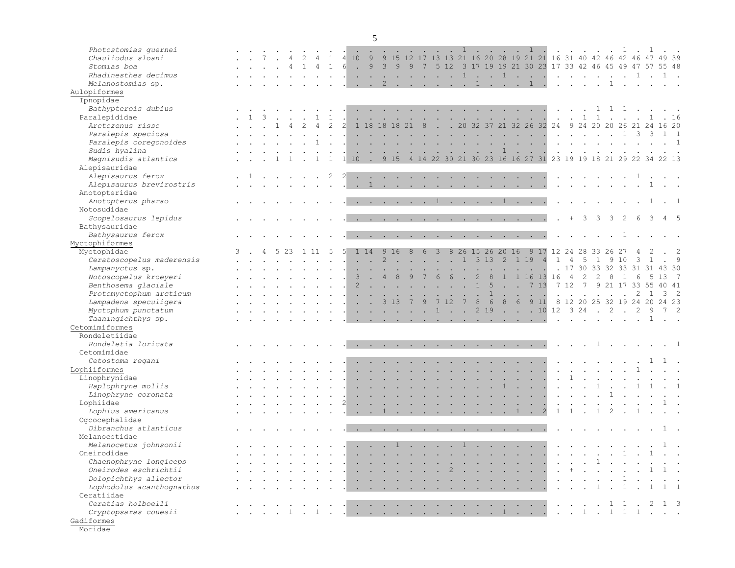| Photostomias quernei<br>Chauliodus sloani<br>Stomias boa<br>Rhadinesthes decimus<br>Melanostomias sp. |  |  |                                                                                                                 |              | $\mathbf{1}$ | $\overline{4}$ | 10<br><b>Contract Contract Contract</b> | 9<br>$6 \quad . \quad 9$<br>$\sim$<br>$\cdot$ $\cdot$ 2 | $\overline{3}$ | $\overline{9}$           | 9                                               | $\overline{7}$<br>$\overline{a}$ and $\overline{a}$                                                             |                      | $5\quad12$<br>$\cdot$ $\cdot$ 1 | . . 1                               |                      |                      |                             |                 | $\mathbf{1}$<br>$\cdot$ $\cdot$ 1 $\cdot$ $\cdot$ $\cdot$<br>. 1 1 .                                                                                                                                                                                                                                                                                                                                                                                       | 9 15 12 17 13 13 21 16 20 28 19 21 21 16 31 40 42 46<br>3 17 19 19 21 30 23 17 33 42 46 45 49 47 57 55 48 |                         | $\mathbf{r}$ , $\mathbf{r}$ , $\mathbf{r}$ , $\mathbf{r}$<br>$\mathbf{r}$ , $\mathbf{r}$ , $\mathbf{r}$ , $\mathbf{r}$ |                      |              |                                                                                                                 |              |                        | 42 46 47 49 39 |                              |                            |
|-------------------------------------------------------------------------------------------------------|--|--|-----------------------------------------------------------------------------------------------------------------|--------------|--------------|----------------|-----------------------------------------|---------------------------------------------------------|----------------|--------------------------|-------------------------------------------------|-----------------------------------------------------------------------------------------------------------------|----------------------|---------------------------------|-------------------------------------|----------------------|----------------------|-----------------------------|-----------------|------------------------------------------------------------------------------------------------------------------------------------------------------------------------------------------------------------------------------------------------------------------------------------------------------------------------------------------------------------------------------------------------------------------------------------------------------------|-----------------------------------------------------------------------------------------------------------|-------------------------|------------------------------------------------------------------------------------------------------------------------|----------------------|--------------|-----------------------------------------------------------------------------------------------------------------|--------------|------------------------|----------------|------------------------------|----------------------------|
| Aulopiformes                                                                                          |  |  |                                                                                                                 |              |              |                |                                         |                                                         |                |                          |                                                 |                                                                                                                 |                      |                                 |                                     |                      |                      |                             |                 |                                                                                                                                                                                                                                                                                                                                                                                                                                                            |                                                                                                           |                         |                                                                                                                        |                      |              |                                                                                                                 |              |                        |                |                              |                            |
| Ipnopidae                                                                                             |  |  |                                                                                                                 |              |              |                |                                         |                                                         |                |                          |                                                 |                                                                                                                 |                      |                                 |                                     |                      |                      |                             |                 |                                                                                                                                                                                                                                                                                                                                                                                                                                                            |                                                                                                           |                         |                                                                                                                        |                      |              |                                                                                                                 |              |                        |                |                              |                            |
| Bathypterois dubius                                                                                   |  |  |                                                                                                                 |              |              |                |                                         |                                                         |                |                          |                                                 | the company of the company of the company                                                                       |                      |                                 |                                     |                      | <b>Service</b>       |                             |                 | and the company of the company                                                                                                                                                                                                                                                                                                                                                                                                                             |                                                                                                           |                         | $\sim$                                                                                                                 |                      |              | 1 1 1 .                                                                                                         |              |                        |                |                              |                            |
| Paralepididae                                                                                         |  |  |                                                                                                                 |              |              |                |                                         |                                                         |                |                          |                                                 | $\mathbf{r} = \mathbf{r} + \mathbf{r} + \mathbf{r} + \mathbf{r} + \mathbf{r}$                                   |                      |                                 |                                     |                      | $\sim$               | $\mathcal{L}_{\mathcal{A}}$ | $\sim$ $\sim$   | $\sim$ $\sim$ $\sim$                                                                                                                                                                                                                                                                                                                                                                                                                                       |                                                                                                           | $\sim 100$ km s $^{-1}$ |                                                                                                                        | $\overline{1}$       | $\mathbf{1}$ |                                                                                                                 |              |                        |                |                              |                            |
| Arctozenus risso                                                                                      |  |  |                                                                                                                 |              |              |                |                                         | 18                                                      | 18             | 18                       | 21                                              | 8                                                                                                               |                      | $\cdot$ $\cdot$ 20              |                                     | 32                   |                      |                             |                 |                                                                                                                                                                                                                                                                                                                                                                                                                                                            | 37 21 32 26 32 24                                                                                         |                         | 9 24 20                                                                                                                |                      |              | 20                                                                                                              |              | 26 21 24               |                |                              |                            |
| Paralepis speciosa                                                                                    |  |  |                                                                                                                 |              |              |                |                                         |                                                         |                |                          |                                                 |                                                                                                                 | $\ddot{\phantom{0}}$ | <b>Contract Contract</b>        |                                     | $\sim$               | $\sim$               |                             |                 | $\sim$ $\sim$ $\sim$                                                                                                                                                                                                                                                                                                                                                                                                                                       |                                                                                                           | $\ddot{\phantom{a}}$    |                                                                                                                        |                      |              | $\cdots$ $\cdots$ $\cdots$                                                                                      |              |                        |                |                              |                            |
| Paralepis coregonoides                                                                                |  |  |                                                                                                                 |              |              |                |                                         |                                                         |                |                          |                                                 |                                                                                                                 | $\sim$               | $\sim$                          |                                     |                      | $\ddot{\phantom{a}}$ |                             |                 | $\sim$ $\sim$ $\sim$ $\sim$                                                                                                                                                                                                                                                                                                                                                                                                                                |                                                                                                           |                         |                                                                                                                        |                      |              |                                                                                                                 |              |                        |                | $\cdot$ 1                    |                            |
| Sudis hyalina                                                                                         |  |  |                                                                                                                 |              |              |                |                                         |                                                         |                | <b>Contract Contract</b> |                                                 | <b>Contract</b>                                                                                                 |                      |                                 | the contract of the contract of the |                      |                      | $\mathbf{1}$                |                 | $\mathcal{L}(\mathbf{z})$ , and $\mathcal{L}(\mathbf{z})$ , and                                                                                                                                                                                                                                                                                                                                                                                            | $\sim$                                                                                                    |                         | $\sim$                                                                                                                 | $\sim$               |              |                                                                                                                 |              |                        |                |                              |                            |
| Magnisudis atlantica                                                                                  |  |  |                                                                                                                 |              |              |                | $1\overline{10}$                        | $\sim$                                                  |                |                          |                                                 |                                                                                                                 |                      |                                 |                                     |                      |                      |                             |                 |                                                                                                                                                                                                                                                                                                                                                                                                                                                            | 9 15 4 14 22 30 21 30 23 16 16 27 31 23 19 19 18 21 29 22 34 22 13                                        |                         |                                                                                                                        |                      |              |                                                                                                                 |              |                        |                |                              |                            |
| Alepisauridae                                                                                         |  |  |                                                                                                                 |              |              |                |                                         |                                                         |                |                          |                                                 |                                                                                                                 |                      |                                 |                                     |                      |                      |                             |                 |                                                                                                                                                                                                                                                                                                                                                                                                                                                            |                                                                                                           |                         |                                                                                                                        |                      |              |                                                                                                                 |              |                        |                |                              |                            |
| Alepisaurus ferox                                                                                     |  |  |                                                                                                                 |              | 2            | $\overline{2}$ |                                         |                                                         |                |                          |                                                 | $\mathbf{r}$ , and $\mathbf{r}$ , and $\mathbf{r}$ , and $\mathbf{r}$                                           |                      |                                 |                                     | $\sim$ $\sim$        |                      |                             |                 | $\mathbf{r}$ , $\mathbf{r}$ , $\mathbf{r}$ , $\mathbf{r}$                                                                                                                                                                                                                                                                                                                                                                                                  |                                                                                                           |                         |                                                                                                                        |                      |              |                                                                                                                 |              |                        |                |                              |                            |
| Alepisaurus brevirostris                                                                              |  |  |                                                                                                                 |              |              |                |                                         |                                                         |                |                          |                                                 |                                                                                                                 |                      |                                 |                                     |                      |                      |                             |                 | 1.                                                                                                                                                                                                                                                                                                                                                                                                                                                         |                                                                                                           | $\ddot{\phantom{0}}$    |                                                                                                                        |                      |              |                                                                                                                 |              |                        |                | $\sim$ $\sim$                |                            |
| Anotopteridae                                                                                         |  |  |                                                                                                                 |              |              |                |                                         |                                                         |                |                          |                                                 |                                                                                                                 |                      |                                 |                                     |                      |                      |                             |                 |                                                                                                                                                                                                                                                                                                                                                                                                                                                            |                                                                                                           |                         |                                                                                                                        |                      |              |                                                                                                                 |              |                        |                |                              |                            |
| Anotopterus pharao                                                                                    |  |  |                                                                                                                 |              |              |                |                                         |                                                         |                |                          |                                                 | . 1 1                                                                                                           |                      |                                 |                                     |                      |                      |                             |                 |                                                                                                                                                                                                                                                                                                                                                                                                                                                            |                                                                                                           |                         |                                                                                                                        |                      |              |                                                                                                                 |              |                        |                |                              |                            |
| Notosudidae                                                                                           |  |  |                                                                                                                 |              |              |                |                                         |                                                         |                |                          |                                                 |                                                                                                                 |                      |                                 |                                     |                      |                      |                             |                 |                                                                                                                                                                                                                                                                                                                                                                                                                                                            |                                                                                                           |                         |                                                                                                                        |                      |              |                                                                                                                 |              |                        |                |                              |                            |
| Scopelosaurus lepidus                                                                                 |  |  |                                                                                                                 |              |              |                |                                         |                                                         |                |                          |                                                 | the contract of the contract of the contract of the contract of the contract of the contract of the contract of |                      |                                 |                                     |                      |                      |                             |                 |                                                                                                                                                                                                                                                                                                                                                                                                                                                            |                                                                                                           |                         | $+$                                                                                                                    | 3                    | 3            | 3                                                                                                               |              |                        | 3              | $4\quad 5$                   |                            |
| Bathysauridae                                                                                         |  |  |                                                                                                                 |              |              |                |                                         |                                                         |                |                          |                                                 |                                                                                                                 |                      |                                 |                                     |                      |                      |                             |                 |                                                                                                                                                                                                                                                                                                                                                                                                                                                            |                                                                                                           |                         |                                                                                                                        |                      |              |                                                                                                                 |              |                        |                |                              |                            |
| Bathysaurus ferox                                                                                     |  |  |                                                                                                                 |              |              |                |                                         |                                                         |                |                          |                                                 | the contract of the contract of the contract of the contract of the contract of the contract of the contract of |                      |                                 |                                     |                      |                      |                             |                 |                                                                                                                                                                                                                                                                                                                                                                                                                                                            |                                                                                                           |                         |                                                                                                                        |                      |              |                                                                                                                 | $\mathbf{1}$ |                        |                |                              |                            |
| Myctophiformes                                                                                        |  |  |                                                                                                                 |              |              |                |                                         |                                                         |                |                          |                                                 |                                                                                                                 |                      |                                 |                                     |                      |                      |                             |                 |                                                                                                                                                                                                                                                                                                                                                                                                                                                            |                                                                                                           |                         |                                                                                                                        |                      |              |                                                                                                                 |              |                        |                |                              |                            |
| Myctophidae                                                                                           |  |  |                                                                                                                 | $1 \t11 \t5$ |              |                |                                         | 1 14                                                    |                | 916                      | 8                                               | 6                                                                                                               | $\mathbf{3}$         |                                 | 8 26 15 26 20 16                    |                      |                      |                             |                 | 9 1 7                                                                                                                                                                                                                                                                                                                                                                                                                                                      |                                                                                                           |                         | 12 24 28 33 26                                                                                                         |                      |              |                                                                                                                 | 27           |                        |                |                              |                            |
| Ceratoscopelus maderensis                                                                             |  |  |                                                                                                                 |              |              |                |                                         |                                                         |                |                          | <b>Contract Contract</b>                        |                                                                                                                 | $\sim$               | 47                              | $\overline{1}$                      | 313                  |                      | 2                           | 1 1 9           |                                                                                                                                                                                                                                                                                                                                                                                                                                                            | $\overline{4}$                                                                                            | $\mathbf{1}$            | $\overline{4}$                                                                                                         | 5                    |              |                                                                                                                 |              |                        |                |                              |                            |
| Lampanyctus sp.                                                                                       |  |  |                                                                                                                 |              |              |                |                                         |                                                         |                | $\ddot{\phantom{a}}$     |                                                 |                                                                                                                 | $\sim$               | <b>Contract Contract</b>        |                                     | $\ddot{\phantom{a}}$ |                      |                             |                 |                                                                                                                                                                                                                                                                                                                                                                                                                                                            |                                                                                                           |                         | 17                                                                                                                     |                      |              | 30 33 32 33                                                                                                     |              | 31                     | 31             | 43 30                        |                            |
| Notoscopelus kroeyeri                                                                                 |  |  |                                                                                                                 |              |              |                |                                         |                                                         | $\overline{4}$ | 8                        | $\sim 10$<br>9                                  | $\sim$ $-$<br>7                                                                                                 | 6                    | 6                               |                                     | $\overline{2}$       | 8                    | $\mathbf{1}$                | $\mathbf{1}$    | 16                                                                                                                                                                                                                                                                                                                                                                                                                                                         | 13<br>16                                                                                                  |                         | $\overline{4}$                                                                                                         | 2                    |              |                                                                                                                 |              |                        |                |                              |                            |
| Benthosema glaciale                                                                                   |  |  |                                                                                                                 |              |              |                | $\overline{c}$                          |                                                         |                |                          | $\sim$                                          |                                                                                                                 |                      | <b>Service State</b>            |                                     | 1                    | 5                    | $\sim$                      |                 | .713                                                                                                                                                                                                                                                                                                                                                                                                                                                       |                                                                                                           | 7 12                    |                                                                                                                        | $\overline{7}$       |              |                                                                                                                 |              | 9 21 17 33 55          |                | 40 41                        |                            |
| Protomyctophum arcticum                                                                               |  |  |                                                                                                                 |              |              |                |                                         | $\ddot{\phantom{a}}$                                    |                |                          |                                                 |                                                                                                                 |                      |                                 |                                     |                      | $\mathbf{1}$         |                             |                 |                                                                                                                                                                                                                                                                                                                                                                                                                                                            |                                                                                                           |                         |                                                                                                                        |                      |              |                                                                                                                 |              |                        |                | 3 <sub>2</sub>               |                            |
|                                                                                                       |  |  |                                                                                                                 |              |              |                |                                         |                                                         |                |                          |                                                 |                                                                                                                 | 7 12                 |                                 | $\overline{7}$                      |                      | 6                    | 8                           | $6\overline{6}$ | 9 1 1                                                                                                                                                                                                                                                                                                                                                                                                                                                      |                                                                                                           |                         |                                                                                                                        |                      |              |                                                                                                                 |              |                        |                |                              |                            |
| Lampadena speculigera                                                                                 |  |  |                                                                                                                 |              |              |                |                                         |                                                         |                | . 313                    | 7                                               | 9                                                                                                               |                      |                                 |                                     | 8                    |                      |                             |                 |                                                                                                                                                                                                                                                                                                                                                                                                                                                            |                                                                                                           |                         |                                                                                                                        |                      |              |                                                                                                                 |              | 8 12 20 25 32 19 24 20 |                | 24 23                        |                            |
| Myctophum punctatum                                                                                   |  |  |                                                                                                                 |              |              |                |                                         |                                                         |                |                          | the contract of the contract of the contract of |                                                                                                                 |                      |                                 | $1 \cdot \cdot \cdot$               | 2 1 9                |                      |                             |                 |                                                                                                                                                                                                                                                                                                                                                                                                                                                            | $\cdot$ $\cdot$ $\cdot$ 10 12 3 24                                                                        |                         |                                                                                                                        |                      | $\cdot$ 2    |                                                                                                                 |              | 2                      | 9              | $7\quad2$                    |                            |
| Taaningichthys sp.                                                                                    |  |  |                                                                                                                 |              |              |                |                                         |                                                         |                |                          |                                                 |                                                                                                                 |                      |                                 |                                     |                      |                      |                             |                 | and the contract of the contract of the contract of the contract of the contract of the contract of the contract of the contract of the contract of the contract of the contract of the contract of the contract of the contra                                                                                                                                                                                                                             |                                                                                                           |                         |                                                                                                                        |                      |              | and the state of the state of the state of the state of the state of the state of the state of the state of the |              |                        | 1              | $\mathcal{L}^{\text{max}}$   |                            |
| Cetomimiformes                                                                                        |  |  |                                                                                                                 |              |              |                |                                         |                                                         |                |                          |                                                 |                                                                                                                 |                      |                                 |                                     |                      |                      |                             |                 |                                                                                                                                                                                                                                                                                                                                                                                                                                                            |                                                                                                           |                         |                                                                                                                        |                      |              |                                                                                                                 |              |                        |                |                              |                            |
| Rondeletiidae                                                                                         |  |  |                                                                                                                 |              |              |                |                                         |                                                         |                |                          |                                                 |                                                                                                                 |                      |                                 |                                     |                      |                      |                             |                 |                                                                                                                                                                                                                                                                                                                                                                                                                                                            |                                                                                                           |                         |                                                                                                                        |                      |              |                                                                                                                 |              |                        |                |                              |                            |
| Rondeletia loricata                                                                                   |  |  |                                                                                                                 |              |              |                |                                         |                                                         |                |                          |                                                 |                                                                                                                 |                      |                                 |                                     |                      |                      |                             |                 | .                                                                                                                                                                                                                                                                                                                                                                                                                                                          |                                                                                                           |                         |                                                                                                                        |                      |              |                                                                                                                 |              | . 1                    |                | $\cdot$ 1                    |                            |
| Cetomimidae                                                                                           |  |  |                                                                                                                 |              |              |                |                                         |                                                         |                |                          |                                                 |                                                                                                                 |                      |                                 |                                     |                      |                      |                             |                 |                                                                                                                                                                                                                                                                                                                                                                                                                                                            |                                                                                                           |                         |                                                                                                                        |                      |              |                                                                                                                 |              |                        |                |                              |                            |
| Cetostoma regani                                                                                      |  |  |                                                                                                                 |              |              |                |                                         |                                                         |                |                          |                                                 |                                                                                                                 |                      |                                 |                                     |                      |                      |                             |                 |                                                                                                                                                                                                                                                                                                                                                                                                                                                            |                                                                                                           |                         | $\sim$ $\sim$                                                                                                          |                      | $\sim$       |                                                                                                                 |              |                        |                |                              |                            |
| Lophiiformes                                                                                          |  |  |                                                                                                                 |              |              |                |                                         |                                                         |                |                          |                                                 |                                                                                                                 |                      |                                 |                                     |                      |                      |                             |                 | $\mathbf{L}$ and $\mathbf{L}$ and $\mathbf{L}$                                                                                                                                                                                                                                                                                                                                                                                                             |                                                                                                           |                         |                                                                                                                        |                      |              |                                                                                                                 |              |                        |                |                              | $\mathcal{L}^{\text{max}}$ |
| Linophrynidae                                                                                         |  |  |                                                                                                                 |              |              |                |                                         |                                                         |                |                          |                                                 |                                                                                                                 |                      |                                 | $\sim$ $\sim$                       |                      | $\ddot{\phantom{a}}$ |                             |                 | <b>Contract Contract Contract</b>                                                                                                                                                                                                                                                                                                                                                                                                                          |                                                                                                           | $\ddot{\phantom{a}}$    |                                                                                                                        |                      |              |                                                                                                                 |              |                        |                |                              |                            |
| Haplophryne mollis                                                                                    |  |  |                                                                                                                 |              |              |                |                                         |                                                         |                |                          |                                                 |                                                                                                                 |                      |                                 |                                     |                      | $\ddot{\phantom{a}}$ | $\mathbf{1}$                |                 | $\mathcal{L}^{\text{max}}$                                                                                                                                                                                                                                                                                                                                                                                                                                 |                                                                                                           |                         |                                                                                                                        | $\ddot{\phantom{a}}$ | 1            |                                                                                                                 |              | $\mathbf{1}$           |                | $\cdot$ 1                    |                            |
| Linophryne coronata                                                                                   |  |  |                                                                                                                 |              |              |                | $\ddot{\phantom{a}}$                    |                                                         |                |                          |                                                 |                                                                                                                 |                      |                                 |                                     |                      |                      |                             |                 | $\mathbf{1} \qquad \mathbf{1} \qquad \mathbf{1} \qquad \mathbf{1} \qquad \mathbf{1} \qquad \mathbf{1} \qquad \mathbf{1} \qquad \mathbf{1} \qquad \mathbf{1} \qquad \mathbf{1} \qquad \mathbf{1} \qquad \mathbf{1} \qquad \mathbf{1} \qquad \mathbf{1} \qquad \mathbf{1} \qquad \mathbf{1} \qquad \mathbf{1} \qquad \mathbf{1} \qquad \mathbf{1} \qquad \mathbf{1} \qquad \mathbf{1} \qquad \mathbf{1} \qquad \mathbf{1} \qquad \mathbf{1} \qquad \mathbf{$ |                                                                                                           | $\sim$                  | $\sim$                                                                                                                 |                      | $\sim$       |                                                                                                                 |              |                        |                |                              |                            |
| Lophiidae                                                                                             |  |  |                                                                                                                 |              |              |                |                                         |                                                         |                |                          |                                                 |                                                                                                                 |                      |                                 |                                     |                      |                      |                             |                 | and a strain and a strain and a strain and a                                                                                                                                                                                                                                                                                                                                                                                                               |                                                                                                           |                         |                                                                                                                        |                      |              |                                                                                                                 |              |                        |                |                              |                            |
| Lophius americanus                                                                                    |  |  |                                                                                                                 |              |              |                |                                         |                                                         |                |                          |                                                 |                                                                                                                 |                      |                                 |                                     |                      |                      |                             |                 | . . 1 1 . 2                                                                                                                                                                                                                                                                                                                                                                                                                                                |                                                                                                           | $\mathbf{1}$            | $\mathbf{1}$                                                                                                           | $\sim$               | $\mathbf{1}$ |                                                                                                                 |              |                        |                |                              |                            |
| Ogcocephalidae                                                                                        |  |  |                                                                                                                 |              |              |                |                                         |                                                         |                |                          |                                                 |                                                                                                                 |                      |                                 |                                     |                      |                      |                             |                 |                                                                                                                                                                                                                                                                                                                                                                                                                                                            |                                                                                                           |                         |                                                                                                                        |                      |              |                                                                                                                 |              |                        |                |                              |                            |
| Dibranchus atlanticus                                                                                 |  |  |                                                                                                                 |              |              |                |                                         |                                                         |                |                          |                                                 | the contract of the contract of the contract of the contract of the contract of the contract of the contract of |                      |                                 | and the state of the state of       |                      |                      |                             |                 |                                                                                                                                                                                                                                                                                                                                                                                                                                                            |                                                                                                           |                         |                                                                                                                        |                      |              |                                                                                                                 |              |                        |                |                              |                            |
| Melanocetidae                                                                                         |  |  |                                                                                                                 |              |              |                |                                         |                                                         |                |                          |                                                 |                                                                                                                 |                      |                                 |                                     |                      |                      |                             |                 |                                                                                                                                                                                                                                                                                                                                                                                                                                                            |                                                                                                           |                         |                                                                                                                        |                      |              |                                                                                                                 |              |                        |                |                              |                            |
| Melanocetus johnsonii                                                                                 |  |  |                                                                                                                 |              | $\sim$       |                |                                         |                                                         |                |                          |                                                 | . 1 1                                                                                                           |                      |                                 |                                     | $\sim$               | $\ddot{\phantom{a}}$ |                             |                 | <b>Contract Contract Contract</b>                                                                                                                                                                                                                                                                                                                                                                                                                          |                                                                                                           |                         | $\ddot{\phantom{a}}$                                                                                                   | $\sim$               | $\sim$       |                                                                                                                 |              |                        |                |                              |                            |
| Oneirodidae                                                                                           |  |  |                                                                                                                 |              |              |                |                                         |                                                         |                |                          |                                                 |                                                                                                                 |                      |                                 |                                     |                      |                      |                             |                 | المناسب والمستحدث والمستحدث والمستحدث والمستحدث والمستحدث والمستحدث والمستحدث والمستحدث والمستحدث والمستحدث والمستحدث                                                                                                                                                                                                                                                                                                                                      |                                                                                                           |                         |                                                                                                                        |                      |              | . 1 .                                                                                                           |              |                        | $\mathbf{1}$   | $\mathcal{L}^{\text{max}}$   |                            |
| Chaenophryne longiceps                                                                                |  |  | the contract of the contract of the contract of the contract of the contract of the contract of the contract of |              |              |                |                                         |                                                         |                |                          |                                                 |                                                                                                                 |                      |                                 |                                     |                      |                      |                             |                 | the contract of the contract of the contract of the contract of the contract of the contract of the contract of                                                                                                                                                                                                                                                                                                                                            |                                                                                                           |                         |                                                                                                                        |                      |              |                                                                                                                 |              | . 1                    |                | $\sim 10^{-10}$ km s $^{-1}$ |                            |
| Oneirodes eschrichtii                                                                                 |  |  |                                                                                                                 |              |              |                |                                         |                                                         |                |                          |                                                 |                                                                                                                 |                      |                                 |                                     |                      |                      |                             |                 |                                                                                                                                                                                                                                                                                                                                                                                                                                                            |                                                                                                           |                         |                                                                                                                        |                      |              |                                                                                                                 |              |                        |                |                              |                            |
| Dolopichthys allector                                                                                 |  |  |                                                                                                                 |              |              |                |                                         |                                                         |                |                          |                                                 |                                                                                                                 |                      |                                 |                                     |                      |                      |                             |                 |                                                                                                                                                                                                                                                                                                                                                                                                                                                            |                                                                                                           |                         |                                                                                                                        |                      |              |                                                                                                                 |              |                        |                |                              |                            |
| Lophodolus acanthognathus                                                                             |  |  | <b><i>Contract Contract Contract</i></b>                                                                        |              |              |                |                                         |                                                         |                |                          |                                                 |                                                                                                                 |                      |                                 |                                     |                      |                      |                             |                 |                                                                                                                                                                                                                                                                                                                                                                                                                                                            |                                                                                                           |                         |                                                                                                                        |                      |              |                                                                                                                 |              |                        |                |                              |                            |
| Ceratiidae                                                                                            |  |  |                                                                                                                 |              |              |                |                                         |                                                         |                |                          |                                                 |                                                                                                                 |                      |                                 |                                     |                      |                      |                             |                 |                                                                                                                                                                                                                                                                                                                                                                                                                                                            |                                                                                                           |                         |                                                                                                                        |                      |              |                                                                                                                 |              |                        |                |                              |                            |
| Ceratias holboelli                                                                                    |  |  |                                                                                                                 |              |              |                |                                         |                                                         |                |                          |                                                 |                                                                                                                 |                      |                                 |                                     |                      |                      |                             |                 |                                                                                                                                                                                                                                                                                                                                                                                                                                                            |                                                                                                           |                         |                                                                                                                        |                      |              |                                                                                                                 |              |                        |                |                              |                            |
| Cryptopsaras couesii                                                                                  |  |  |                                                                                                                 |              |              |                |                                         |                                                         |                |                          |                                                 |                                                                                                                 |                      |                                 |                                     |                      |                      |                             |                 |                                                                                                                                                                                                                                                                                                                                                                                                                                                            |                                                                                                           |                         |                                                                                                                        |                      |              |                                                                                                                 |              |                        |                |                              |                            |
| Gadiformes                                                                                            |  |  |                                                                                                                 |              |              |                |                                         |                                                         |                |                          |                                                 |                                                                                                                 |                      |                                 |                                     |                      |                      |                             |                 |                                                                                                                                                                                                                                                                                                                                                                                                                                                            |                                                                                                           |                         |                                                                                                                        |                      |              |                                                                                                                 |              |                        |                |                              |                            |
| Moridae                                                                                               |  |  |                                                                                                                 |              |              |                |                                         |                                                         |                |                          |                                                 |                                                                                                                 |                      |                                 |                                     |                      |                      |                             |                 |                                                                                                                                                                                                                                                                                                                                                                                                                                                            |                                                                                                           |                         |                                                                                                                        |                      |              |                                                                                                                 |              |                        |                |                              |                            |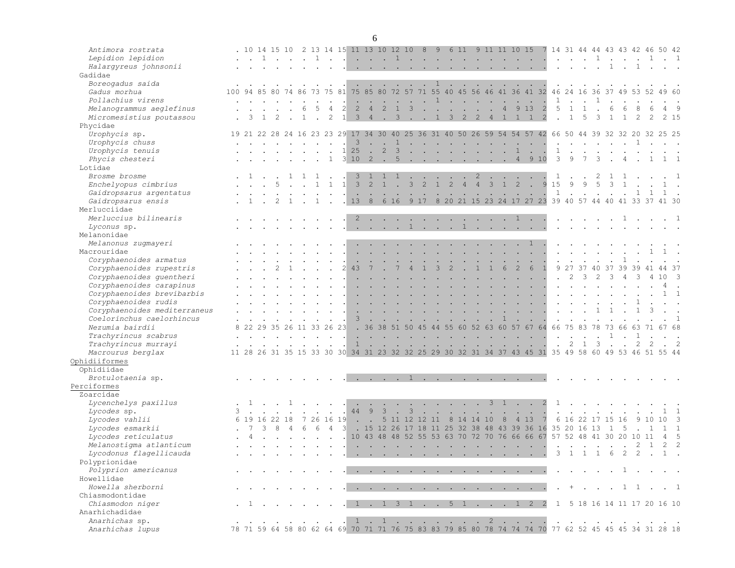| Antimora rostrata            |                                                                                                        |               |  |   |                                           |                |                         |                         | . 10 14 15 10 2 13 14 15 11 13 10 12 10 8                           |                         |                     |               |        |  |                                                                 | 9 6 11 9 11 11 10 15                                                                                                                                                                                                                                                                                                                                                                                                         |        |                             |                         |                |                                                                          |              |     |                |                                                                                         | 7 14 31 44 44 43 43 42 46 50 42 |                |               |
|------------------------------|--------------------------------------------------------------------------------------------------------|---------------|--|---|-------------------------------------------|----------------|-------------------------|-------------------------|---------------------------------------------------------------------|-------------------------|---------------------|---------------|--------|--|-----------------------------------------------------------------|------------------------------------------------------------------------------------------------------------------------------------------------------------------------------------------------------------------------------------------------------------------------------------------------------------------------------------------------------------------------------------------------------------------------------|--------|-----------------------------|-------------------------|----------------|--------------------------------------------------------------------------|--------------|-----|----------------|-----------------------------------------------------------------------------------------|---------------------------------|----------------|---------------|
| Lepidion lepidion            |                                                                                                        |               |  |   |                                           |                |                         |                         |                                                                     |                         |                     |               |        |  |                                                                 |                                                                                                                                                                                                                                                                                                                                                                                                                              |        |                             |                         |                |                                                                          |              |     |                |                                                                                         |                                 | $\cdot$ 1      |               |
| Halargyreus johnsonii        |                                                                                                        |               |  |   |                                           |                |                         |                         |                                                                     |                         |                     |               |        |  |                                                                 |                                                                                                                                                                                                                                                                                                                                                                                                                              |        |                             |                         |                |                                                                          |              |     |                |                                                                                         |                                 |                |               |
|                              |                                                                                                        |               |  |   |                                           |                |                         |                         |                                                                     |                         |                     |               |        |  |                                                                 |                                                                                                                                                                                                                                                                                                                                                                                                                              |        |                             |                         |                |                                                                          |              |     |                |                                                                                         |                                 |                |               |
| Gadidae                      |                                                                                                        |               |  |   |                                           |                |                         |                         |                                                                     |                         |                     |               |        |  |                                                                 |                                                                                                                                                                                                                                                                                                                                                                                                                              |        |                             |                         |                |                                                                          |              |     |                |                                                                                         |                                 |                |               |
| Boreogadus saida             |                                                                                                        |               |  |   |                                           |                |                         |                         |                                                                     |                         |                     |               |        |  | . 1                                                             |                                                                                                                                                                                                                                                                                                                                                                                                                              |        |                             |                         |                |                                                                          |              |     |                |                                                                                         |                                 |                |               |
| Gadus morhua                 | 100 94 85 80 74 86 73 75 81 75 85 80 72 57 71 55 40 45 56 46 41 36 41 32 46 24 16 36 37 49 53 52 49 60 |               |  |   |                                           |                |                         |                         |                                                                     |                         |                     |               |        |  |                                                                 |                                                                                                                                                                                                                                                                                                                                                                                                                              |        |                             |                         |                |                                                                          |              |     |                |                                                                                         |                                 |                |               |
| Pollachius virens            |                                                                                                        |               |  |   |                                           |                |                         |                         |                                                                     |                         |                     |               |        |  |                                                                 | $\cdots$ 1                                                                                                                                                                                                                                                                                                                                                                                                                   |        |                             | $\mathbf{1}$            |                | $\mathbf{r}$ , $\mathbf{r}$                                              | $\mathbf{1}$ |     |                |                                                                                         |                                 |                |               |
| Melanogrammus aeglefinus     |                                                                                                        |               |  | 6 |                                           | $\overline{4}$ |                         | 2                       | $\overline{4}$                                                      | 2                       | $\overline{1}$      | $\mathcal{S}$ | $\sim$ |  | $\mathbf{r}$ and $\mathbf{r}$ and $\mathbf{r}$ and $\mathbf{r}$ | $\overline{4}$                                                                                                                                                                                                                                                                                                                                                                                                               | 913    | $\overline{\phantom{0}}$ 2  | 5                       | $\mathbf{1}$   | 1                                                                        |              | 6   | 6              |                                                                                         | 6                               | 49             |               |
| Micromesistius poutassou     |                                                                                                        |               |  | 1 |                                           | 2              |                         |                         | $1 \quad 3 \quad 4$                                                 |                         | $\frac{3}{2}$ 1 3 2 |               |        |  |                                                                 | 2 4 1 1 1 2                                                                                                                                                                                                                                                                                                                                                                                                                  |        |                             |                         |                | $1\quad 5$                                                               | 3            |     | $\overline{1}$ |                                                                                         | $\mathcal{L}$                   | 2 15           |               |
| Phycidae                     |                                                                                                        |               |  |   |                                           |                |                         |                         |                                                                     |                         |                     |               |        |  |                                                                 |                                                                                                                                                                                                                                                                                                                                                                                                                              |        |                             |                         |                |                                                                          |              |     |                |                                                                                         |                                 |                |               |
| Urophycis sp.                |                                                                                                        |               |  |   |                                           |                |                         |                         |                                                                     |                         |                     |               |        |  |                                                                 | 19 21 22 28 24 16 23 23 29 17 34 30 40 25 36 31 40 50 26 59 54 54 57 42 66 50 44 39 32 32 20 32 25 25                                                                                                                                                                                                                                                                                                                        |        |                             |                         |                |                                                                          |              |     |                |                                                                                         |                                 |                |               |
| Urophycis chuss              |                                                                                                        |               |  |   |                                           |                |                         | $\overline{\mathbf{3}}$ |                                                                     | $\cdot$ $\cdot$ 1       |                     |               |        |  |                                                                 | the contract of the contract of the contract of the contract of the contract of the contract of the contract of                                                                                                                                                                                                                                                                                                              |        |                             |                         |                | $\mathbf{r}$ , $\mathbf{r}$ , $\mathbf{r}$ , $\mathbf{r}$ , $\mathbf{r}$ |              |     |                |                                                                                         |                                 |                |               |
| Urophycis tenuis             |                                                                                                        |               |  |   |                                           |                |                         | 1 25                    |                                                                     |                         |                     |               |        |  |                                                                 | . 2 3 1                                                                                                                                                                                                                                                                                                                                                                                                                      |        | $\mathcal{L} = \mathcal{L}$ | $\mathbf{1}$            |                | $\mathcal{A}=\mathcal{A}=\mathcal{A}=\mathcal{A}=\mathcal{A}$ .          |              |     |                |                                                                                         |                                 |                |               |
| Phycis chesteri              |                                                                                                        |               |  |   |                                           | $\mathbf{1}$   |                         |                         |                                                                     |                         |                     |               |        |  | $3102$ , $5$ ,                                                  |                                                                                                                                                                                                                                                                                                                                                                                                                              | 4 9 10 |                             | $\overline{\mathbf{3}}$ | $\overline{9}$ | $7\phantom{.0}$                                                          | 3            |     | $\overline{4}$ |                                                                                         |                                 | $1 \quad 1$    |               |
|                              |                                                                                                        |               |  |   |                                           |                |                         |                         |                                                                     |                         |                     |               |        |  |                                                                 |                                                                                                                                                                                                                                                                                                                                                                                                                              |        |                             |                         |                |                                                                          |              |     |                |                                                                                         |                                 |                |               |
| Lotidae                      |                                                                                                        |               |  |   |                                           |                |                         |                         |                                                                     |                         |                     |               |        |  |                                                                 |                                                                                                                                                                                                                                                                                                                                                                                                                              |        |                             |                         |                |                                                                          |              |     |                |                                                                                         |                                 |                |               |
| Brosme brosme                |                                                                                                        |               |  |   |                                           |                |                         |                         | $3 \t1 \t1 \t1 \t \t$                                               |                         |                     |               |        |  | $2$ .                                                           | and the state of the state of                                                                                                                                                                                                                                                                                                                                                                                                |        |                             | $\mathbf{1}$            |                | $\sim$ $\sim$ $\sim$                                                     | -2           | 1 1 |                |                                                                                         |                                 | $\sim$ 1       |               |
| Enchelyopus cimbrius         |                                                                                                        |               |  |   |                                           |                |                         |                         | $1 \quad 1 \quad 1 \quad 3 \quad 2 \quad 1 \quad . \quad 3 \quad 2$ |                         |                     |               |        |  | $1 \t2 \t4 \t4 \t3$                                             | $1 \quad 2$                                                                                                                                                                                                                                                                                                                                                                                                                  |        |                             |                         |                | 91599531                                                                 |              |     |                |                                                                                         |                                 |                |               |
| Gaidropsarus argentatus      |                                                                                                        |               |  |   |                                           |                |                         |                         |                                                                     |                         |                     |               |        |  |                                                                 | the contract of the contract of the contract of the contract of                                                                                                                                                                                                                                                                                                                                                              |        |                             |                         |                | 1.                                                                       |              |     |                | $1 \quad 1$                                                                             |                                 |                |               |
| Gaidropsarus ensis           |                                                                                                        |               |  |   |                                           |                |                         |                         |                                                                     |                         |                     |               |        |  |                                                                 | . 1 13 8 6 16 9 17 8 20 21 15 23 24 17 27 23 39 40 57 44 40 41 33 37 41 30                                                                                                                                                                                                                                                                                                                                                   |        |                             |                         |                |                                                                          |              |     |                |                                                                                         |                                 |                |               |
| Merlucciidae                 |                                                                                                        |               |  |   |                                           |                |                         |                         |                                                                     |                         |                     |               |        |  |                                                                 |                                                                                                                                                                                                                                                                                                                                                                                                                              |        |                             |                         |                |                                                                          |              |     |                |                                                                                         |                                 |                |               |
| Merluccius bilinearis        |                                                                                                        |               |  |   |                                           |                |                         |                         |                                                                     |                         |                     |               |        |  |                                                                 | 2. 1. .                                                                                                                                                                                                                                                                                                                                                                                                                      |        |                             |                         |                |                                                                          |              |     |                | . 1                                                                                     |                                 |                |               |
| Lyconus sp.                  |                                                                                                        |               |  |   |                                           |                |                         |                         |                                                                     |                         |                     |               |        |  |                                                                 | . 1 1                                                                                                                                                                                                                                                                                                                                                                                                                        |        |                             |                         |                | $\cdots$ $\cdots$                                                        |              |     |                |                                                                                         |                                 |                |               |
| Melanonidae                  |                                                                                                        |               |  |   |                                           |                |                         |                         |                                                                     |                         |                     |               |        |  |                                                                 |                                                                                                                                                                                                                                                                                                                                                                                                                              |        |                             |                         |                |                                                                          |              |     |                |                                                                                         |                                 |                |               |
| Melanonus zugmayeri          |                                                                                                        |               |  |   |                                           |                |                         |                         |                                                                     |                         |                     |               |        |  |                                                                 | . 1 .                                                                                                                                                                                                                                                                                                                                                                                                                        |        |                             |                         |                | the contract of the contract of the                                      |              |     |                |                                                                                         |                                 |                |               |
| Macrouridae                  |                                                                                                        |               |  |   |                                           |                |                         |                         |                                                                     |                         |                     |               |        |  |                                                                 |                                                                                                                                                                                                                                                                                                                                                                                                                              |        |                             |                         |                |                                                                          |              |     |                |                                                                                         |                                 | 1.             |               |
|                              |                                                                                                        |               |  |   |                                           |                |                         |                         |                                                                     |                         |                     |               |        |  |                                                                 | . The contract of the contract of the contract of the contract of the contract of $\mathcal{A}$                                                                                                                                                                                                                                                                                                                              |        |                             |                         |                |                                                                          |              |     |                |                                                                                         |                                 |                |               |
| Coryphaenoides armatus       |                                                                                                        |               |  |   |                                           |                |                         |                         |                                                                     |                         |                     |               |        |  |                                                                 | the contract of the contract of the contract of the contract of the contract of the contract of the contract of                                                                                                                                                                                                                                                                                                              |        |                             |                         |                | . 1                                                                      |              |     |                |                                                                                         |                                 |                |               |
| Coryphaenoides rupestris     |                                                                                                        |               |  |   | $\mathcal{L} = \mathcal{L} = \mathcal{L}$ |                |                         |                         |                                                                     |                         |                     |               |        |  |                                                                 | 2 43 7 . 7 4 1 3 2 . 1 1 6 2 6 1                                                                                                                                                                                                                                                                                                                                                                                             |        |                             |                         |                |                                                                          |              |     |                |                                                                                         | 9 27 37 40 37 39 39 41 44 37    |                |               |
| Coryphaenoides quentheri     |                                                                                                        |               |  |   |                                           |                |                         |                         |                                                                     |                         |                     |               |        |  |                                                                 | the contract of the contract of the contract of the contract of the contract of the contract of the contract of                                                                                                                                                                                                                                                                                                              |        |                             |                         | $\cdot$ 2      | $\overline{\mathbf{3}}$                                                  | 2            |     |                |                                                                                         |                                 |                |               |
| Coryphaenoides carapinus     |                                                                                                        |               |  |   |                                           |                |                         |                         |                                                                     |                         |                     |               |        |  |                                                                 | and a series of the contract of the contract of the contract of the contract of the contract of the contract of                                                                                                                                                                                                                                                                                                              |        |                             |                         |                |                                                                          |              |     |                | $\mathbf{r}$ , $\mathbf{r}$ , $\mathbf{r}$ , $\mathbf{r}$ , $\mathbf{r}$ , $\mathbf{r}$ |                                 |                |               |
| Coryphaenoides brevibarbis   |                                                                                                        |               |  |   |                                           |                |                         |                         |                                                                     |                         |                     |               |        |  |                                                                 | $\mathbf{r} = \mathbf{r} + \mathbf{r} + \mathbf{r} + \mathbf{r} + \mathbf{r} + \mathbf{r} + \mathbf{r} + \mathbf{r} + \mathbf{r} + \mathbf{r} + \mathbf{r} + \mathbf{r} + \mathbf{r} + \mathbf{r} + \mathbf{r} + \mathbf{r} + \mathbf{r} + \mathbf{r} + \mathbf{r} + \mathbf{r} + \mathbf{r} + \mathbf{r} + \mathbf{r} + \mathbf{r} + \mathbf{r} + \mathbf{r} + \mathbf{r} + \mathbf{r} + \mathbf{r} + \mathbf{r} + \mathbf$ |        |                             |                         |                |                                                                          |              |     |                | $\mathbf{r}$ , and $\mathbf{r}$ , and $\mathbf{r}$ , and $\mathbf{r}$                   |                                 |                |               |
| Coryphaenoides rudis         |                                                                                                        |               |  |   |                                           |                |                         |                         |                                                                     |                         |                     |               |        |  |                                                                 | and a series of the contract of the contract of the contract of the contract of the contract of the contract of                                                                                                                                                                                                                                                                                                              |        |                             |                         |                |                                                                          |              |     |                | . 1 .                                                                                   |                                 |                |               |
| Coryphaenoides mediterraneus |                                                                                                        |               |  |   |                                           |                |                         |                         |                                                                     |                         |                     |               |        |  |                                                                 |                                                                                                                                                                                                                                                                                                                                                                                                                              |        |                             |                         |                | $\cdot$ $\cdot$ $\cdot$ $\cdot$ 1 1                                      |              |     |                |                                                                                         |                                 |                |               |
| Coelorinchus caelorhincus    |                                                                                                        |               |  |   |                                           | $\sim$         |                         |                         |                                                                     |                         |                     |               |        |  |                                                                 | 3 1                                                                                                                                                                                                                                                                                                                                                                                                                          |        |                             |                         |                | $\mathcal{L}^{\text{max}}$ , and $\mathcal{L}^{\text{max}}$              |              |     |                |                                                                                         |                                 |                |               |
| Nezumia bairdii              |                                                                                                        |               |  |   |                                           |                |                         |                         |                                                                     |                         |                     |               |        |  |                                                                 | 29 35 26 11 33 26 23 , 36 38 51 50 45 44 55 60 52 63 60 57 67 64 66 75 83 78 73 66 63 71 67 68                                                                                                                                                                                                                                                                                                                               |        |                             |                         |                |                                                                          |              |     |                |                                                                                         |                                 |                |               |
| Trachyrincus scabrus         |                                                                                                        |               |  |   |                                           |                |                         |                         |                                                                     |                         |                     |               |        |  |                                                                 |                                                                                                                                                                                                                                                                                                                                                                                                                              |        |                             |                         |                |                                                                          |              |     |                |                                                                                         |                                 |                |               |
|                              |                                                                                                        |               |  |   |                                           |                |                         |                         |                                                                     |                         |                     |               |        |  |                                                                 |                                                                                                                                                                                                                                                                                                                                                                                                                              |        |                             |                         |                | $2 \t1 \t3$                                                              |              |     |                | $2 \quad 2$                                                                             |                                 |                |               |
| Trachyrincus murrayi         |                                                                                                        |               |  |   |                                           |                |                         |                         |                                                                     |                         |                     |               |        |  |                                                                 |                                                                                                                                                                                                                                                                                                                                                                                                                              |        |                             | $\sim$ $\sim$           |                |                                                                          |              |     |                |                                                                                         |                                 |                |               |
| Macrourus berglax            |                                                                                                        |               |  |   |                                           |                |                         |                         |                                                                     |                         |                     |               |        |  |                                                                 | 11 28 26 31 35 15 33 30 30 34 31 23 32 32 25 29 30 32 31 34 37 43 45 31 35 49 58 60 49 53 46 51 55 44                                                                                                                                                                                                                                                                                                                        |        |                             |                         |                |                                                                          |              |     |                |                                                                                         |                                 |                |               |
| Ophidiiformes                |                                                                                                        |               |  |   |                                           |                |                         |                         |                                                                     |                         |                     |               |        |  |                                                                 |                                                                                                                                                                                                                                                                                                                                                                                                                              |        |                             |                         |                |                                                                          |              |     |                |                                                                                         |                                 |                |               |
| Ophidiidae                   |                                                                                                        |               |  |   |                                           |                |                         |                         |                                                                     |                         |                     |               |        |  |                                                                 |                                                                                                                                                                                                                                                                                                                                                                                                                              |        |                             |                         |                |                                                                          |              |     |                |                                                                                         |                                 |                |               |
| Brotulotaenia sp.            |                                                                                                        |               |  |   |                                           |                |                         |                         |                                                                     |                         |                     |               |        |  |                                                                 | . 1                                                                                                                                                                                                                                                                                                                                                                                                                          |        |                             |                         |                |                                                                          |              |     |                |                                                                                         |                                 |                |               |
| Perciformes                  |                                                                                                        |               |  |   |                                           |                |                         |                         |                                                                     |                         |                     |               |        |  |                                                                 |                                                                                                                                                                                                                                                                                                                                                                                                                              |        |                             |                         |                |                                                                          |              |     |                |                                                                                         |                                 |                |               |
| Zoarcidae                    |                                                                                                        |               |  |   |                                           |                |                         |                         |                                                                     |                         |                     |               |        |  |                                                                 |                                                                                                                                                                                                                                                                                                                                                                                                                              |        |                             |                         |                |                                                                          |              |     |                |                                                                                         |                                 |                |               |
| Lycenchelys paxillus         |                                                                                                        |               |  |   |                                           |                |                         |                         |                                                                     |                         |                     |               |        |  |                                                                 | . 3 1 2                                                                                                                                                                                                                                                                                                                                                                                                                      |        |                             |                         |                |                                                                          |              |     |                | $1 \cdot \cdot \cdot \cdot \cdot \cdot \cdot \cdot$                                     |                                 |                |               |
| Lycodes sp.                  |                                                                                                        |               |  |   |                                           |                |                         |                         | 44 9                                                                | $\overline{\mathbf{3}}$ |                     | 3             |        |  |                                                                 | $\mathbf{r}$ , and $\mathbf{r}$ , and $\mathbf{r}$ , and $\mathbf{r}$                                                                                                                                                                                                                                                                                                                                                        |        |                             |                         |                | $\mathbf{r}$ , and $\mathbf{r}$ , and $\mathbf{r}$ , and $\mathbf{r}$    |              |     |                |                                                                                         |                                 |                |               |
| Lycodes vahlii               |                                                                                                        | 6 19 16 22 18 |  |   |                                           |                | 7 26 16 19              |                         |                                                                     |                         |                     |               |        |  |                                                                 | . . 5 11 12 12 11 8 14 14 10 8 4 13                                                                                                                                                                                                                                                                                                                                                                                          |        | $\overline{7}$              |                         |                | 6 16 22 17 15 16                                                         |              |     |                | 9 10                                                                                    |                                 |                |               |
| Lycodes esmarkii             |                                                                                                        |               |  | 6 |                                           | $\overline{4}$ | $\overline{\mathbf{3}}$ |                         |                                                                     |                         |                     |               |        |  |                                                                 | . 15 12 26 17 18 11 25 32 38 48 43 39 36 16 35 20 16 13                                                                                                                                                                                                                                                                                                                                                                      |        |                             |                         |                |                                                                          |              | 1 5 |                |                                                                                         |                                 |                |               |
| Lycodes reticulatus          |                                                                                                        |               |  |   |                                           |                |                         |                         |                                                                     |                         |                     |               |        |  |                                                                 | 10 43 48 48 52 55 53 63 70 72 70 76 66 66 67 57 52 48 41 30 20 10 11                                                                                                                                                                                                                                                                                                                                                         |        |                             |                         |                |                                                                          |              |     |                |                                                                                         |                                 |                |               |
|                              |                                                                                                        |               |  |   |                                           |                |                         |                         |                                                                     |                         |                     |               |        |  |                                                                 |                                                                                                                                                                                                                                                                                                                                                                                                                              |        |                             |                         |                |                                                                          |              |     |                |                                                                                         |                                 | $\overline{2}$ | $\mathcal{L}$ |
| Melanostigma atlanticum      |                                                                                                        |               |  |   |                                           |                |                         |                         |                                                                     |                         |                     |               |        |  |                                                                 | the second contract of the second contract of the second contract of the second contract of the second contract of the second contract of the second contract of the second contract of the second contract of the second cont                                                                                                                                                                                               |        |                             |                         |                | the contract of the contract of the                                      |              |     |                |                                                                                         |                                 |                |               |
| Lycodonus flagellicauda      |                                                                                                        |               |  |   |                                           |                |                         |                         |                                                                     |                         |                     |               |        |  |                                                                 | المناصر والمستحدث والمستحدث والمستحدث والمستحدث والمستحدث والمستحدث والمستحدث والمناصر والمستحدث والمستحدث                                                                                                                                                                                                                                                                                                                   |        |                             |                         |                | 3 1 1 1 6 2                                                              |              |     |                | 2                                                                                       | $\sim$                          | 1.             |               |
| Polyprionidae                |                                                                                                        |               |  |   |                                           |                |                         |                         |                                                                     |                         |                     |               |        |  |                                                                 |                                                                                                                                                                                                                                                                                                                                                                                                                              |        |                             |                         |                |                                                                          |              |     |                |                                                                                         |                                 |                |               |
| Polyprion americanus         |                                                                                                        |               |  |   |                                           |                |                         |                         |                                                                     |                         |                     |               |        |  |                                                                 |                                                                                                                                                                                                                                                                                                                                                                                                                              |        |                             |                         |                |                                                                          |              |     |                |                                                                                         |                                 |                |               |
| Howellidae                   |                                                                                                        |               |  |   |                                           |                |                         |                         |                                                                     |                         |                     |               |        |  |                                                                 |                                                                                                                                                                                                                                                                                                                                                                                                                              |        |                             |                         |                |                                                                          |              |     |                |                                                                                         |                                 |                |               |
| Howella sherborni            |                                                                                                        |               |  |   |                                           |                |                         |                         |                                                                     |                         |                     |               |        |  |                                                                 |                                                                                                                                                                                                                                                                                                                                                                                                                              |        |                             |                         |                |                                                                          |              |     |                |                                                                                         |                                 |                |               |
| Chiasmodontidae              |                                                                                                        |               |  |   |                                           |                |                         |                         |                                                                     |                         |                     |               |        |  |                                                                 |                                                                                                                                                                                                                                                                                                                                                                                                                              |        |                             |                         |                |                                                                          |              |     |                |                                                                                         |                                 |                |               |
| Chiasmodon niger             |                                                                                                        |               |  |   |                                           |                |                         |                         |                                                                     |                         |                     |               |        |  |                                                                 | . 1 1 3 1 5 1 1 2 2 1 5 18 16 14 11 17 20 16 10                                                                                                                                                                                                                                                                                                                                                                              |        |                             |                         |                |                                                                          |              |     |                |                                                                                         |                                 |                |               |
| Anarhichadidae               |                                                                                                        |               |  |   |                                           |                |                         |                         |                                                                     |                         |                     |               |        |  |                                                                 |                                                                                                                                                                                                                                                                                                                                                                                                                              |        |                             |                         |                |                                                                          |              |     |                |                                                                                         |                                 |                |               |
| Anarhichas sp.               |                                                                                                        |               |  |   |                                           |                |                         |                         |                                                                     |                         |                     |               |        |  |                                                                 |                                                                                                                                                                                                                                                                                                                                                                                                                              |        |                             |                         |                |                                                                          |              |     |                |                                                                                         |                                 |                |               |
|                              |                                                                                                        |               |  |   |                                           |                |                         |                         |                                                                     |                         |                     |               |        |  |                                                                 | 78 71 59 64 58 80 62 64 69 70 71 71 76 75 83 83 79 85 80 78 74 74 74 70 77 62 52 45 45 45 34 31 28 18                                                                                                                                                                                                                                                                                                                        |        |                             |                         |                |                                                                          |              |     |                |                                                                                         |                                 |                |               |
| Anarhichas lupus             |                                                                                                        |               |  |   |                                           |                |                         |                         |                                                                     |                         |                     |               |        |  |                                                                 |                                                                                                                                                                                                                                                                                                                                                                                                                              |        |                             |                         |                |                                                                          |              |     |                |                                                                                         |                                 |                |               |

6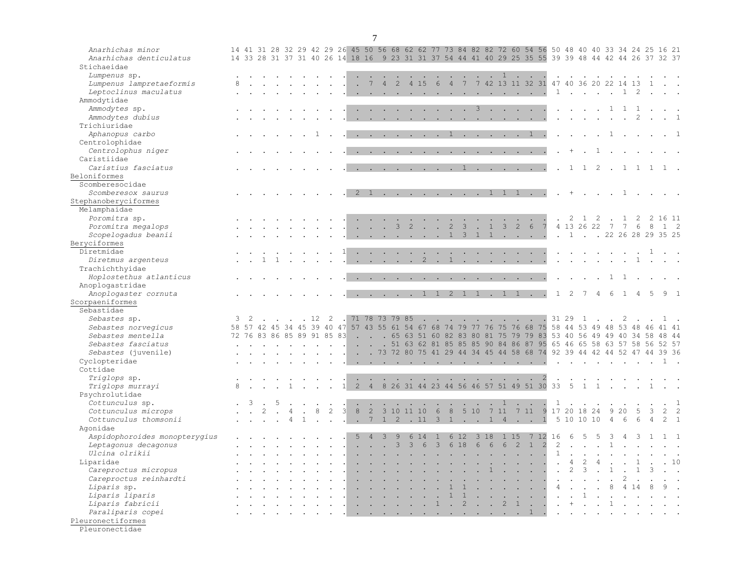| Anarhichas minor<br>Anarhichas denticulatus<br>Stichaeidae |   |   |   |                            |              |             |                |      |                      |                                                                                                                                                                                                                                                                                                                                                                                                                                                                                                              |                      |                         |                                              |                 |                |                |               |                          |                 |                                                                             |                            |                                                |                |                      |                |                |                            |                            |                             |                  |                | 14 41 31 28 32 29 42 29 26 45 50 56 68 62 62 77 73 84 82 82 72 60 54 56 50 48 40 40 33 34 24 25 16 21<br>14 33 28 31 37 31 40 26 14 18 16 9 23 31 31 37 54 44 41 40 29 25 35 55 39 39 48 44 42 44 26 37 32 37 |              |
|------------------------------------------------------------|---|---|---|----------------------------|--------------|-------------|----------------|------|----------------------|--------------------------------------------------------------------------------------------------------------------------------------------------------------------------------------------------------------------------------------------------------------------------------------------------------------------------------------------------------------------------------------------------------------------------------------------------------------------------------------------------------------|----------------------|-------------------------|----------------------------------------------|-----------------|----------------|----------------|---------------|--------------------------|-----------------|-----------------------------------------------------------------------------|----------------------------|------------------------------------------------|----------------|----------------------|----------------|----------------|----------------------------|----------------------------|-----------------------------|------------------|----------------|---------------------------------------------------------------------------------------------------------------------------------------------------------------------------------------------------------------|--------------|
| Lumpenus sp.<br>Lumpenus lampretaeformis                   |   |   |   |                            |              |             |                |      |                      | $7^{\circ}$                                                                                                                                                                                                                                                                                                                                                                                                                                                                                                  | $\overline{4}$       | $\overline{2}$          |                                              | 4 15            |                |                |               |                          |                 | $\cdots$ $\cdots$ $\cdots$<br>6 4 7 7 42 13 11 32 31 47 40 36 20 22 14 13 1 |                            | $\sim$                                         |                |                      | $\sim$         | $\sim$         |                            |                            |                             |                  |                |                                                                                                                                                                                                               |              |
| Leptoclinus maculatus<br>Ammodytidae                       |   |   |   |                            |              |             |                |      |                      |                                                                                                                                                                                                                                                                                                                                                                                                                                                                                                              |                      |                         | and a state of the state of the state of the |                 |                |                |               |                          |                 |                                                                             |                            |                                                |                | $\mathbf{1}$         |                |                |                            | $\ldots$ $\ldots$ $\ldots$ |                             | $\overline{2}$   |                |                                                                                                                                                                                                               |              |
| Ammodytes sp.                                              |   |   |   |                            |              |             |                |      |                      |                                                                                                                                                                                                                                                                                                                                                                                                                                                                                                              |                      |                         |                                              |                 |                |                |               | 3                        |                 |                                                                             |                            |                                                |                |                      | $\sim$         |                |                            | $\mathbf{1}$               | $\mathbf{1}$                | 1                |                |                                                                                                                                                                                                               |              |
| Ammodytes dubius                                           |   |   |   |                            |              |             |                |      |                      |                                                                                                                                                                                                                                                                                                                                                                                                                                                                                                              |                      |                         |                                              |                 |                |                |               |                          |                 |                                                                             |                            |                                                |                |                      |                |                |                            |                            |                             |                  |                |                                                                                                                                                                                                               | $\mathbf{1}$ |
| Trichiuridae                                               |   |   |   |                            |              |             |                |      |                      |                                                                                                                                                                                                                                                                                                                                                                                                                                                                                                              |                      |                         |                                              |                 |                |                |               |                          |                 |                                                                             |                            |                                                |                |                      |                |                |                            |                            |                             |                  |                |                                                                                                                                                                                                               |              |
| Aphanopus carbo                                            |   |   |   |                            |              |             |                |      | $\ddot{\phantom{a}}$ | $\sim$                                                                                                                                                                                                                                                                                                                                                                                                                                                                                                       |                      | $\sim 100$ km s $^{-1}$ | $\sim$ $\sim$                                | $\sim$          | $\sim$         | $\mathbf{1}$   | $\sim$        | <b>Contract Contract</b> |                 | $\sim$                                                                      | $\sim$                     | $\mathbf{1}$                                   |                |                      | $\sim$         |                |                            |                            |                             |                  |                | $\cdot$ 1                                                                                                                                                                                                     |              |
| Centrolophidae                                             |   |   |   |                            |              |             |                |      |                      |                                                                                                                                                                                                                                                                                                                                                                                                                                                                                                              |                      |                         |                                              |                 |                |                |               |                          |                 |                                                                             |                            |                                                |                |                      |                |                |                            |                            |                             |                  |                |                                                                                                                                                                                                               |              |
| Centrolophus niger                                         |   |   |   |                            |              |             |                |      |                      |                                                                                                                                                                                                                                                                                                                                                                                                                                                                                                              |                      |                         |                                              |                 |                |                |               |                          |                 |                                                                             |                            |                                                |                |                      |                |                | $\mathbf{1}$               |                            |                             |                  |                |                                                                                                                                                                                                               |              |
| Caristiidae                                                |   |   |   |                            |              |             |                |      |                      |                                                                                                                                                                                                                                                                                                                                                                                                                                                                                                              |                      |                         |                                              |                 |                |                |               |                          |                 |                                                                             |                            |                                                |                |                      |                |                |                            |                            |                             |                  |                |                                                                                                                                                                                                               |              |
| Caristius fasciatus                                        |   |   |   |                            |              |             |                |      |                      | . <u>.</u> 1                                                                                                                                                                                                                                                                                                                                                                                                                                                                                                 |                      |                         |                                              |                 |                |                |               |                          |                 | and the contract of the contract of                                         |                            |                                                |                |                      | $\mathbf{1}$   |                | $1 \quad 2$                |                            | $\mathbf{1}$                | 1 1              |                | $1$ .                                                                                                                                                                                                         |              |
| Beloniformes                                               |   |   |   |                            |              |             |                |      |                      |                                                                                                                                                                                                                                                                                                                                                                                                                                                                                                              |                      |                         |                                              |                 |                |                |               |                          |                 |                                                                             |                            |                                                |                |                      |                |                |                            |                            |                             |                  |                |                                                                                                                                                                                                               |              |
| Scomberesocidae                                            |   |   |   |                            |              |             |                |      |                      |                                                                                                                                                                                                                                                                                                                                                                                                                                                                                                              |                      |                         |                                              |                 |                |                |               |                          |                 |                                                                             |                            |                                                |                |                      |                |                |                            |                            |                             |                  |                |                                                                                                                                                                                                               |              |
| Scomberesox saurus                                         |   |   |   |                            |              |             |                |      |                      | 2 1                                                                                                                                                                                                                                                                                                                                                                                                                                                                                                          |                      |                         |                                              |                 |                |                |               |                          | 1               | 1                                                                           | 1                          | $\sim$                                         |                |                      | $^{+}$         |                |                            |                            | 1                           |                  |                |                                                                                                                                                                                                               |              |
| Stephanoberyciformes                                       |   |   |   |                            |              |             |                |      |                      |                                                                                                                                                                                                                                                                                                                                                                                                                                                                                                              |                      |                         |                                              |                 |                |                |               |                          |                 |                                                                             |                            |                                                |                |                      |                |                |                            |                            |                             |                  |                |                                                                                                                                                                                                               |              |
| Melamphaidae                                               |   |   |   |                            |              |             |                |      |                      |                                                                                                                                                                                                                                                                                                                                                                                                                                                                                                              |                      |                         |                                              |                 |                |                |               |                          |                 |                                                                             |                            |                                                |                |                      |                |                |                            |                            |                             |                  |                |                                                                                                                                                                                                               |              |
| Poromitra sp.                                              |   |   |   |                            |              |             |                |      |                      |                                                                                                                                                                                                                                                                                                                                                                                                                                                                                                              |                      |                         |                                              |                 |                |                |               |                          |                 |                                                                             |                            |                                                |                |                      | 2              | $\overline{1}$ | $\overline{\phantom{0}}^2$ |                            | $\mathbf{1}$                | 2                |                | 2 16 11                                                                                                                                                                                                       |              |
| Poromitra megalops                                         |   |   |   |                            |              |             |                |      |                      |                                                                                                                                                                                                                                                                                                                                                                                                                                                                                                              | $\ddot{\phantom{a}}$ | $\mathcal{E}$           | 2                                            | n.              |                | $\overline{2}$ | $\mathcal{S}$ |                          | $\mathbf{1}$    |                                                                             | $3 \quad 2 \quad 6$        |                                                | 7              |                      |                | 4 13 26 22 7   |                            |                            | $\overline{7}$              | $6\phantom{.}6$  | 8              | 1 2                                                                                                                                                                                                           |              |
| Scopelogadus beanii                                        |   |   |   |                            |              |             |                |      |                      |                                                                                                                                                                                                                                                                                                                                                                                                                                                                                                              |                      |                         |                                              |                 |                | $\mathbf{1}$   | $\mathbf{3}$  | $\mathbf{1}$             | $\mathbf{1}$    |                                                                             |                            |                                                |                |                      | $\cdot$ 1.     |                |                            |                            |                             |                  |                | . 22 26 28 29 35 25                                                                                                                                                                                           |              |
| Beryciformes                                               |   |   |   |                            |              |             |                |      |                      |                                                                                                                                                                                                                                                                                                                                                                                                                                                                                                              |                      |                         |                                              |                 |                |                |               |                          |                 |                                                                             |                            |                                                |                |                      |                |                |                            |                            |                             |                  |                |                                                                                                                                                                                                               |              |
| Diretmidae                                                 |   |   |   |                            |              |             |                |      |                      |                                                                                                                                                                                                                                                                                                                                                                                                                                                                                                              |                      |                         |                                              |                 |                |                |               |                          |                 |                                                                             |                            |                                                |                |                      |                |                |                            |                            |                             |                  | 1              |                                                                                                                                                                                                               |              |
| Diretmus argenteus                                         |   |   |   |                            |              |             |                |      |                      |                                                                                                                                                                                                                                                                                                                                                                                                                                                                                                              |                      |                         |                                              | 2               |                |                |               |                          |                 |                                                                             |                            |                                                |                |                      |                |                |                            |                            |                             | 1                |                |                                                                                                                                                                                                               |              |
| Trachichthyidae                                            |   |   |   |                            |              |             |                |      |                      |                                                                                                                                                                                                                                                                                                                                                                                                                                                                                                              |                      |                         |                                              |                 |                |                |               |                          |                 |                                                                             |                            |                                                |                |                      |                |                |                            |                            |                             |                  |                |                                                                                                                                                                                                               |              |
| Hoplostethus atlanticus                                    |   |   |   |                            |              |             |                |      |                      | $\mathbf{1} \qquad \mathbf{1} \qquad \mathbf{1} \qquad \mathbf{1} \qquad \mathbf{1} \qquad \mathbf{1} \qquad \mathbf{1} \qquad \mathbf{1} \qquad \mathbf{1} \qquad \mathbf{1} \qquad \mathbf{1} \qquad \mathbf{1} \qquad \mathbf{1} \qquad \mathbf{1} \qquad \mathbf{1} \qquad \mathbf{1} \qquad \mathbf{1} \qquad \mathbf{1} \qquad \mathbf{1} \qquad \mathbf{1} \qquad \mathbf{1} \qquad \mathbf{1} \qquad \mathbf{1} \qquad \mathbf{1} \qquad \mathbf{$                                                   |                      |                         |                                              |                 |                |                |               |                          |                 |                                                                             |                            | $\mathbf{L} = \mathbf{L}$                      |                |                      |                |                |                            |                            |                             |                  |                |                                                                                                                                                                                                               |              |
| Anoplogastridae                                            |   |   |   |                            |              |             |                |      |                      |                                                                                                                                                                                                                                                                                                                                                                                                                                                                                                              |                      |                         |                                              |                 |                |                |               |                          |                 |                                                                             |                            |                                                |                |                      |                |                |                            |                            |                             |                  |                |                                                                                                                                                                                                               |              |
| Anoplogaster cornuta                                       |   |   |   |                            |              |             |                |      |                      | . 1 1                                                                                                                                                                                                                                                                                                                                                                                                                                                                                                        |                      |                         |                                              |                 |                |                | $2 \quad 1$   | $\overline{1}$           |                 | $\cdot$ 1 1 $\cdot$                                                         |                            |                                                |                | $\mathbf{1}$         | $\mathcal{L}$  |                | $\overline{4}$             | 6                          |                             |                  | 5              | $9 \quad 1$                                                                                                                                                                                                   |              |
| Scorpaeniformes                                            |   |   |   |                            |              |             |                |      |                      |                                                                                                                                                                                                                                                                                                                                                                                                                                                                                                              |                      |                         |                                              |                 |                |                |               |                          |                 |                                                                             |                            |                                                |                |                      |                |                |                            |                            |                             |                  |                |                                                                                                                                                                                                               |              |
| Sebastidae                                                 |   |   |   |                            |              |             |                |      |                      |                                                                                                                                                                                                                                                                                                                                                                                                                                                                                                              |                      |                         |                                              |                 |                |                |               |                          |                 |                                                                             |                            |                                                |                |                      |                |                |                            |                            |                             |                  |                |                                                                                                                                                                                                               |              |
| Sebastes sp.                                               | 3 | 2 |   |                            |              | . 12        | $\overline{2}$ |      |                      | 71 78 73 79 85                                                                                                                                                                                                                                                                                                                                                                                                                                                                                               |                      |                         |                                              | $\sim$          | $\sim$ $\sim$  | $\sim$         | $\sim$        | $\sim$                   | $\sim$ $\sim$   | $\sim$ $\sim$                                                               |                            | $\ddot{\phantom{a}}$                           |                |                      | 31 29          | $\overline{1}$ |                            |                            | 2                           |                  |                |                                                                                                                                                                                                               |              |
| Sebastes norvegicus                                        |   |   |   | 58 57 42 45 34             |              | 45 39 40 47 |                |      |                      |                                                                                                                                                                                                                                                                                                                                                                                                                                                                                                              |                      |                         |                                              |                 |                |                |               |                          |                 |                                                                             |                            |                                                |                |                      |                |                |                            |                            |                             |                  |                | 57 43 55 61 54 67 68 74 79 77 76 75 76 68 75 58 44 53 49 48 53 48 46 41 41                                                                                                                                    |              |
| Sebastes mentella                                          |   |   |   | 72 76 83 86 85 89 91 85 83 |              |             |                |      |                      |                                                                                                                                                                                                                                                                                                                                                                                                                                                                                                              |                      |                         |                                              |                 |                |                |               |                          |                 |                                                                             |                            |                                                |                |                      |                |                |                            |                            |                             |                  |                | . 65 63 51 60 82 83 80 81 75 79 79 83 53 40 56 49 49 40 34 58 48 44                                                                                                                                           |              |
| Sebastes fasciatus                                         |   |   |   |                            |              |             |                |      |                      |                                                                                                                                                                                                                                                                                                                                                                                                                                                                                                              |                      |                         |                                              |                 |                |                |               |                          |                 |                                                                             |                            |                                                |                |                      |                |                |                            |                            |                             |                  |                | . 51 63 62 81 85 85 85 90 84 86 87 95 65 46 65 58 63 57 58 56 52 57                                                                                                                                           |              |
| Sebastes (juvenile)                                        |   |   |   |                            |              |             |                |      |                      |                                                                                                                                                                                                                                                                                                                                                                                                                                                                                                              |                      |                         |                                              |                 |                |                |               |                          |                 |                                                                             |                            |                                                |                |                      |                |                |                            |                            |                             |                  |                | . . 73 72 80 75 41 29 44 34 45 44 58 68 74 92 39 44 42 44 52 47 44 39 36                                                                                                                                      |              |
| Cyclopteridae                                              |   |   |   |                            |              |             |                |      |                      | $\mathbf{r} = \mathbf{r} \times \mathbf{r} \times \mathbf{r} \times \mathbf{r} \times \mathbf{r} \times \mathbf{r} \times \mathbf{r} \times \mathbf{r} \times \mathbf{r} \times \mathbf{r} \times \mathbf{r} \times \mathbf{r} \times \mathbf{r} \times \mathbf{r} \times \mathbf{r} \times \mathbf{r} \times \mathbf{r} \times \mathbf{r} \times \mathbf{r} \times \mathbf{r} \times \mathbf{r} \times \mathbf{r} \times \mathbf{r} \times \mathbf{r} \times \mathbf{r} \times \mathbf{r} \times \mathbf{r$ |                      |                         |                                              |                 |                |                |               |                          |                 |                                                                             |                            |                                                |                | $\ddot{\phantom{a}}$ | $\sim$         |                | $\sim$                     | $\sim$                     |                             |                  |                |                                                                                                                                                                                                               |              |
| Cottidae                                                   |   |   |   |                            |              |             |                |      |                      |                                                                                                                                                                                                                                                                                                                                                                                                                                                                                                              |                      |                         |                                              |                 |                |                |               |                          |                 |                                                                             |                            |                                                |                |                      |                |                |                            |                            |                             |                  |                |                                                                                                                                                                                                               |              |
| Triglops sp.                                               |   |   |   |                            |              |             |                |      |                      |                                                                                                                                                                                                                                                                                                                                                                                                                                                                                                              |                      |                         |                                              | - 20            | - 11           |                | $\sim$ $\sim$ |                          |                 | <b>Contract Contract Contract</b>                                           |                            | $\sim$                                         | $\overline{2}$ |                      | $\sim$         |                |                            |                            |                             |                  |                |                                                                                                                                                                                                               |              |
| Triglops murrayi                                           |   |   |   |                            |              |             |                |      | 2                    | $\overline{4}$                                                                                                                                                                                                                                                                                                                                                                                                                                                                                               |                      |                         | 8 26 31 44 23 44 56 46 57 51 49 51 30 33     |                 |                |                |               |                          |                 |                                                                             |                            |                                                |                |                      | 5              | $\mathbf{1}$   | $\mathbf{1}$               |                            | $\mathcal{L} = \mathcal{L}$ |                  |                |                                                                                                                                                                                                               |              |
| Psychrolutidae                                             |   |   |   |                            |              |             |                |      |                      |                                                                                                                                                                                                                                                                                                                                                                                                                                                                                                              |                      |                         |                                              |                 |                |                |               |                          |                 |                                                                             |                            |                                                |                |                      |                |                |                            |                            |                             |                  |                |                                                                                                                                                                                                               |              |
| Cottunculus sp.                                            |   | 3 | 5 |                            |              |             |                |      |                      |                                                                                                                                                                                                                                                                                                                                                                                                                                                                                                              |                      |                         |                                              |                 |                |                |               |                          | na.             | 1                                                                           |                            | n.                                             |                | 1                    |                |                |                            |                            |                             |                  |                |                                                                                                                                                                                                               |              |
| Cottunculus microps                                        |   |   |   |                            |              |             | $\overline{c}$ | 3    | $\,8\,$              | $\overline{2}$                                                                                                                                                                                                                                                                                                                                                                                                                                                                                               |                      |                         | 3 10 11 10                                   |                 |                |                |               |                          |                 | 6 8 5 10 7 11 7 11                                                          |                            |                                                | 9              |                      |                | 17 20 18 24    |                            | 9                          | 20                          |                  | 3              | $\overline{2}$                                                                                                                                                                                                |              |
| Cottunculus thomsonii                                      |   |   |   | $\overline{4}$             | $\mathbf{1}$ |             | a.             | - 11 |                      | 1 7 1 2 11 3 1 1 1 4 1                                                                                                                                                                                                                                                                                                                                                                                                                                                                                       |                      |                         |                                              |                 |                |                |               |                          |                 |                                                                             |                            |                                                | $\mathbf{1}$   |                      |                | 5 10 10 10     |                            | $\overline{4}$             | $6\overline{6}$             | $6 \overline{6}$ | $\overline{4}$ | 2 <sub>1</sub>                                                                                                                                                                                                |              |
| Agonidae                                                   |   |   |   |                            |              |             |                |      |                      |                                                                                                                                                                                                                                                                                                                                                                                                                                                                                                              |                      |                         |                                              |                 |                |                |               |                          |                 |                                                                             |                            |                                                |                |                      |                |                |                            |                            |                             |                  |                |                                                                                                                                                                                                               |              |
| Aspidophoroides monopterygius                              |   |   |   |                            |              |             |                |      | 5                    | $\overline{4}$                                                                                                                                                                                                                                                                                                                                                                                                                                                                                               | 3                    | 9                       |                                              | 6 14            | 1              |                | 6 12          | 318                      |                 | 1 15                                                                        |                            |                                                | 7 12 16        |                      | 6              | .5             |                            |                            |                             |                  |                |                                                                                                                                                                                                               |              |
| Leptagonus decagonus                                       |   |   |   |                            |              |             |                |      |                      |                                                                                                                                                                                                                                                                                                                                                                                                                                                                                                              | $\ddot{\phantom{a}}$ | $\mathbf{3}$            |                                              | $3\overline{6}$ | 3 <sup>1</sup> |                | 6 18          | $6\overline{6}$          | $6\overline{6}$ | 6                                                                           | $\overline{\phantom{0}}^2$ | $\overline{1}$                                 | $\overline{2}$ | $\overline{2}$       | $\sim$         | $\sim$         | $\sim$                     |                            |                             |                  |                |                                                                                                                                                                                                               |              |
| Ulcina olrikii                                             |   |   |   |                            |              |             |                |      |                      |                                                                                                                                                                                                                                                                                                                                                                                                                                                                                                              |                      |                         |                                              |                 |                |                |               |                          |                 |                                                                             |                            | $\mathbf{A}$                                   |                | 1                    | $\sim$         |                |                            |                            |                             |                  |                |                                                                                                                                                                                                               |              |
| Liparidae                                                  |   |   |   |                            |              |             |                |      |                      |                                                                                                                                                                                                                                                                                                                                                                                                                                                                                                              |                      |                         |                                              |                 |                |                |               |                          |                 |                                                                             |                            | $\sim$                                         |                | $\mathbb{R}^2$       | $\overline{4}$ | 2              |                            |                            |                             |                  |                |                                                                                                                                                                                                               |              |
| Careproctus micropus                                       |   |   |   |                            |              |             |                |      |                      |                                                                                                                                                                                                                                                                                                                                                                                                                                                                                                              |                      |                         |                                              | na l            |                | $\sim$         |               |                          | $\mathbf{1}$    |                                                                             |                            | $\mathbf{r} = \mathbf{r} + \mathbf{r}$         |                | $\mathbf{r}$         | 2              | $\mathbf{3}$   |                            | $\mathbf{1}$               |                             |                  |                |                                                                                                                                                                                                               |              |
| Careproctus reinhardti                                     |   |   |   |                            |              |             |                |      |                      |                                                                                                                                                                                                                                                                                                                                                                                                                                                                                                              |                      |                         |                                              |                 |                |                |               |                          |                 |                                                                             |                            | $\sim$ $\sim$ $\sim$                           |                | $\ddot{\phantom{a}}$ | $\sim$         |                |                            | $\mathbb{Z}$               | $\overline{c}$              |                  |                |                                                                                                                                                                                                               |              |
| Liparis sp.                                                |   |   |   |                            |              |             |                |      |                      |                                                                                                                                                                                                                                                                                                                                                                                                                                                                                                              |                      |                         |                                              |                 |                |                |               |                          | $\mathbf{r}$    |                                                                             |                            | $\mathbf{L}$ and $\mathbf{L}$ and $\mathbf{L}$ |                | $\overline{4}$       | $\sim$ $\sim$  | $\sim$         | $\sim$                     | 8                          | $\overline{4}$              |                  |                |                                                                                                                                                                                                               |              |
| Liparis liparis                                            |   |   |   |                            |              |             |                |      |                      |                                                                                                                                                                                                                                                                                                                                                                                                                                                                                                              |                      |                         |                                              |                 |                | $\mathbf{1}$   | $\mathbf{1}$  |                          |                 | $\mathbf{r}$ . The set of $\mathbf{r}$                                      |                            |                                                |                | $\mathbf{r}$         |                |                |                            |                            |                             |                  |                |                                                                                                                                                                                                               |              |
| Liparis fabricii                                           |   |   |   |                            |              |             |                |      |                      |                                                                                                                                                                                                                                                                                                                                                                                                                                                                                                              |                      | $\ddot{\phantom{a}}$    | $\ddot{\phantom{a}}$                         | $\sim$ 10 $\pm$ | 1              |                | $\cdot$ 2     | $\sim$                   |                 | $\cdot$ 2 1                                                                 |                            | $\sim$                                         |                | $\sim$               | $+$            |                | $\sim$                     | $\mathbf{1}$               | $\sim$                      | $\sim$           |                |                                                                                                                                                                                                               |              |
| Paraliparis copei                                          |   |   |   |                            |              |             |                |      |                      | $\cdots$ . The set of the set of the set of the set of $\cdots$                                                                                                                                                                                                                                                                                                                                                                                                                                              |                      |                         |                                              |                 |                |                |               |                          |                 |                                                                             |                            |                                                |                |                      | $\mathbf{L}$   |                |                            |                            |                             |                  |                |                                                                                                                                                                                                               |              |
| Pleuronectiformes                                          |   |   |   |                            |              |             |                |      |                      |                                                                                                                                                                                                                                                                                                                                                                                                                                                                                                              |                      |                         |                                              |                 |                |                |               |                          |                 |                                                                             |                            |                                                |                |                      |                |                |                            |                            |                             |                  |                |                                                                                                                                                                                                               |              |
|                                                            |   |   |   |                            |              |             |                |      |                      |                                                                                                                                                                                                                                                                                                                                                                                                                                                                                                              |                      |                         |                                              |                 |                |                |               |                          |                 |                                                                             |                            |                                                |                |                      |                |                |                            |                            |                             |                  |                |                                                                                                                                                                                                               |              |

Pleuronectidae

7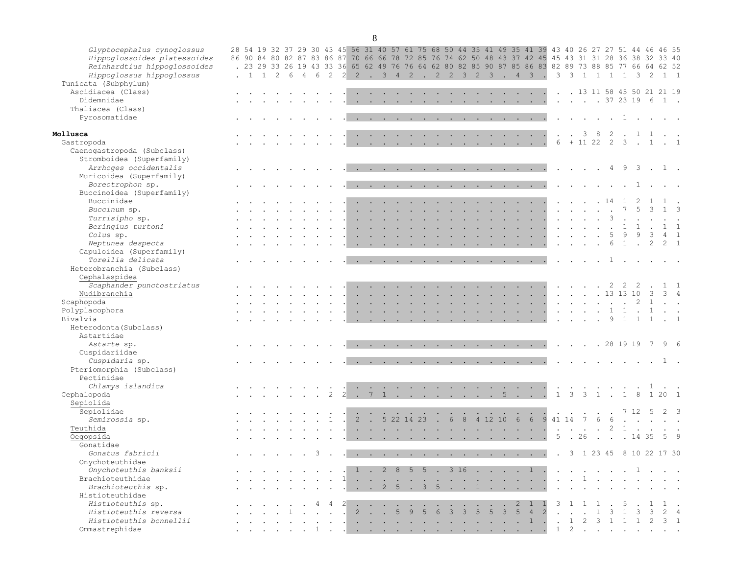| c.<br>٠<br>٦<br>×,<br>I<br>×<br>۰.<br>M.<br>۰. |
|------------------------------------------------|
|------------------------------------------------|

| Glyptocephalus cynoglossus<br>Hippoglossoides platessoides<br>Reinhardtius hippoglossoides<br>Hippoglossus hippoglossus | 86 90<br>$\cdot$ 1 1 | 2 | - 6 |               |                |                |                          |                            |                      |                             |                      | 28 54 19 32 37 29 30 43 45 56 31 40 57 61 75 68 50 44 35 41 49 35 41 39 43 40 26 27 27 51 44 46<br>84 80 82 87 83 86 87 70 66 66 78 72 85 76 74 62 50 48 43 37 42 45 45 43 31 31 28<br>. 23 29 33 26 19 43 33 36 65 62 49 76 76 64 62 80 82 85 90 87 85 86 83 82 89 73 88 85 77 66 64 62 52<br>4 6 2 2 2 . 3 4 2 . 2 2 3 2 3 . 4                                                                                                                                           |                |                                   | $\overline{\mathbf{3}}$                                                                    | <b>College</b>       | $\overline{\mathbf{3}}$                                 | $\mathcal{E}$                               | $\overline{1}$                                                           | $1 \t1 \t1$                       |     | $\mathcal{B}$                            | 36 38 32<br>$\mathcal{L}$                  | 46 55                                                                    | 33 40<br>$1 \quad 1$                  |
|-------------------------------------------------------------------------------------------------------------------------|----------------------|---|-----|---------------|----------------|----------------|--------------------------|----------------------------|----------------------|-----------------------------|----------------------|----------------------------------------------------------------------------------------------------------------------------------------------------------------------------------------------------------------------------------------------------------------------------------------------------------------------------------------------------------------------------------------------------------------------------------------------------------------------------|----------------|-----------------------------------|--------------------------------------------------------------------------------------------|----------------------|---------------------------------------------------------|---------------------------------------------|--------------------------------------------------------------------------|-----------------------------------|-----|------------------------------------------|--------------------------------------------|--------------------------------------------------------------------------|---------------------------------------|
| Tunicata (Subphylum)<br>Ascidiacea (Class)                                                                              |                      |   |     |               |                |                |                          |                            |                      |                             |                      |                                                                                                                                                                                                                                                                                                                                                                                                                                                                            |                |                                   | $\sim$ $\sim$ $\sim$ $\sim$ $\sim$                                                         |                      |                                                         |                                             |                                                                          |                                   |     |                                          |                                            | . 13 11 58 45 50 21 21 19                                                |                                       |
| Didemnidae                                                                                                              |                      |   |     |               |                |                |                          |                            |                      |                             |                      |                                                                                                                                                                                                                                                                                                                                                                                                                                                                            |                |                                   | $\mathcal{L}^{\mathcal{A}}$ . The contract of the $\mathcal{L}^{\mathcal{A}}$              |                      |                                                         |                                             |                                                                          |                                   |     |                                          | $\cdot$ $\cdot$ $\cdot$ $\cdot$ 37 23 19 6 |                                                                          | 1.                                    |
| Thaliacea (Class)                                                                                                       |                      |   |     |               |                |                |                          |                            |                      |                             |                      |                                                                                                                                                                                                                                                                                                                                                                                                                                                                            |                |                                   |                                                                                            |                      |                                                         |                                             |                                                                          |                                   |     |                                          |                                            |                                                                          |                                       |
| Pyrosomatidae                                                                                                           |                      |   |     |               |                |                |                          |                            |                      |                             |                      | the contract of the contract of the contract of the contract of the contract of the contract of the contract of                                                                                                                                                                                                                                                                                                                                                            |                |                                   |                                                                                            |                      |                                                         |                                             | . 1                                                                      |                                   |     |                                          |                                            |                                                                          |                                       |
| Mollusca                                                                                                                |                      |   |     |               |                |                |                          |                            |                      |                             |                      | the contract of the contract of the contract of the contract of the contract of the contract of the contract of                                                                                                                                                                                                                                                                                                                                                            |                | <b>Contract Contract Contract</b> |                                                                                            |                      |                                                         |                                             | . 38                                                                     | $\overline{2}$                    |     |                                          | 1 1                                        |                                                                          |                                       |
| Gastropoda                                                                                                              |                      |   |     |               |                |                |                          |                            |                      |                             |                      |                                                                                                                                                                                                                                                                                                                                                                                                                                                                            |                |                                   |                                                                                            |                      | 6                                                       |                                             | $+ 11 22 2 3$                                                            |                                   |     |                                          | $\cdot$ 1                                  |                                                                          |                                       |
| Caenogastropoda (Subclass)                                                                                              |                      |   |     |               |                |                |                          |                            |                      |                             |                      |                                                                                                                                                                                                                                                                                                                                                                                                                                                                            |                |                                   |                                                                                            |                      |                                                         |                                             |                                                                          |                                   |     |                                          |                                            |                                                                          |                                       |
| Stromboidea (Superfamily)                                                                                               |                      |   |     |               |                |                |                          |                            |                      |                             |                      |                                                                                                                                                                                                                                                                                                                                                                                                                                                                            |                |                                   |                                                                                            |                      |                                                         |                                             |                                                                          |                                   |     |                                          |                                            |                                                                          |                                       |
| Arrhoges occidentalis                                                                                                   |                      |   |     |               |                |                |                          |                            |                      |                             |                      |                                                                                                                                                                                                                                                                                                                                                                                                                                                                            |                |                                   |                                                                                            |                      |                                                         |                                             | $\cdot$ $\cdot$ $\cdot$ $\cdot$ 4                                        |                                   |     |                                          | $9 \quad 3 \quad .$                        |                                                                          | 1.                                    |
| Muricoidea (Superfamily)                                                                                                |                      |   |     |               |                |                |                          |                            |                      |                             |                      |                                                                                                                                                                                                                                                                                                                                                                                                                                                                            |                |                                   |                                                                                            |                      |                                                         |                                             |                                                                          |                                   |     |                                          |                                            |                                                                          |                                       |
| Boreotrophon sp.                                                                                                        |                      |   |     |               |                |                |                          |                            |                      |                             |                      | $\mathcal{A}$ . The contribution of the contribution of the contribution of the contribution of the contribution of the contribution of the contribution of the contribution of the contribution of the contribution of the contri                                                                                                                                                                                                                                         |                |                                   |                                                                                            |                      |                                                         |                                             | $\mathbf{r}$ , $\mathbf{r}$ , $\mathbf{r}$ , $\mathbf{r}$ , $\mathbf{r}$ |                                   |     |                                          | 1.                                         |                                                                          |                                       |
| Buccinoidea (Superfamily)                                                                                               |                      |   |     |               |                |                |                          |                            |                      |                             |                      |                                                                                                                                                                                                                                                                                                                                                                                                                                                                            |                |                                   |                                                                                            |                      |                                                         |                                             |                                                                          |                                   |     |                                          |                                            |                                                                          |                                       |
| Buccinidae                                                                                                              |                      |   |     |               |                |                |                          |                            | $\sim$               |                             |                      |                                                                                                                                                                                                                                                                                                                                                                                                                                                                            |                |                                   | the contract of the contract of                                                            |                      | $\sim$                                                  |                                             | . 14                                                                     |                                   |     |                                          |                                            |                                                                          |                                       |
| Buccinum sp.                                                                                                            |                      |   |     |               |                |                |                          |                            | $\ddot{\phantom{a}}$ | $\mathcal{L}_{\mathcal{A}}$ | $\ddot{\phantom{a}}$ | the company of the com-                                                                                                                                                                                                                                                                                                                                                                                                                                                    | <b>Service</b> |                                   | $\mathcal{L}^{\text{max}}$ and $\mathcal{L}^{\text{max}}$ . The $\mathcal{L}^{\text{max}}$ |                      | $\mathcal{L}(\mathbf{z})$ and $\mathcal{L}(\mathbf{z})$ |                                             | $\sim$                                                                   | $\sim$                            |     |                                          | $\mathbf{3}$                               |                                                                          | $1 \quad 3$                           |
| Turrisipho sp.                                                                                                          |                      |   |     |               |                |                |                          |                            |                      |                             | $\sim$               | <b>Contract Contract</b>                                                                                                                                                                                                                                                                                                                                                                                                                                                   | $\sim$         |                                   | <b><i>Contract Contract Artists</i></b>                                                    |                      | $\cdot$ $\cdot$                                         |                                             | $\sim$                                                                   |                                   |     |                                          |                                            |                                                                          |                                       |
| Beringius turtoni                                                                                                       |                      |   |     |               |                | $\sim$         |                          | the company of the company |                      |                             |                      | the contract of the contract of the contract of the contract of the contract of the contract of the contract of                                                                                                                                                                                                                                                                                                                                                            |                |                                   |                                                                                            |                      |                                                         |                                             | the contract of the contract of                                          |                                   |     |                                          |                                            |                                                                          |                                       |
| Colus sp.                                                                                                               |                      |   |     |               |                | $\sim$         |                          |                            |                      |                             |                      | $\mathbf{r}$ , and $\mathbf{r}$ , and $\mathbf{r}$ , and $\mathbf{r}$ , and $\mathbf{r}$                                                                                                                                                                                                                                                                                                                                                                                   |                |                                   |                                                                                            |                      |                                                         | <b>Contract Contract Street</b>             |                                                                          |                                   |     | 9<br>9                                   | $\overline{\mathbf{3}}$                    |                                                                          | $4 \quad 1$                           |
| Neptunea despecta                                                                                                       |                      |   |     |               |                |                |                          |                            |                      |                             |                      |                                                                                                                                                                                                                                                                                                                                                                                                                                                                            |                |                                   |                                                                                            |                      |                                                         | $\sim$ $\sim$ $\sim$                        |                                                                          |                                   | 6 1 | $\sim$                                   | 2                                          |                                                                          | $2 \quad 1$                           |
| Capuloidea (Superfamily)                                                                                                |                      |   |     |               |                |                |                          |                            |                      |                             |                      |                                                                                                                                                                                                                                                                                                                                                                                                                                                                            |                |                                   |                                                                                            |                      |                                                         |                                             |                                                                          |                                   |     |                                          |                                            |                                                                          |                                       |
| Torellia delicata                                                                                                       |                      |   |     |               |                |                |                          |                            |                      |                             |                      | $\mathbf{r} = \mathbf{r} - \mathbf{r}$ , and $\mathbf{r} = \mathbf{r} - \mathbf{r}$ , and $\mathbf{r} = \mathbf{r} - \mathbf{r}$ , and $\mathbf{r} = \mathbf{r} - \mathbf{r}$                                                                                                                                                                                                                                                                                              |                |                                   |                                                                                            |                      |                                                         |                                             |                                                                          |                                   |     |                                          |                                            |                                                                          |                                       |
| Heterobranchia (Subclass)                                                                                               |                      |   |     |               |                |                |                          |                            |                      |                             |                      |                                                                                                                                                                                                                                                                                                                                                                                                                                                                            |                |                                   |                                                                                            |                      |                                                         |                                             |                                                                          |                                   |     |                                          |                                            |                                                                          |                                       |
| Cephalaspidea                                                                                                           |                      |   |     |               |                |                |                          |                            |                      |                             |                      |                                                                                                                                                                                                                                                                                                                                                                                                                                                                            |                |                                   |                                                                                            |                      |                                                         |                                             |                                                                          |                                   |     |                                          |                                            |                                                                          |                                       |
| Scaphander punctostriatus                                                                                               |                      |   |     |               |                |                |                          |                            | $\sim$               | $\sim$ $\sim$               |                      | <b>Contract Contract Contract</b>                                                                                                                                                                                                                                                                                                                                                                                                                                          |                |                                   | the contract of the contract of the con-                                                   |                      |                                                         |                                             |                                                                          |                                   | -2  | $\overline{2}$<br>-2                     |                                            |                                                                          |                                       |
| Nudibranchia                                                                                                            |                      |   |     |               |                |                |                          | <b>Contract Contract</b>   |                      |                             |                      | $\mathbf{r}$ , and $\mathbf{r}$ , and $\mathbf{r}$ , and $\mathbf{r}$ , and $\mathbf{r}$                                                                                                                                                                                                                                                                                                                                                                                   |                |                                   |                                                                                            |                      |                                                         |                                             |                                                                          |                                   |     | $\cdot$ $\cdot$ $\cdot$ $\cdot$ 13 13 10 | $\overline{\mathbf{3}}$                    |                                                                          |                                       |
| Scaphopoda                                                                                                              |                      |   |     |               |                |                |                          |                            |                      |                             |                      | <b>Contract Contract Contract</b>                                                                                                                                                                                                                                                                                                                                                                                                                                          | $\sim$ $\sim$  |                                   | <b>Contract Contract Contract Contract</b>                                                 |                      |                                                         | <b>San Adams Strategies</b>                 |                                                                          | <b>Contract Contract Contract</b> |     |                                          | 2 1                                        |                                                                          |                                       |
| Polyplacophora<br>Bivalvia                                                                                              |                      |   |     |               |                |                | <b>Contract Contract</b> |                            | $\sim$               |                             |                      |                                                                                                                                                                                                                                                                                                                                                                                                                                                                            |                |                                   |                                                                                            |                      |                                                         |                                             | $\ldots$ $\ldots$ $\ldots$<br>$\cdot$ $\cdot$ $\cdot$ $\cdot$ 9 1        |                                   |     | $\mathbf{1}$<br>$\sim$<br>$\overline{1}$ |                                            |                                                                          | $\mathbf{L} = \mathbf{L}$<br>$\sim$ 1 |
| Heterodonta (Subclass)                                                                                                  |                      |   |     |               |                |                |                          |                            |                      |                             |                      | and a series of the series of the series of the series of the series of the series of the series of the series of the series of the series of the series of the series of the series of the series of the series of the series                                                                                                                                                                                                                                             |                |                                   |                                                                                            |                      |                                                         |                                             |                                                                          |                                   |     |                                          |                                            |                                                                          |                                       |
| Astartidae                                                                                                              |                      |   |     |               |                |                |                          |                            |                      |                             |                      |                                                                                                                                                                                                                                                                                                                                                                                                                                                                            |                |                                   |                                                                                            |                      |                                                         |                                             |                                                                          |                                   |     |                                          |                                            |                                                                          |                                       |
| Astarte sp.                                                                                                             |                      |   |     |               |                |                |                          |                            |                      |                             |                      | the contract of the contract of the contract of the contract of the contract of the contract of the contract of                                                                                                                                                                                                                                                                                                                                                            |                |                                   |                                                                                            |                      |                                                         |                                             |                                                                          |                                   |     | $\cdot$ $\cdot$ $\cdot$ 28 19 19         | $\overline{7}$                             |                                                                          | 9 6                                   |
| Cuspidariidae                                                                                                           |                      |   |     |               |                |                |                          |                            |                      |                             |                      |                                                                                                                                                                                                                                                                                                                                                                                                                                                                            |                |                                   |                                                                                            |                      |                                                         |                                             |                                                                          |                                   |     |                                          |                                            |                                                                          |                                       |
| Cuspidaria sp.                                                                                                          |                      |   |     |               |                |                |                          |                            |                      |                             |                      | the contract of the contract of the contract of the contract of the contract of the contract of the contract of                                                                                                                                                                                                                                                                                                                                                            |                |                                   |                                                                                            |                      |                                                         |                                             |                                                                          |                                   |     |                                          |                                            |                                                                          | 1.                                    |
| Pteriomorphia (Subclass)                                                                                                |                      |   |     |               |                |                |                          |                            |                      |                             |                      |                                                                                                                                                                                                                                                                                                                                                                                                                                                                            |                |                                   |                                                                                            |                      |                                                         |                                             |                                                                          |                                   |     |                                          |                                            |                                                                          |                                       |
| Pectinidae                                                                                                              |                      |   |     |               |                |                |                          |                            |                      |                             |                      |                                                                                                                                                                                                                                                                                                                                                                                                                                                                            |                |                                   |                                                                                            |                      |                                                         |                                             |                                                                          |                                   |     |                                          |                                            |                                                                          |                                       |
| Chlamys islandica                                                                                                       |                      |   |     |               |                |                |                          |                            |                      |                             |                      | the contract of the contract of the contract of the contract of the contract of                                                                                                                                                                                                                                                                                                                                                                                            |                |                                   |                                                                                            |                      |                                                         |                                             |                                                                          |                                   |     |                                          | 1                                          |                                                                          |                                       |
| Cephalopoda                                                                                                             |                      |   |     | $\sim$ $\sim$ | $\overline{2}$ |                |                          |                            |                      |                             |                      | 2. 7 1. 5. .                                                                                                                                                                                                                                                                                                                                                                                                                                                               |                |                                   |                                                                                            |                      | $\mathbf{1}$                                            | 3                                           | 3                                                                        | $\mathbf{1}$                      |     | $\mathbf{1}$<br>8                        |                                            | 1 20 1                                                                   |                                       |
| Sepiolida                                                                                                               |                      |   |     |               |                |                |                          |                            |                      |                             |                      |                                                                                                                                                                                                                                                                                                                                                                                                                                                                            |                |                                   |                                                                                            |                      |                                                         |                                             |                                                                          |                                   |     |                                          |                                            |                                                                          |                                       |
| Sepiolidae                                                                                                              |                      |   |     |               |                |                |                          |                            |                      |                             |                      |                                                                                                                                                                                                                                                                                                                                                                                                                                                                            |                |                                   |                                                                                            |                      |                                                         |                                             |                                                                          |                                   |     |                                          |                                            |                                                                          |                                       |
| Semirossia sp.                                                                                                          |                      |   |     |               |                | $\overline{2}$ |                          |                            | .5221423             |                             |                      | . 68                                                                                                                                                                                                                                                                                                                                                                                                                                                                       | 4 12 10        | $6\overline{6}$                   | 6 9 41 14                                                                                  |                      |                                                         |                                             | $7\phantom{.0}\phantom{.0}7$                                             | 6                                 |     |                                          |                                            | $\mathbf{r}$ , $\mathbf{r}$ , $\mathbf{r}$ , $\mathbf{r}$ , $\mathbf{r}$ |                                       |
| Teuthida                                                                                                                |                      |   |     |               |                |                |                          |                            |                      |                             |                      | the contract of the contract of the contract of the contract of the contract of the contract of the contract of                                                                                                                                                                                                                                                                                                                                                            |                |                                   | $\sim$ $\sim$ $\sim$ $\sim$ $\sim$                                                         | $\ddot{\phantom{a}}$ |                                                         |                                             |                                                                          |                                   |     |                                          |                                            | $1 \cdot \cdot \cdot \cdot \cdot$                                        |                                       |
| Oegopsida                                                                                                               |                      |   |     |               |                |                |                          |                            |                      |                             |                      | $\mathcal{L}^{\mathcal{A}}\left(\mathcal{A}^{\mathcal{A}}\right)=\mathcal{L}^{\mathcal{A}}\left(\mathcal{A}^{\mathcal{A}}\right)=\mathcal{L}^{\mathcal{A}}\left(\mathcal{A}^{\mathcal{A}}\right)=\mathcal{L}^{\mathcal{A}}\left(\mathcal{A}^{\mathcal{A}}\right)=\mathcal{L}^{\mathcal{A}}\left(\mathcal{A}^{\mathcal{A}}\right)=\mathcal{L}^{\mathcal{A}}\left(\mathcal{A}^{\mathcal{A}}\right)=\mathcal{L}^{\mathcal{A}}\left(\mathcal{A}^{\mathcal{A}}\right)=\mathcal$ |                |                                   |                                                                                            |                      | 5                                                       | 26                                          |                                                                          |                                   |     |                                          | . 14 35                                    |                                                                          |                                       |
| Gonatidae                                                                                                               |                      |   |     |               |                |                |                          |                            |                      |                             |                      |                                                                                                                                                                                                                                                                                                                                                                                                                                                                            |                |                                   |                                                                                            |                      |                                                         |                                             |                                                                          |                                   |     |                                          |                                            |                                                                          |                                       |
| Gonatus fabricii                                                                                                        |                      |   |     |               |                |                |                          |                            |                      |                             |                      |                                                                                                                                                                                                                                                                                                                                                                                                                                                                            |                |                                   |                                                                                            |                      |                                                         |                                             | $.3$ 1 23 45                                                             |                                   |     |                                          |                                            | 8 10 22 17 30                                                            |                                       |
| Onychoteuthidae                                                                                                         |                      |   |     |               |                |                |                          |                            |                      |                             |                      |                                                                                                                                                                                                                                                                                                                                                                                                                                                                            |                |                                   |                                                                                            |                      |                                                         |                                             |                                                                          |                                   |     |                                          |                                            |                                                                          |                                       |
| Onychoteuthis banksii                                                                                                   |                      |   |     |               |                |                |                          |                            |                      |                             |                      | . 1 . 2 8 5 5 . 3 16 1 1 1                                                                                                                                                                                                                                                                                                                                                                                                                                                 |                |                                   |                                                                                            |                      |                                                         |                                             |                                                                          |                                   |     |                                          |                                            |                                                                          |                                       |
| Brachioteuthidae                                                                                                        |                      |   |     |               |                |                |                          |                            |                      |                             |                      |                                                                                                                                                                                                                                                                                                                                                                                                                                                                            |                |                                   |                                                                                            |                      |                                                         |                                             |                                                                          |                                   |     |                                          |                                            |                                                                          | $\mathbf{L} = \mathbf{L}$             |
| Brachioteuthis sp.                                                                                                      |                      |   |     |               |                |                |                          |                            |                      |                             |                      | 25.35                                                                                                                                                                                                                                                                                                                                                                                                                                                                      |                |                                   | $1 \cdot \cdot \cdot \cdot \cdot$                                                          |                      |                                                         |                                             |                                                                          |                                   |     |                                          |                                            |                                                                          |                                       |
| Histioteuthidae                                                                                                         |                      |   |     |               |                |                |                          |                            |                      |                             |                      |                                                                                                                                                                                                                                                                                                                                                                                                                                                                            |                |                                   |                                                                                            |                      |                                                         |                                             |                                                                          |                                   |     |                                          |                                            |                                                                          |                                       |
| Histioteuthis sp.                                                                                                       |                      |   |     |               |                |                |                          |                            |                      |                             |                      |                                                                                                                                                                                                                                                                                                                                                                                                                                                                            |                |                                   |                                                                                            |                      | 3                                                       |                                             | $1 \quad 1 \quad 1$                                                      |                                   |     |                                          |                                            |                                                                          |                                       |
| Histioteuthis reversa                                                                                                   |                      |   |     |               |                |                |                          |                            |                      |                             |                      | . 1 2 5 9 5 6 3 3 5 5 3 5 4 2                                                                                                                                                                                                                                                                                                                                                                                                                                              |                |                                   |                                                                                            |                      |                                                         | $\mathbf{L} = \mathbf{L} \times \mathbf{L}$ |                                                                          |                                   |     |                                          | $1 \t3 \t1 \t3 \t3$                        |                                                                          |                                       |
| Histioteuthis bonnellii                                                                                                 |                      |   |     |               |                |                |                          |                            |                      |                             |                      |                                                                                                                                                                                                                                                                                                                                                                                                                                                                            |                |                                   |                                                                                            |                      | $\sim$                                                  |                                             |                                                                          |                                   |     |                                          |                                            | $1 \t2 \t3 \t1 \t1 \t2 \t3 \t1$                                          |                                       |
| Ommastrephidae                                                                                                          |                      |   |     |               |                |                |                          |                            |                      |                             |                      | the contract of the contract of the contract of the contract of the contract of the contract of the contract of                                                                                                                                                                                                                                                                                                                                                            |                |                                   |                                                                                            |                      |                                                         |                                             |                                                                          |                                   |     |                                          |                                            |                                                                          |                                       |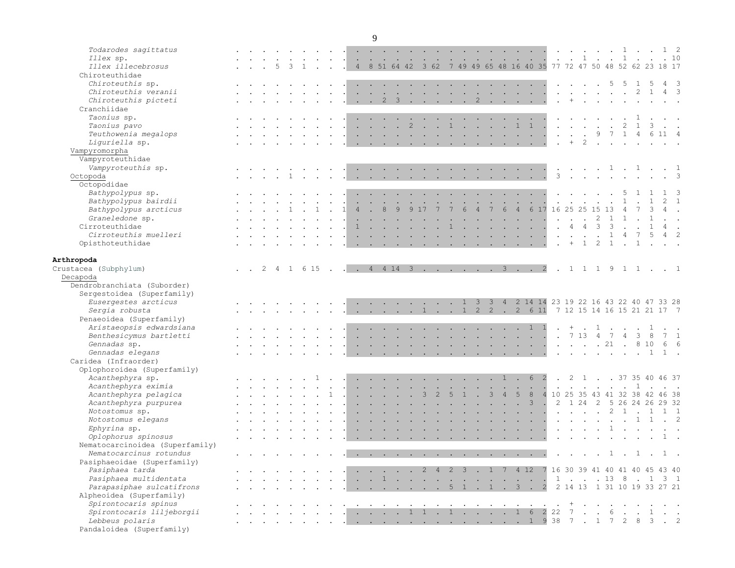| Todarodes sagittatus            |  |  |  |                                                                                                                                                                                                                                                                                                                                                                                                                              |                          |                                                           |                                   |                      | <b>Contract Contract</b>  |                      |                          | the contract of the contract of the contract of the contract of the contract of the contract of the contract of                                                                                                                                                                                                                                                                                                                                            |                 |                                                           |                                                                                                                                                                                                                                           |                |                                                                                                                                    |          |                      |                                            |                                     |                                        | . 1                             |                |                                      |    | $1\quad 2$     |                          |
|---------------------------------|--|--|--|------------------------------------------------------------------------------------------------------------------------------------------------------------------------------------------------------------------------------------------------------------------------------------------------------------------------------------------------------------------------------------------------------------------------------|--------------------------|-----------------------------------------------------------|-----------------------------------|----------------------|---------------------------|----------------------|--------------------------|------------------------------------------------------------------------------------------------------------------------------------------------------------------------------------------------------------------------------------------------------------------------------------------------------------------------------------------------------------------------------------------------------------------------------------------------------------|-----------------|-----------------------------------------------------------|-------------------------------------------------------------------------------------------------------------------------------------------------------------------------------------------------------------------------------------------|----------------|------------------------------------------------------------------------------------------------------------------------------------|----------|----------------------|--------------------------------------------|-------------------------------------|----------------------------------------|---------------------------------|----------------|--------------------------------------|----|----------------|--------------------------|
| Illex sp.                       |  |  |  |                                                                                                                                                                                                                                                                                                                                                                                                                              | <b>Contract Contract</b> |                                                           |                                   |                      |                           |                      |                          | <u> 1964 - 1965 - 1966 - 1967 - 1968 - 1969 - 1969 - 1969 - 1969 - 1969 - 1969 - 1969 - 1969 - 1969 - 1969 - 1969 - 1969 - 1969 - 1969 - 1969 - 1969 - 1969 - 1969 - 1969 - 1969 - 1969 - 1969 - 1969 - 1969 - 1969 - 1969 - 196</u>                                                                                                                                                                                                                       |                 |                                                           |                                                                                                                                                                                                                                           |                |                                                                                                                                    |          |                      |                                            |                                     |                                        |                                 |                |                                      |    | . 10           |                          |
| Illex illecebrosus              |  |  |  |                                                                                                                                                                                                                                                                                                                                                                                                                              |                          |                                                           |                                   |                      |                           |                      |                          | . . 4 8 51 64 42 3 62 7 49 49 65 48 16 40 35 77 72 47 50 48 52 62 23 18 17                                                                                                                                                                                                                                                                                                                                                                                 |                 |                                                           |                                                                                                                                                                                                                                           |                |                                                                                                                                    |          |                      |                                            |                                     |                                        |                                 |                |                                      |    |                |                          |
| Chiroteuthidae                  |  |  |  |                                                                                                                                                                                                                                                                                                                                                                                                                              |                          |                                                           |                                   |                      |                           |                      |                          |                                                                                                                                                                                                                                                                                                                                                                                                                                                            |                 |                                                           |                                                                                                                                                                                                                                           |                |                                                                                                                                    |          |                      |                                            |                                     |                                        |                                 |                |                                      |    |                |                          |
| Chiroteuthis sp.                |  |  |  |                                                                                                                                                                                                                                                                                                                                                                                                                              |                          |                                                           |                                   |                      |                           |                      |                          | <b>Contract Contract Contract</b>                                                                                                                                                                                                                                                                                                                                                                                                                          |                 |                                                           | <b>Contract Contract Contract Contract</b>                                                                                                                                                                                                |                |                                                                                                                                    |          |                      |                                            |                                     |                                        | 5                               | -5             | $\overline{1}$                       | -5 | $\overline{4}$ | $\overline{\phantom{a}}$ |
| Chiroteuthis veranii            |  |  |  |                                                                                                                                                                                                                                                                                                                                                                                                                              |                          |                                                           | the contract of the contract of   |                      |                           |                      |                          |                                                                                                                                                                                                                                                                                                                                                                                                                                                            |                 |                                                           |                                                                                                                                                                                                                                           |                |                                                                                                                                    |          |                      |                                            | and the contract of the contract of |                                        |                                 |                | $2 \quad 1$                          |    | $4 \quad 3$    |                          |
| Chiroteuthis picteti            |  |  |  |                                                                                                                                                                                                                                                                                                                                                                                                                              |                          |                                                           |                                   |                      |                           |                      |                          | . . 2 3 2                                                                                                                                                                                                                                                                                                                                                                                                                                                  |                 |                                                           |                                                                                                                                                                                                                                           |                |                                                                                                                                    |          |                      |                                            |                                     |                                        |                                 |                |                                      |    |                |                          |
| Cranchiidae                     |  |  |  |                                                                                                                                                                                                                                                                                                                                                                                                                              |                          |                                                           |                                   |                      |                           |                      |                          |                                                                                                                                                                                                                                                                                                                                                                                                                                                            |                 |                                                           |                                                                                                                                                                                                                                           |                |                                                                                                                                    |          |                      |                                            |                                     |                                        |                                 |                |                                      |    |                |                          |
| Taonius sp.                     |  |  |  |                                                                                                                                                                                                                                                                                                                                                                                                                              |                          |                                                           | <b>Contract Contract</b>          |                      |                           |                      | $\sim$                   |                                                                                                                                                                                                                                                                                                                                                                                                                                                            |                 |                                                           | $\mathcal{L}^{\mathcal{L}}$ . The contract of the contract of the contract of the contract of the contract of the contract of the contract of the contract of the contract of the contract of the contract of the contract of the contrac |                |                                                                                                                                    |          |                      |                                            | $\sim$                              | $\sim$ $\sim$                          |                                 |                |                                      |    |                |                          |
| Taonius pavo                    |  |  |  |                                                                                                                                                                                                                                                                                                                                                                                                                              |                          |                                                           | and the state of the state of the |                      | 2                         | $\sim$<br>$\sim$     | $\mathbf{1}$             |                                                                                                                                                                                                                                                                                                                                                                                                                                                            | $\sim$          | $\sim$                                                    | $\sim$                                                                                                                                                                                                                                    | $\mathbf{1}$   | $\mathbf{1}$                                                                                                                       |          | $\sim$               |                                            | <b>Contract Contract</b>            |                                        | $\ddot{\phantom{a}}$            | 2              | 1                                    |    |                |                          |
| Teuthowenia megalops            |  |  |  |                                                                                                                                                                                                                                                                                                                                                                                                                              |                          |                                                           |                                   |                      |                           |                      |                          | $\mathcal{A}$ . The contribution of the contribution of the contribution of the contribution of the contribution of the contribution of the contribution of the contribution of the contribution of the contribution of the contri                                                                                                                                                                                                                         |                 |                                                           |                                                                                                                                                                                                                                           |                |                                                                                                                                    |          | $\sim$               | $\sim$                                     | $\ddot{\phantom{a}}$                |                                        | 9 7                             |                | $1 \quad 4 \quad 6 \quad 11 \quad 4$ |    |                |                          |
| Liguriella sp.                  |  |  |  |                                                                                                                                                                                                                                                                                                                                                                                                                              |                          |                                                           |                                   |                      |                           |                      |                          | the contract of the contract of the contract of the contract of the contract of the contract of the contract of                                                                                                                                                                                                                                                                                                                                            |                 |                                                           |                                                                                                                                                                                                                                           |                |                                                                                                                                    |          | $\sim$               | $+$                                        | 2                                   | $\sim$                                 | $\sim$                          | $\sim$         |                                      |    |                |                          |
| Vampyromorpha                   |  |  |  |                                                                                                                                                                                                                                                                                                                                                                                                                              |                          |                                                           |                                   |                      |                           |                      |                          |                                                                                                                                                                                                                                                                                                                                                                                                                                                            |                 |                                                           |                                                                                                                                                                                                                                           |                |                                                                                                                                    |          |                      |                                            |                                     |                                        |                                 |                |                                      |    |                |                          |
| Vampyroteuthidae                |  |  |  |                                                                                                                                                                                                                                                                                                                                                                                                                              |                          |                                                           |                                   |                      |                           |                      |                          |                                                                                                                                                                                                                                                                                                                                                                                                                                                            |                 |                                                           |                                                                                                                                                                                                                                           |                |                                                                                                                                    |          |                      |                                            |                                     |                                        |                                 |                |                                      |    |                |                          |
| Vampyroteuthis sp.              |  |  |  |                                                                                                                                                                                                                                                                                                                                                                                                                              |                          |                                                           |                                   |                      |                           |                      |                          | the contract of the contract of the contract of the contract of the contract of the contract of the contract of                                                                                                                                                                                                                                                                                                                                            |                 |                                                           |                                                                                                                                                                                                                                           |                |                                                                                                                                    |          |                      | $\sim$ $\sim$ $\sim$                       |                                     |                                        | $\cdot$ 1 $\cdot$ 1 $\cdot$     |                |                                      |    | $\cdot$ 1      |                          |
| Octopoda                        |  |  |  | $\sim$                                                                                                                                                                                                                                                                                                                                                                                                                       |                          |                                                           |                                   |                      |                           |                      |                          | $\mathbf{r}$ , and $\mathbf{r}$ , and $\mathbf{r}$ , and $\mathbf{r}$ , and $\mathbf{r}$ , and $\mathbf{r}$                                                                                                                                                                                                                                                                                                                                                |                 |                                                           |                                                                                                                                                                                                                                           |                |                                                                                                                                    |          | $\mathbf{3}$         | $\sim$                                     | $\ddot{\phantom{a}}$                | $\sim$                                 | $\sim$                          | $\sim$         |                                      |    | $\cdot$ 3      |                          |
| Octopodidae                     |  |  |  |                                                                                                                                                                                                                                                                                                                                                                                                                              |                          |                                                           |                                   |                      |                           |                      |                          |                                                                                                                                                                                                                                                                                                                                                                                                                                                            |                 |                                                           |                                                                                                                                                                                                                                           |                |                                                                                                                                    |          |                      |                                            |                                     |                                        |                                 |                |                                      |    |                |                          |
| Bathypolypus sp.                |  |  |  |                                                                                                                                                                                                                                                                                                                                                                                                                              |                          |                                                           |                                   | $\ddot{\phantom{a}}$ |                           |                      |                          | and the contract of the contract of                                                                                                                                                                                                                                                                                                                                                                                                                        | $\sim$          | $\ddot{\phantom{a}}$                                      | $\sim$                                                                                                                                                                                                                                    | $\sim$         | <b>Contract Contract</b>                                                                                                           |          |                      |                                            |                                     |                                        |                                 |                |                                      |    |                |                          |
| Bathypolypus bairdii            |  |  |  |                                                                                                                                                                                                                                                                                                                                                                                                                              |                          |                                                           |                                   |                      |                           | $\ddot{\phantom{0}}$ | $\sim$                   | $\sim$                                                                                                                                                                                                                                                                                                                                                                                                                                                     | $\blacklozenge$ | $\sim$                                                    | $\sim$                                                                                                                                                                                                                                    | $\sim$         | $\mathcal{L}_{\text{max}}$                                                                                                         |          | $\ddot{\phantom{0}}$ |                                            |                                     |                                        |                                 |                |                                      |    |                | $\overline{1}$           |
| Bathypolypus arcticus           |  |  |  |                                                                                                                                                                                                                                                                                                                                                                                                                              |                          |                                                           |                                   |                      | 9                         | 17                   |                          | 6                                                                                                                                                                                                                                                                                                                                                                                                                                                          |                 |                                                           | 6                                                                                                                                                                                                                                         | $\overline{4}$ | 6                                                                                                                                  | 17 16 25 |                      |                                            | 25 15                               |                                        |                                 |                |                                      |    |                |                          |
| Graneledone sp.                 |  |  |  |                                                                                                                                                                                                                                                                                                                                                                                                                              |                          |                                                           |                                   |                      |                           |                      |                          |                                                                                                                                                                                                                                                                                                                                                                                                                                                            |                 | <b>Contract</b>                                           | <b>Contract Contract</b>                                                                                                                                                                                                                  |                | <b>Contract Contract Contract</b>                                                                                                  |          | $\ddot{\phantom{a}}$ | $\sim$                                     | $\sim$                              | -2                                     | $\mathbf{1}$                    |                |                                      |    |                |                          |
| Cirroteuthidae                  |  |  |  |                                                                                                                                                                                                                                                                                                                                                                                                                              |                          |                                                           |                                   |                      |                           |                      |                          |                                                                                                                                                                                                                                                                                                                                                                                                                                                            |                 | $\mathcal{L}^{\text{max}}$ and $\mathcal{L}^{\text{max}}$ |                                                                                                                                                                                                                                           |                | <b>Contract Contract Contract Contract</b>                                                                                         |          | $\sim$               | $\overline{4}$                             | $\overline{4}$                      | 3                                      | 3                               |                |                                      |    | $4 \quad .$    |                          |
| Cirroteuthis muelleri           |  |  |  |                                                                                                                                                                                                                                                                                                                                                                                                                              |                          |                                                           |                                   |                      | $\ddot{\phantom{0}}$      |                      |                          | $\mathbf{L}$ and $\mathbf{L}$ and $\mathbf{L}$                                                                                                                                                                                                                                                                                                                                                                                                             |                 | <b>Contract</b>                                           |                                                                                                                                                                                                                                           |                | $\mathcal{L}^{\mathcal{L}}$ and $\mathcal{L}^{\mathcal{L}}$ are $\mathcal{L}^{\mathcal{L}}$ . Then, if $\mathcal{L}^{\mathcal{L}}$ |          | $\ddot{\phantom{0}}$ | $\sim$                                     | $\sim$                              | $\sim$                                 | $\mathbf{1}$                    | 4              | 7                                    | 5  | $4 \quad 2$    |                          |
| Opisthoteuthidae                |  |  |  |                                                                                                                                                                                                                                                                                                                                                                                                                              |                          |                                                           |                                   |                      |                           |                      |                          | the contract of the contract of the contract of the contract of the contract of the contract of the contract of                                                                                                                                                                                                                                                                                                                                            |                 |                                                           |                                                                                                                                                                                                                                           |                |                                                                                                                                    |          | $\cdot$ +            |                                            | $\overline{1}$                      | $\overline{2}$                         | $\overline{1}$                  | $\sim$ $\sim$  |                                      |    |                |                          |
|                                 |  |  |  |                                                                                                                                                                                                                                                                                                                                                                                                                              |                          |                                                           |                                   |                      |                           |                      |                          |                                                                                                                                                                                                                                                                                                                                                                                                                                                            |                 |                                                           |                                                                                                                                                                                                                                           |                |                                                                                                                                    |          |                      |                                            |                                     |                                        |                                 |                |                                      |    |                |                          |
| Arthropoda                      |  |  |  |                                                                                                                                                                                                                                                                                                                                                                                                                              |                          |                                                           |                                   |                      |                           |                      |                          |                                                                                                                                                                                                                                                                                                                                                                                                                                                            |                 |                                                           |                                                                                                                                                                                                                                           |                |                                                                                                                                    |          |                      |                                            |                                     |                                        |                                 |                |                                      |    |                |                          |
| Crustacea (Subphylum)           |  |  |  |                                                                                                                                                                                                                                                                                                                                                                                                                              |                          |                                                           |                                   |                      |                           |                      |                          | . . 2 4 1 6 15 4 4 14 3 3 2                                                                                                                                                                                                                                                                                                                                                                                                                                |                 |                                                           |                                                                                                                                                                                                                                           |                |                                                                                                                                    |          |                      |                                            |                                     |                                        | 1 1 1 9 1 1  1                  |                |                                      |    |                |                          |
| Decapoda                        |  |  |  |                                                                                                                                                                                                                                                                                                                                                                                                                              |                          |                                                           |                                   |                      |                           |                      |                          |                                                                                                                                                                                                                                                                                                                                                                                                                                                            |                 |                                                           |                                                                                                                                                                                                                                           |                |                                                                                                                                    |          |                      |                                            |                                     |                                        |                                 |                |                                      |    |                |                          |
| Dendrobranchiata (Suborder)     |  |  |  |                                                                                                                                                                                                                                                                                                                                                                                                                              |                          |                                                           |                                   |                      |                           |                      |                          |                                                                                                                                                                                                                                                                                                                                                                                                                                                            |                 |                                                           |                                                                                                                                                                                                                                           |                |                                                                                                                                    |          |                      |                                            |                                     |                                        |                                 |                |                                      |    |                |                          |
| Sergestoidea (Superfamily)      |  |  |  |                                                                                                                                                                                                                                                                                                                                                                                                                              |                          |                                                           |                                   |                      |                           |                      |                          |                                                                                                                                                                                                                                                                                                                                                                                                                                                            |                 |                                                           |                                                                                                                                                                                                                                           |                |                                                                                                                                    |          |                      |                                            |                                     |                                        |                                 |                |                                      |    |                |                          |
| Eusergestes arcticus            |  |  |  |                                                                                                                                                                                                                                                                                                                                                                                                                              |                          |                                                           |                                   |                      |                           |                      |                          | $\cdot$ $\cdot$ 1 3                                                                                                                                                                                                                                                                                                                                                                                                                                        |                 | $3 \quad 4$                                               |                                                                                                                                                                                                                                           |                | 2 14 14 23 19 22 16 43 22 40 47 33 28                                                                                              |          |                      |                                            |                                     |                                        |                                 |                |                                      |    |                |                          |
| Sergia robusta                  |  |  |  |                                                                                                                                                                                                                                                                                                                                                                                                                              |                          |                                                           |                                   |                      |                           |                      |                          | . 1 1 2 2 . 2 6 11 7 12 15 14 16 15 21 21 17 7                                                                                                                                                                                                                                                                                                                                                                                                             |                 |                                                           |                                                                                                                                                                                                                                           |                |                                                                                                                                    |          |                      |                                            |                                     |                                        |                                 |                |                                      |    |                |                          |
| Penaeoidea (Superfamily)        |  |  |  |                                                                                                                                                                                                                                                                                                                                                                                                                              |                          |                                                           |                                   |                      |                           |                      |                          |                                                                                                                                                                                                                                                                                                                                                                                                                                                            |                 |                                                           |                                                                                                                                                                                                                                           |                |                                                                                                                                    |          |                      |                                            |                                     |                                        |                                 |                |                                      |    |                |                          |
| Aristaeopsis edwardsiana        |  |  |  |                                                                                                                                                                                                                                                                                                                                                                                                                              |                          |                                                           |                                   |                      |                           |                      |                          | . 1 1                                                                                                                                                                                                                                                                                                                                                                                                                                                      |                 |                                                           |                                                                                                                                                                                                                                           |                |                                                                                                                                    |          |                      | $+$                                        |                                     | $\mathbf{1}$                           |                                 |                |                                      |    |                |                          |
| Benthesicymus bartletti         |  |  |  |                                                                                                                                                                                                                                                                                                                                                                                                                              |                          |                                                           | <b>Contract</b>                   |                      | $\mathbf{L} = \mathbf{L}$ |                      |                          |                                                                                                                                                                                                                                                                                                                                                                                                                                                            |                 |                                                           |                                                                                                                                                                                                                                           |                |                                                                                                                                    |          |                      |                                            | . 7 13 4 7                          |                                        |                                 | $\overline{4}$ | $\overline{\mathbf{3}}$              | 8  | $7\quad1$      |                          |
| Gennadas sp.                    |  |  |  |                                                                                                                                                                                                                                                                                                                                                                                                                              |                          |                                                           |                                   |                      |                           |                      |                          | the company of the company of the                                                                                                                                                                                                                                                                                                                                                                                                                          |                 |                                                           |                                                                                                                                                                                                                                           |                | $\mathbf{L}^{\text{max}}$ , and $\mathbf{L}^{\text{max}}$ , and $\mathbf{L}^{\text{max}}$                                          |          |                      |                                            | . 21                                |                                        |                                 | $\sim$ $\sim$  | 8 10                                 |    | 6 6            |                          |
| Gennadas elegans                |  |  |  |                                                                                                                                                                                                                                                                                                                                                                                                                              |                          |                                                           |                                   |                      |                           |                      |                          | the contract of the contract of the contract of the contract of the contract of the contract of the contract of                                                                                                                                                                                                                                                                                                                                            |                 |                                                           |                                                                                                                                                                                                                                           |                |                                                                                                                                    |          |                      | $\sim$ $\sim$                              |                                     |                                        | . 1                             |                |                                      |    | 1.             |                          |
| Caridea (Infraorder)            |  |  |  |                                                                                                                                                                                                                                                                                                                                                                                                                              |                          |                                                           |                                   |                      |                           |                      |                          |                                                                                                                                                                                                                                                                                                                                                                                                                                                            |                 |                                                           |                                                                                                                                                                                                                                           |                |                                                                                                                                    |          |                      |                                            |                                     |                                        |                                 |                |                                      |    |                |                          |
| Oplophoroidea (Superfamily)     |  |  |  |                                                                                                                                                                                                                                                                                                                                                                                                                              |                          |                                                           |                                   |                      |                           |                      |                          |                                                                                                                                                                                                                                                                                                                                                                                                                                                            |                 |                                                           |                                                                                                                                                                                                                                           |                |                                                                                                                                    |          |                      |                                            |                                     |                                        |                                 |                |                                      |    |                |                          |
| Acanthephyra sp.                |  |  |  |                                                                                                                                                                                                                                                                                                                                                                                                                              |                          | $\mathcal{L}^{\text{max}}$ and $\mathcal{L}^{\text{max}}$ |                                   |                      |                           |                      | <b>Contract Contract</b> |                                                                                                                                                                                                                                                                                                                                                                                                                                                            |                 | <b>Contract Contract</b>                                  | $\mathbf{1}$                                                                                                                                                                                                                              | $\sim$         | 6 <sup>2</sup>                                                                                                                     |          |                      |                                            |                                     |                                        | . 2 1 37 35 40 46 37            |                |                                      |    |                |                          |
| Acanthephyra eximia             |  |  |  |                                                                                                                                                                                                                                                                                                                                                                                                                              |                          |                                                           |                                   |                      |                           |                      |                          |                                                                                                                                                                                                                                                                                                                                                                                                                                                            |                 | $\mathcal{L}^{\text{max}}$                                | $\sim$                                                                                                                                                                                                                                    |                | the company of the company                                                                                                         |          |                      | $\mathbf{r}$ , $\mathbf{r}$ , $\mathbf{r}$ |                                     | $\mathbf{r}$ . The set of $\mathbf{r}$ |                                 | $\cdots$ 1     |                                      |    |                |                          |
| Acanthephyra pelagica           |  |  |  |                                                                                                                                                                                                                                                                                                                                                                                                                              |                          |                                                           |                                   |                      |                           |                      |                          |                                                                                                                                                                                                                                                                                                                                                                                                                                                            |                 | $\mathbf{3}$                                              | $\overline{4}$                                                                                                                                                                                                                            | 5              | 8                                                                                                                                  |          |                      |                                            |                                     |                                        | 4 10 25 35 43 41 32 38 42 46 38 |                |                                      |    |                |                          |
| Acanthephyra purpurea           |  |  |  |                                                                                                                                                                                                                                                                                                                                                                                                                              |                          |                                                           |                                   |                      |                           |                      |                          |                                                                                                                                                                                                                                                                                                                                                                                                                                                            |                 |                                                           | $\sim$                                                                                                                                                                                                                                    | $\cdot$ 3      |                                                                                                                                    |          |                      |                                            | $2 \t1 \t24 \t2$                    |                                        | 5 26 24 26 29 32                |                |                                      |    |                |                          |
| Notostomus sp.                  |  |  |  |                                                                                                                                                                                                                                                                                                                                                                                                                              |                          |                                                           |                                   |                      |                           |                      |                          |                                                                                                                                                                                                                                                                                                                                                                                                                                                            |                 |                                                           |                                                                                                                                                                                                                                           |                | and the state of the state of                                                                                                      |          |                      | $\sim$ $\sim$                              |                                     | $\sim$                                 |                                 |                |                                      |    |                |                          |
| Notostomus elegans              |  |  |  |                                                                                                                                                                                                                                                                                                                                                                                                                              |                          |                                                           |                                   |                      |                           |                      |                          |                                                                                                                                                                                                                                                                                                                                                                                                                                                            |                 | <b>Service</b>                                            |                                                                                                                                                                                                                                           |                | <b>Contract Contract Contract Contract</b>                                                                                         |          |                      | $\cdot$ $\cdot$ $\cdot$                    |                                     | $\sim$ $\sim$                          |                                 |                | $\cdot$ 1 1                          |    | $\cdot$ 2      |                          |
| Ephyrina sp.                    |  |  |  |                                                                                                                                                                                                                                                                                                                                                                                                                              |                          |                                                           | the company of the company of     |                      |                           |                      |                          | $\mathbf{r}$ , and $\mathbf{r}$ , and $\mathbf{r}$ , and $\mathbf{r}$ , and $\mathbf{r}$ , and $\mathbf{r}$                                                                                                                                                                                                                                                                                                                                                |                 |                                                           |                                                                                                                                                                                                                                           |                |                                                                                                                                    |          |                      | $\mathbf{r}$ , $\mathbf{r}$ , $\mathbf{r}$ |                                     |                                        |                                 |                |                                      |    |                |                          |
| Oplophorus spinosus             |  |  |  |                                                                                                                                                                                                                                                                                                                                                                                                                              |                          |                                                           |                                   |                      |                           |                      |                          | $\mathbf{1} \qquad \mathbf{1} \qquad \mathbf{1} \qquad \mathbf{1} \qquad \mathbf{1} \qquad \mathbf{1} \qquad \mathbf{1} \qquad \mathbf{1} \qquad \mathbf{1} \qquad \mathbf{1} \qquad \mathbf{1} \qquad \mathbf{1} \qquad \mathbf{1} \qquad \mathbf{1} \qquad \mathbf{1} \qquad \mathbf{1} \qquad \mathbf{1} \qquad \mathbf{1} \qquad \mathbf{1} \qquad \mathbf{1} \qquad \mathbf{1} \qquad \mathbf{1} \qquad \mathbf{1} \qquad \mathbf{1} \qquad \mathbf{$ |                 |                                                           |                                                                                                                                                                                                                                           |                |                                                                                                                                    |          |                      |                                            |                                     |                                        |                                 |                |                                      |    |                |                          |
| Nematocarcinoidea (Superfamily) |  |  |  |                                                                                                                                                                                                                                                                                                                                                                                                                              |                          |                                                           |                                   |                      |                           |                      |                          |                                                                                                                                                                                                                                                                                                                                                                                                                                                            |                 |                                                           |                                                                                                                                                                                                                                           |                |                                                                                                                                    |          |                      |                                            |                                     |                                        |                                 |                |                                      |    |                |                          |
| Nematocarcinus rotundus         |  |  |  | $\mathbf{r} = \mathbf{r} + \mathbf{r} + \mathbf{r} + \mathbf{r} + \mathbf{r} + \mathbf{r} + \mathbf{r} + \mathbf{r} + \mathbf{r} + \mathbf{r} + \mathbf{r} + \mathbf{r} + \mathbf{r} + \mathbf{r} + \mathbf{r} + \mathbf{r} + \mathbf{r} + \mathbf{r} + \mathbf{r} + \mathbf{r} + \mathbf{r} + \mathbf{r} + \mathbf{r} + \mathbf{r} + \mathbf{r} + \mathbf{r} + \mathbf{r} + \mathbf{r} + \mathbf{r} + \mathbf{r} + \mathbf$ |                          |                                                           |                                   |                      |                           |                      |                          | the contract of the contract of the contract of the contract of the contract of the contract of the contract of                                                                                                                                                                                                                                                                                                                                            |                 |                                                           |                                                                                                                                                                                                                                           |                |                                                                                                                                    |          |                      |                                            |                                     |                                        | . 1 . 1 . 1 .                   |                |                                      |    |                |                          |
| Pasiphaeoidae (Superfamily)     |  |  |  |                                                                                                                                                                                                                                                                                                                                                                                                                              |                          |                                                           |                                   |                      |                           |                      |                          |                                                                                                                                                                                                                                                                                                                                                                                                                                                            |                 |                                                           |                                                                                                                                                                                                                                           |                |                                                                                                                                    |          |                      |                                            |                                     |                                        |                                 |                |                                      |    |                |                          |
| Pasiphaea tarda                 |  |  |  |                                                                                                                                                                                                                                                                                                                                                                                                                              |                          |                                                           |                                   |                      |                           |                      |                          | . 2 4 2 3 . 1 7 4 12 7 16 30 39 41 40 41 40 45 43 40                                                                                                                                                                                                                                                                                                                                                                                                       |                 |                                                           |                                                                                                                                                                                                                                           |                |                                                                                                                                    |          |                      |                                            |                                     |                                        |                                 |                |                                      |    |                |                          |
| Pasiphaea multidentata          |  |  |  |                                                                                                                                                                                                                                                                                                                                                                                                                              |                          |                                                           |                                   |                      |                           |                      |                          |                                                                                                                                                                                                                                                                                                                                                                                                                                                            |                 |                                                           |                                                                                                                                                                                                                                           |                |                                                                                                                                    |          |                      |                                            |                                     |                                        |                                 |                |                                      |    |                |                          |
| Parapasiphae sulcatifrons       |  |  |  |                                                                                                                                                                                                                                                                                                                                                                                                                              |                          |                                                           |                                   |                      |                           |                      |                          |                                                                                                                                                                                                                                                                                                                                                                                                                                                            |                 |                                                           |                                                                                                                                                                                                                                           |                |                                                                                                                                    |          |                      |                                            |                                     |                                        |                                 |                |                                      |    |                |                          |
| Alpheoidea (Superfamily)        |  |  |  |                                                                                                                                                                                                                                                                                                                                                                                                                              |                          |                                                           |                                   |                      |                           |                      |                          |                                                                                                                                                                                                                                                                                                                                                                                                                                                            |                 |                                                           |                                                                                                                                                                                                                                           |                |                                                                                                                                    |          |                      |                                            |                                     |                                        |                                 |                |                                      |    |                |                          |
| Spirontocaris spinus            |  |  |  |                                                                                                                                                                                                                                                                                                                                                                                                                              |                          |                                                           |                                   |                      |                           |                      |                          | المناطر والمناطر والمستطر والمناطر والمناطر والمناطر والمناطر والمناطر والمناطر والمناطر والمناطر والمناطر                                                                                                                                                                                                                                                                                                                                                 |                 |                                                           |                                                                                                                                                                                                                                           |                |                                                                                                                                    |          |                      |                                            |                                     |                                        |                                 |                |                                      |    |                |                          |
| Spirontocaris liljeborgii       |  |  |  |                                                                                                                                                                                                                                                                                                                                                                                                                              |                          |                                                           |                                   |                      |                           |                      |                          |                                                                                                                                                                                                                                                                                                                                                                                                                                                            |                 |                                                           |                                                                                                                                                                                                                                           |                |                                                                                                                                    |          |                      |                                            |                                     |                                        |                                 |                |                                      |    |                |                          |
| Lebbeus polaris                 |  |  |  |                                                                                                                                                                                                                                                                                                                                                                                                                              |                          |                                                           |                                   |                      |                           |                      |                          |                                                                                                                                                                                                                                                                                                                                                                                                                                                            |                 |                                                           |                                                                                                                                                                                                                                           |                |                                                                                                                                    |          |                      |                                            |                                     |                                        |                                 |                |                                      |    |                |                          |
| Pandaloidea (Superfamily)       |  |  |  |                                                                                                                                                                                                                                                                                                                                                                                                                              |                          |                                                           |                                   |                      |                           |                      |                          |                                                                                                                                                                                                                                                                                                                                                                                                                                                            |                 |                                                           |                                                                                                                                                                                                                                           |                |                                                                                                                                    |          |                      |                                            |                                     |                                        |                                 |                |                                      |    |                |                          |
|                                 |  |  |  |                                                                                                                                                                                                                                                                                                                                                                                                                              |                          |                                                           |                                   |                      |                           |                      |                          |                                                                                                                                                                                                                                                                                                                                                                                                                                                            |                 |                                                           |                                                                                                                                                                                                                                           |                |                                                                                                                                    |          |                      |                                            |                                     |                                        |                                 |                |                                      |    |                |                          |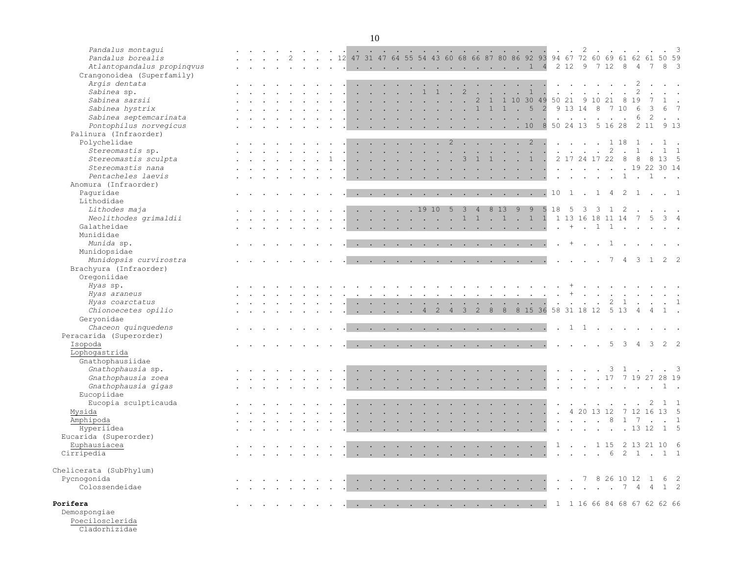| Pandalus montaqui<br>Pandalus borealis                   |  |  |  |  |        |                      |                             | <b>College</b> |        | and the state of the state of the   |        |                                                                                                                 | <b>College</b>       | and the control of the con- |                        |                  | <b>COL</b>                                                                                                                                                                                                                                                                                                                                   |                                   |                      |                           | 2                                                                              |              |                |                         | 12 47 31 47 64 55 54 43 60 68 66 87 80 86 92 93 94 67 72 60 69 61 62 61 50 59 |                                                |                             | $\overline{\mathbf{3}}$ |
|----------------------------------------------------------|--|--|--|--|--------|----------------------|-----------------------------|----------------|--------|-------------------------------------|--------|-----------------------------------------------------------------------------------------------------------------|----------------------|-----------------------------|------------------------|------------------|----------------------------------------------------------------------------------------------------------------------------------------------------------------------------------------------------------------------------------------------------------------------------------------------------------------------------------------------|-----------------------------------|----------------------|---------------------------|--------------------------------------------------------------------------------|--------------|----------------|-------------------------|-------------------------------------------------------------------------------|------------------------------------------------|-----------------------------|-------------------------|
| Atlantopandalus propingvus<br>Crangonoidea (Superfamily) |  |  |  |  |        |                      |                             |                |        |                                     |        |                                                                                                                 |                      |                             |                        |                  | . 1 4                                                                                                                                                                                                                                                                                                                                        |                                   |                      |                           |                                                                                |              |                |                         | 2 12 9 7 12 8 4 7                                                             |                                                | 8 <sup>3</sup>              |                         |
| Argis dentata                                            |  |  |  |  |        |                      |                             |                |        |                                     |        | $\sim$                                                                                                          | $\ddot{\phantom{a}}$ |                             |                        |                  | and the company of the company                                                                                                                                                                                                                                                                                                               |                                   | $\ddot{\phantom{a}}$ | $\sim$                    |                                                                                |              |                |                         |                                                                               |                                                |                             |                         |
| Sabinea sp.                                              |  |  |  |  |        |                      |                             |                |        | $\mathbf{1}$                        | 1      | $\mathcal{L}^{\mathcal{L}}$                                                                                     | $\overline{c}$       | $\mathbf{r}$                | $\sim$                 | $\sim 10^{-1}$ . |                                                                                                                                                                                                                                                                                                                                              | $\rightarrow$<br>$\blacksquare$ . |                      | $\sim 10^{-11}$ .         | $\ddot{\phantom{a}}$                                                           | $\sim$       |                |                         | $\overline{c}$                                                                |                                                |                             |                         |
| Sabinea sarsii                                           |  |  |  |  |        |                      |                             |                |        | $\mathcal{L}^{\pm}$                 | na l   | $\mathbb{R}^2$                                                                                                  | $\mathbb{R}^2$       | 2                           | $\mathbf{1}$           |                  | 1 10 30 49 50 21 9 10 21 8 19                                                                                                                                                                                                                                                                                                                |                                   |                      |                           |                                                                                |              |                |                         |                                                                               | 7                                              | $\mathbf{1}$                |                         |
| Sabinea hystrix                                          |  |  |  |  |        |                      |                             |                |        | $\mathbf{L} = \mathbf{L}$           |        | $\sim$                                                                                                          | $\sim$               | 1                           | $\overline{1}$         | $\overline{1}$   | $\sim$ 5                                                                                                                                                                                                                                                                                                                                     | $\overline{2}$                    |                      |                           | 9 13 14                                                                        |              | 8 7 10         |                         | 6                                                                             | $\mathcal{L}$                                  | 6 7                         |                         |
| Sabinea septemcarinata                                   |  |  |  |  |        |                      |                             |                |        |                                     |        |                                                                                                                 |                      | $\mathbf{r}$                |                        |                  |                                                                                                                                                                                                                                                                                                                                              |                                   |                      |                           |                                                                                |              |                | $\sim$                  | 6                                                                             | 2                                              |                             |                         |
| Pontophilus norvegicus                                   |  |  |  |  |        |                      |                             |                |        |                                     |        |                                                                                                                 |                      |                             |                        |                  | $\sim$<br>$\cdot$ $\cdot$ $\cdot$ $\cdot$ 10                                                                                                                                                                                                                                                                                                 | 8                                 | $\ddot{\phantom{0}}$ |                           | 50 24 13                                                                       |              | 5 16 28        |                         |                                                                               | 211                                            | 9 1 3                       |                         |
|                                                          |  |  |  |  |        |                      |                             |                |        |                                     |        |                                                                                                                 |                      |                             |                        |                  |                                                                                                                                                                                                                                                                                                                                              |                                   |                      |                           |                                                                                |              |                |                         |                                                                               |                                                |                             |                         |
| Palinura (Infraorder)                                    |  |  |  |  |        |                      |                             |                |        |                                     |        |                                                                                                                 |                      |                             |                        |                  | $\cdots$ $\cdots$ $\cdots$ $\cdots$ $\cdots$ $\cdots$ $\cdots$ $\cdots$ $\cdots$ $\cdots$ $\cdots$ $\cdots$ $\cdots$ $\cdots$ $\cdots$ $\cdots$ $\cdots$ $\cdots$ $\cdots$ $\cdots$ $\cdots$ $\cdots$ $\cdots$ $\cdots$ $\cdots$ $\cdots$ $\cdots$ $\cdots$ $\cdots$ $\cdots$ $\cdots$ $\cdots$ $\cdots$ $\cdots$ $\cdots$ $\cdots$ $\cdots$ |                                   |                      |                           |                                                                                |              |                |                         |                                                                               |                                                |                             |                         |
| Polychelidae                                             |  |  |  |  |        |                      |                             |                |        |                                     |        | $\overline{2}$                                                                                                  | $\sim$               |                             |                        |                  |                                                                                                                                                                                                                                                                                                                                              |                                   |                      |                           | . 1 18                                                                         |              |                |                         | $\overline{1}$                                                                |                                                | $\mathbf{1}$<br>$1 \quad 1$ |                         |
| Stereomastis sp.                                         |  |  |  |  |        |                      |                             |                |        |                                     |        |                                                                                                                 |                      |                             |                        |                  | <b>Contract Contract Contract</b>                                                                                                                                                                                                                                                                                                            |                                   |                      |                           | $\mathbf{r} = \mathbf{r} + \mathbf{r} + \mathbf{r}$                            |              | 2              | $\sim$                  |                                                                               |                                                |                             |                         |
| Stereomastis sculpta                                     |  |  |  |  |        |                      | $\ddot{\phantom{a}}$        | $\sim$         | $\sim$ | $\mathbb{Z}^+$                      | n.     | $\sim$                                                                                                          | $\mathcal{S}$        | $\mathbf{1}$                | $\overline{1}$         |                  | $\cdot$ $\cdot$ 1                                                                                                                                                                                                                                                                                                                            |                                   |                      |                           | 2 17 24 17 22                                                                  |              |                | 8 <sup>8</sup>          | 8                                                                             | 8 1 3 5                                        |                             |                         |
| Stereomastis nana                                        |  |  |  |  |        |                      |                             |                |        |                                     |        |                                                                                                                 |                      | $\mathcal{L}^{\text{max}}$  |                        |                  | $\mathbf{r}$ , $\mathbf{r}$ , $\mathbf{r}$                                                                                                                                                                                                                                                                                                   |                                   |                      |                           |                                                                                |              |                |                         | $\cdot$ 19 22 30 14                                                           |                                                |                             |                         |
| Pentacheles laevis                                       |  |  |  |  |        |                      |                             |                |        |                                     |        |                                                                                                                 |                      |                             |                        |                  | and the state of the state of                                                                                                                                                                                                                                                                                                                |                                   |                      | $\sim$                    | $\sim$                                                                         |              |                | $\overline{1}$          | $\cdot$ 1                                                                     |                                                | $\mathcal{L}^{\text{max}}$  |                         |
| Anomura (Infraorder)                                     |  |  |  |  |        |                      |                             |                |        |                                     |        |                                                                                                                 |                      |                             |                        |                  |                                                                                                                                                                                                                                                                                                                                              |                                   |                      |                           |                                                                                |              |                |                         |                                                                               |                                                |                             |                         |
| Paquridae                                                |  |  |  |  |        |                      |                             |                |        |                                     |        |                                                                                                                 |                      |                             |                        |                  |                                                                                                                                                                                                                                                                                                                                              |                                   | 10                   | 1                         |                                                                                | 1            | $\overline{4}$ | 2                       | 1                                                                             |                                                | $\cdot$ 1                   |                         |
| Lithodidae                                               |  |  |  |  |        |                      |                             |                |        |                                     |        |                                                                                                                 |                      |                             |                        |                  |                                                                                                                                                                                                                                                                                                                                              |                                   |                      |                           |                                                                                |              |                |                         |                                                                               |                                                |                             |                         |
| Lithodes maja                                            |  |  |  |  | $\sim$ | $\sim$               | n.                          |                | .19    |                                     | 10     | $\overline{5}$                                                                                                  | $\mathbf{3}$         | $\overline{4}$              | 8 1 3                  |                  | 9                                                                                                                                                                                                                                                                                                                                            | $\overline{5}$<br>9               | 18                   | -5                        | 3                                                                              | - 3          |                |                         |                                                                               |                                                |                             |                         |
| Neolithodes grimaldii                                    |  |  |  |  |        |                      |                             |                | $\sim$ |                                     |        |                                                                                                                 | $\mathbf{1}$         | $\mathbf{1}$                | $\mathbf{r}$           | $\mathbf{1}$     | $\overline{1}$                                                                                                                                                                                                                                                                                                                               | $\mathbf{1}$                      |                      |                           | 1 13 16 18 11 14                                                               |              |                |                         | 7                                                                             | 5                                              | 3 <sub>4</sub>              |                         |
| Galatheidae                                              |  |  |  |  |        |                      |                             |                |        |                                     |        |                                                                                                                 |                      |                             |                        |                  | $\mathbf{r}$ , $\mathbf{r}$ , $\mathbf{r}$ , $\mathbf{r}$                                                                                                                                                                                                                                                                                    |                                   | $\ddot{\phantom{a}}$ | $+$                       |                                                                                |              |                |                         | $\cdot$ 1 1 $\cdot$ .                                                         |                                                |                             |                         |
| Munididae                                                |  |  |  |  |        |                      |                             |                |        |                                     |        |                                                                                                                 |                      |                             |                        |                  |                                                                                                                                                                                                                                                                                                                                              |                                   |                      |                           |                                                                                |              |                |                         |                                                                               |                                                |                             |                         |
| Munida sp.                                               |  |  |  |  |        |                      |                             |                |        |                                     |        |                                                                                                                 |                      |                             |                        |                  | the contract of the contract of the contract of the contract of the contract of the contract of the contract of                                                                                                                                                                                                                              |                                   |                      | $^{+}$                    |                                                                                |              | 1              |                         |                                                                               |                                                |                             |                         |
| Munidopsidae                                             |  |  |  |  |        |                      |                             |                |        |                                     |        |                                                                                                                 |                      |                             |                        |                  |                                                                                                                                                                                                                                                                                                                                              |                                   |                      |                           |                                                                                |              |                |                         |                                                                               |                                                |                             |                         |
| Munidopsis curvirostra                                   |  |  |  |  |        | $\sim$               |                             |                |        |                                     |        |                                                                                                                 |                      |                             |                        |                  | . The contract of the contract of the contract of the contract of the contract of the contract of the contract of the contract of the contract of the contract of the contract of the contract of the contract of the contrac                                                                                                                |                                   |                      |                           | $\mathbf{r}$                                                                   | $\sim$       |                |                         | 7 4 3 1                                                                       |                                                | $2 \quad 2$                 |                         |
| Brachyura (Infraorder)                                   |  |  |  |  |        |                      |                             |                |        |                                     |        |                                                                                                                 |                      |                             |                        |                  |                                                                                                                                                                                                                                                                                                                                              |                                   |                      |                           |                                                                                |              |                |                         |                                                                               |                                                |                             |                         |
| Oregoniidae                                              |  |  |  |  |        |                      |                             |                |        |                                     |        |                                                                                                                 |                      |                             |                        |                  |                                                                                                                                                                                                                                                                                                                                              |                                   |                      |                           |                                                                                |              |                |                         |                                                                               |                                                |                             |                         |
| Hyas sp.                                                 |  |  |  |  |        |                      |                             |                |        | $\sim$                              | $\sim$ | $\sim$ $\sim$                                                                                                   |                      | $\sim$                      |                        | $\sim$           |                                                                                                                                                                                                                                                                                                                                              |                                   |                      |                           |                                                                                |              |                |                         |                                                                               | $\sim$                                         | $\sim$ $\sim$ $\sim$        |                         |
| Hyas araneus                                             |  |  |  |  |        |                      |                             |                |        |                                     |        |                                                                                                                 |                      |                             |                        |                  | $\mathbf{r}$ , and $\mathbf{r}$ , and $\mathbf{r}$ , and $\mathbf{r}$ , and $\mathbf{r}$                                                                                                                                                                                                                                                     |                                   | $\ddot{\phantom{a}}$ |                           |                                                                                | $\sim$       |                |                         |                                                                               | $\mathbf{r}$ and $\mathbf{r}$ and $\mathbf{r}$ |                             |                         |
| Hyas coarctatus                                          |  |  |  |  |        |                      |                             |                |        |                                     |        |                                                                                                                 | $\sim$               | $\ddot{\phantom{a}}$        | $\ddot{\phantom{a}}$ . | $\sim$           |                                                                                                                                                                                                                                                                                                                                              |                                   |                      |                           | $\mathbf{L} = \mathbf{L} \times \mathbf{L} = \mathbf{L} \times \mathbf{L}$     |              | $\overline{c}$ | $\mathbf{1}$            |                                                                               | $\ldots$ $\ldots$ 1                            |                             |                         |
| Chionoecetes opilio                                      |  |  |  |  |        |                      | $\mathcal{L} = \mathcal{L}$ |                |        | $\overline{4}$                      |        |                                                                                                                 |                      |                             |                        |                  | 2 4 3 2 8 8 8 15 36 58 31 18 12 5 13                                                                                                                                                                                                                                                                                                         |                                   |                      |                           |                                                                                |              |                |                         | $\overline{4}$                                                                | $4 \quad 1 \quad .$                            |                             |                         |
| Gervonidae                                               |  |  |  |  |        |                      |                             |                |        |                                     |        |                                                                                                                 |                      |                             |                        |                  |                                                                                                                                                                                                                                                                                                                                              |                                   |                      |                           |                                                                                |              |                |                         |                                                                               |                                                |                             |                         |
| Chaceon quinquedens                                      |  |  |  |  |        |                      |                             |                |        | the contract of the contract of the |        | <b>Contract</b>                                                                                                 |                      | <b>Service</b>              |                        |                  | <b>Contract Contract</b>                                                                                                                                                                                                                                                                                                                     |                                   |                      | $\mathbf{1}$              | $\mathbf{1}$                                                                   |              |                |                         |                                                                               |                                                |                             |                         |
| Peracarida (Superorder)                                  |  |  |  |  |        |                      |                             |                |        |                                     |        |                                                                                                                 |                      |                             |                        |                  |                                                                                                                                                                                                                                                                                                                                              |                                   |                      |                           |                                                                                |              |                |                         |                                                                               |                                                |                             |                         |
| Isopoda                                                  |  |  |  |  |        |                      |                             |                |        |                                     |        |                                                                                                                 |                      |                             |                        |                  | the contract of the contract of the contract of the contract of the contract of the contract of the contract of                                                                                                                                                                                                                              |                                   |                      |                           | $\mathbf{L} = \mathbf{L}$                                                      |              | $\cdot$ 5      | $\overline{\mathbf{3}}$ | $\overline{4}$                                                                | $\mathbf{3}$                                   | $2 \quad 2$                 |                         |
| Lophogastrida                                            |  |  |  |  |        |                      |                             |                |        |                                     |        |                                                                                                                 |                      |                             |                        |                  |                                                                                                                                                                                                                                                                                                                                              |                                   |                      |                           |                                                                                |              |                |                         |                                                                               |                                                |                             |                         |
| Gnathophausiidae                                         |  |  |  |  |        |                      |                             |                |        |                                     |        |                                                                                                                 |                      |                             |                        |                  |                                                                                                                                                                                                                                                                                                                                              |                                   |                      |                           |                                                                                |              |                |                         |                                                                               |                                                |                             |                         |
| Gnathophausia sp.                                        |  |  |  |  |        |                      | $\sim$ $\sim$               |                |        | the company of the company          |        | $\sim 100$ km s $^{-1}$                                                                                         |                      |                             |                        |                  | the company of the company of the company                                                                                                                                                                                                                                                                                                    |                                   |                      |                           |                                                                                |              |                | $3\quad1$               |                                                                               |                                                | $\cdot$ 3                   |                         |
| Gnathophausia zoea                                       |  |  |  |  |        |                      |                             | $\sim$         |        | <b>Contract Contract Contract</b>   |        | $\mathcal{L}^{\text{max}}$ .                                                                                    |                      |                             |                        |                  | $\mathbf{r} = \mathbf{r} + \mathbf{r} + \mathbf{r} + \mathbf{r} + \mathbf{r} + \mathbf{r}$                                                                                                                                                                                                                                                   |                                   | $\ddot{\phantom{a}}$ | $\sim$                    |                                                                                |              | 17             |                         | 7 19 27                                                                       |                                                | 28 19                       |                         |
| Gnathophausia gigas                                      |  |  |  |  |        |                      |                             |                | $\sim$ | $\mathbf{L} = \mathbf{L}$           |        | $\sim$                                                                                                          | $\sim$               |                             |                        |                  | <b>Contract Contract Contract</b>                                                                                                                                                                                                                                                                                                            |                                   | $\ddot{\phantom{a}}$ |                           |                                                                                |              |                | n.                      | $\sim$ $\sim$                                                                 |                                                | $1 \cdot \cdot$             |                         |
| Eucopiidae                                               |  |  |  |  |        |                      |                             |                |        |                                     |        |                                                                                                                 |                      |                             |                        |                  |                                                                                                                                                                                                                                                                                                                                              |                                   |                      |                           |                                                                                |              |                |                         |                                                                               |                                                |                             |                         |
| Eucopia sculpticauda                                     |  |  |  |  |        |                      |                             |                |        |                                     |        |                                                                                                                 |                      |                             |                        |                  |                                                                                                                                                                                                                                                                                                                                              |                                   |                      | $\sim$                    |                                                                                |              |                | $\sim$                  |                                                                               | $\overline{c}$                                 | $\mathbf{1}$                |                         |
| Mysida                                                   |  |  |  |  |        |                      |                             |                |        |                                     |        |                                                                                                                 |                      |                             |                        |                  | <b>Contract Contract Contract</b>                                                                                                                                                                                                                                                                                                            |                                   |                      |                           |                                                                                |              |                |                         | 4 20 13 12 7 12 16 13 5                                                       |                                                |                             |                         |
| Amphipoda                                                |  |  |  |  |        |                      |                             |                |        |                                     |        |                                                                                                                 | $\sim$               |                             | $\sim$                 |                  | the contract of the contract of                                                                                                                                                                                                                                                                                                              |                                   |                      |                           | $\mathcal{L}^{\text{max}}(\mathcal{L}^{\text{max}}(\mathcal{L}^{\text{max}}))$ |              | 8              | $\mathbf{1}$            | 7.                                                                            |                                                | $\cdot$ 1                   |                         |
| Hyperiidea                                               |  |  |  |  |        |                      |                             |                |        |                                     |        |                                                                                                                 |                      |                             |                        |                  |                                                                                                                                                                                                                                                                                                                                              |                                   |                      |                           |                                                                                |              |                |                         | . 13 12                                                                       |                                                | $\mathbf{1}$                | -5                      |
| Eucarida (Superorder)                                    |  |  |  |  |        |                      |                             |                |        |                                     |        |                                                                                                                 |                      |                             |                        |                  |                                                                                                                                                                                                                                                                                                                                              |                                   |                      |                           |                                                                                |              |                |                         |                                                                               |                                                |                             |                         |
| Euphausiacea                                             |  |  |  |  |        |                      |                             |                |        |                                     |        | the contract of the contract of the contract of the contract of the contract of the contract of the contract of |                      |                             |                        |                  | <b>Contract Contract</b>                                                                                                                                                                                                                                                                                                                     |                                   | $\mathbf{1}$         |                           |                                                                                |              | 1 15           |                         | 2 13 21 10 6                                                                  |                                                |                             |                         |
| Cirripedia                                               |  |  |  |  |        |                      |                             |                |        |                                     |        |                                                                                                                 |                      |                             |                        |                  | $\mathbf{r} = \mathbf{r} - \mathbf{r} = \mathbf{r} - \mathbf{r} = \mathbf{r} - \mathbf{r} = \mathbf{r} - \mathbf{r} = \mathbf{r} - \mathbf{r}$                                                                                                                                                                                               |                                   | $\ddot{\phantom{a}}$ |                           |                                                                                | $\mathbf{r}$ | 6              | 2                       | 1.                                                                            |                                                | $1 \quad 1$                 |                         |
|                                                          |  |  |  |  |        |                      | $\mathcal{L}^{\text{max}}$  |                |        |                                     |        |                                                                                                                 |                      |                             |                        |                  |                                                                                                                                                                                                                                                                                                                                              |                                   |                      |                           |                                                                                |              |                |                         |                                                                               |                                                |                             |                         |
| Chelicerata (SubPhylum)                                  |  |  |  |  |        |                      |                             |                |        |                                     |        |                                                                                                                 |                      |                             |                        |                  |                                                                                                                                                                                                                                                                                                                                              |                                   |                      |                           |                                                                                |              |                |                         |                                                                               |                                                |                             |                         |
| Pycnogonida                                              |  |  |  |  |        |                      |                             |                |        |                                     |        |                                                                                                                 |                      |                             |                        |                  | <b>Service</b>                                                                                                                                                                                                                                                                                                                               |                                   |                      | $\mathbf{L} = \mathbf{L}$ | 7                                                                              |              |                |                         | 8 26 10 12 1                                                                  |                                                | $6 \quad 2$                 |                         |
| Colossendeidae                                           |  |  |  |  |        | $\ddot{\phantom{a}}$ | $\mathbf{r}$                |                | i.     |                                     |        | $\sim$                                                                                                          | $\sim$               |                             | $\ddot{\phantom{a}}$   | $\overline{a}$   | $\sim$                                                                                                                                                                                                                                                                                                                                       | $\sim$                            | $\mathbf{r}$         | $\mathbf{r}$              | $\mathbf{r}$                                                                   |              |                |                         | . 744                                                                         |                                                | $1 \quad 2$                 |                         |
| Porifera                                                 |  |  |  |  |        |                      |                             |                |        |                                     |        |                                                                                                                 |                      |                             |                        |                  | المنابع والمستنقل والمستنقل والمستنقل والمستنقل والمستنقل والمستنقل                                                                                                                                                                                                                                                                          |                                   |                      |                           |                                                                                |              |                |                         | 1 1 16 66 84 68 67 62 62 66                                                   |                                                |                             |                         |
| Demospongiae                                             |  |  |  |  |        |                      |                             |                |        |                                     |        |                                                                                                                 |                      |                             |                        |                  |                                                                                                                                                                                                                                                                                                                                              |                                   |                      |                           |                                                                                |              |                |                         |                                                                               |                                                |                             |                         |

 Poecilosclerida Cladorhizidae 10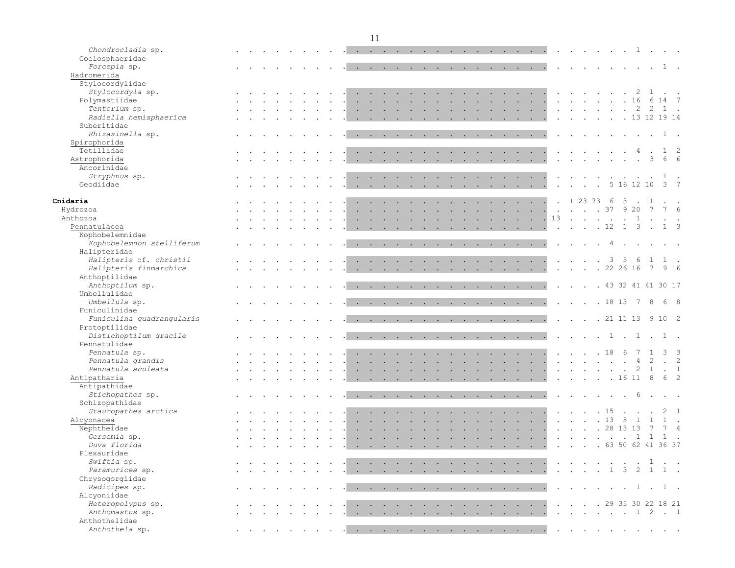| Chondrocladia sp.                       |  |  |                                    |                                                                          |        |        |                                 |                                                                                                                                                                                                                                   |        |                           |        |        |                                   |                          |                                                |                                                                                                                                                                                                                                                                                                                                                                                                                                                            |                      |                      |                              |        | $\cdots$ 1.                                                           |        |                |                  | $\sim 100$ km s $^{-1}$ |                |
|-----------------------------------------|--|--|------------------------------------|--------------------------------------------------------------------------|--------|--------|---------------------------------|-----------------------------------------------------------------------------------------------------------------------------------------------------------------------------------------------------------------------------------|--------|---------------------------|--------|--------|-----------------------------------|--------------------------|------------------------------------------------|------------------------------------------------------------------------------------------------------------------------------------------------------------------------------------------------------------------------------------------------------------------------------------------------------------------------------------------------------------------------------------------------------------------------------------------------------------|----------------------|----------------------|------------------------------|--------|-----------------------------------------------------------------------|--------|----------------|------------------|-------------------------|----------------|
| Coelosphaeridae                         |  |  |                                    |                                                                          |        |        |                                 |                                                                                                                                                                                                                                   |        |                           |        |        |                                   |                          |                                                |                                                                                                                                                                                                                                                                                                                                                                                                                                                            |                      |                      |                              |        |                                                                       |        |                |                  |                         |                |
| Forcepia sp.                            |  |  | $\sim$ $\sim$ $\sim$ $\sim$ $\sim$ |                                                                          |        |        |                                 |                                                                                                                                                                                                                                   |        |                           |        |        |                                   |                          |                                                |                                                                                                                                                                                                                                                                                                                                                                                                                                                            |                      |                      |                              |        |                                                                       |        |                |                  | $1$ .                   |                |
| Hadromerida                             |  |  |                                    |                                                                          |        |        |                                 |                                                                                                                                                                                                                                   |        |                           |        |        |                                   |                          |                                                |                                                                                                                                                                                                                                                                                                                                                                                                                                                            |                      |                      |                              |        |                                                                       |        |                |                  |                         |                |
| Stylocordylidae                         |  |  |                                    |                                                                          |        |        |                                 |                                                                                                                                                                                                                                   |        |                           |        |        |                                   |                          |                                                |                                                                                                                                                                                                                                                                                                                                                                                                                                                            |                      |                      |                              |        |                                                                       |        |                |                  |                         |                |
| Stylocordyla sp.                        |  |  |                                    |                                                                          |        |        |                                 |                                                                                                                                                                                                                                   |        |                           |        |        |                                   |                          | the contract of the con-                       |                                                                                                                                                                                                                                                                                                                                                                                                                                                            |                      | $\ddot{\phantom{a}}$ |                              |        |                                                                       |        |                | 1                | $\sim$ $\sim$           |                |
| Polymastiidae                           |  |  |                                    |                                                                          |        |        |                                 |                                                                                                                                                                                                                                   |        |                           |        | $\sim$ |                                   |                          |                                                | . 16                                                                                                                                                                                                                                                                                                                                                                                                                                                       |                      |                      |                              |        |                                                                       |        |                |                  | 6 14 7                  |                |
| Tentorium sp.                           |  |  |                                    |                                                                          |        |        |                                 |                                                                                                                                                                                                                                   |        |                           |        |        |                                   |                          |                                                | the contract of the contract of the contract of the contract of the contract of the contract of the contract of                                                                                                                                                                                                                                                                                                                                            |                      |                      | $\cdots$ $\cdots$            |        | $\cdot$ $\cdot$ $\cdot$ 2 2                                           |        |                |                  | 1.                      |                |
| Radiella hemisphaerica                  |  |  |                                    |                                                                          |        |        |                                 |                                                                                                                                                                                                                                   |        |                           |        |        |                                   |                          |                                                | the contract of the contract of the contract of the contract of the contract of the contract of the contract of                                                                                                                                                                                                                                                                                                                                            |                      |                      | $\sim$ $\sim$ $\sim$ $\sim$  |        | $\cdot$ $\cdot$ $\cdot$ 13 12 19 14                                   |        |                |                  |                         |                |
| Suberitidae                             |  |  |                                    |                                                                          |        |        |                                 |                                                                                                                                                                                                                                   |        |                           |        |        |                                   |                          |                                                |                                                                                                                                                                                                                                                                                                                                                                                                                                                            |                      |                      |                              |        |                                                                       |        |                |                  |                         |                |
| Rhizaxinella sp.                        |  |  |                                    |                                                                          |        |        |                                 |                                                                                                                                                                                                                                   |        |                           |        |        |                                   |                          |                                                | and a series of the contract of the contract of the contract of the contract of the contract of the contract of                                                                                                                                                                                                                                                                                                                                            | $\sim$               |                      | $\sim$ $\sim$                |        |                                                                       |        |                |                  | 1.                      |                |
| Spirophorida                            |  |  |                                    |                                                                          |        |        |                                 |                                                                                                                                                                                                                                   |        |                           |        |        |                                   |                          |                                                |                                                                                                                                                                                                                                                                                                                                                                                                                                                            |                      |                      |                              |        |                                                                       |        |                |                  |                         |                |
| Tetillidae                              |  |  |                                    |                                                                          |        |        | the contract of the contract of |                                                                                                                                                                                                                                   |        |                           |        |        |                                   |                          |                                                | and the company of the company                                                                                                                                                                                                                                                                                                                                                                                                                             |                      |                      |                              |        |                                                                       |        | $\overline{4}$ |                  | $1\quad 2$              |                |
| Astrophorida                            |  |  |                                    |                                                                          |        |        |                                 |                                                                                                                                                                                                                                   |        |                           |        |        | <b>Contract Contract Contract</b> |                          |                                                | $\sim$ $\sim$ $\sim$                                                                                                                                                                                                                                                                                                                                                                                                                                       |                      |                      |                              |        |                                                                       |        |                | 3                | 6 6                     |                |
| Ancorinidae                             |  |  |                                    |                                                                          |        |        |                                 |                                                                                                                                                                                                                                   |        |                           |        |        |                                   |                          |                                                |                                                                                                                                                                                                                                                                                                                                                                                                                                                            |                      |                      |                              |        |                                                                       |        |                |                  |                         |                |
| Stryphnus sp.                           |  |  |                                    |                                                                          |        |        |                                 |                                                                                                                                                                                                                                   |        |                           |        |        |                                   | $\sim$ $\sim$            |                                                | the contract of the con-                                                                                                                                                                                                                                                                                                                                                                                                                                   |                      | $\sim$               |                              |        |                                                                       |        |                |                  | 1.                      |                |
| Geodiidae                               |  |  |                                    |                                                                          |        |        |                                 |                                                                                                                                                                                                                                   |        |                           |        |        |                                   |                          |                                                |                                                                                                                                                                                                                                                                                                                                                                                                                                                            | $\sim$               |                      | $\sim$ $\sim$ $\sim$         | $\sim$ |                                                                       |        | 5 16 12 10     |                  | $3 \overline{7}$        |                |
|                                         |  |  |                                    |                                                                          |        |        |                                 |                                                                                                                                                                                                                                   |        |                           |        |        |                                   |                          |                                                |                                                                                                                                                                                                                                                                                                                                                                                                                                                            |                      |                      |                              |        |                                                                       |        |                |                  |                         |                |
| Cnidaria                                |  |  |                                    |                                                                          |        |        |                                 | $\mathbf{r}$ . The set of the set of the set of the set of the set of the set of the set of the set of the set of the set of the set of the set of the set of the set of the set of the set of the set of the set of the set of t |        | $\sim$ $\sim$             |        |        | <b>Contract Contract Contract</b> | $\sim$                   | $\mathbf{r}$ and $\mathbf{r}$ and $\mathbf{r}$ |                                                                                                                                                                                                                                                                                                                                                                                                                                                            |                      |                      |                              |        | $+237363$                                                             |        |                |                  |                         |                |
| Hydrozoa                                |  |  |                                    |                                                                          |        | $\sim$ |                                 | <b>Contract Contract</b>                                                                                                                                                                                                          |        | $\sim$ $\sim$             |        |        | <b>Contract Contract Contract</b> |                          |                                                | $\mathcal{L}^{\mathcal{A}}$ . The contract of the contract of the contract of the contract of the contract of the contract of the contract of the contract of the contract of the contract of the contract of the contract of the contrac                                                                                                                                                                                                                  |                      |                      |                              |        | $\cdot \cdot \cdot \cdot \cdot 37$ 9 20                               |        |                | $\overline{7}$   | 7 6                     |                |
| Anthozoa                                |  |  |                                    |                                                                          |        | $\sim$ |                                 | <b>Contract Contract Contract</b>                                                                                                                                                                                                 | $\sim$ | $\ddot{\phantom{a}}$      | $\sim$ |        | <b>Contract Contract Contract</b> | <b>Contract Contract</b> |                                                | the contract of the contract of                                                                                                                                                                                                                                                                                                                                                                                                                            | 13                   |                      |                              |        | . 1                                                                   |        |                |                  |                         |                |
| Pennatulacea                            |  |  |                                    |                                                                          |        |        |                                 |                                                                                                                                                                                                                                   |        |                           |        |        |                                   |                          |                                                | $\mathbf{1} \qquad \mathbf{1} \qquad \mathbf{1} \qquad \mathbf{1} \qquad \mathbf{1} \qquad \mathbf{1} \qquad \mathbf{1} \qquad \mathbf{1} \qquad \mathbf{1} \qquad \mathbf{1} \qquad \mathbf{1} \qquad \mathbf{1} \qquad \mathbf{1} \qquad \mathbf{1} \qquad \mathbf{1} \qquad \mathbf{1} \qquad \mathbf{1} \qquad \mathbf{1} \qquad \mathbf{1} \qquad \mathbf{1} \qquad \mathbf{1} \qquad \mathbf{1} \qquad \mathbf{1} \qquad \mathbf{1} \qquad \mathbf{$ | $\sim$               |                      |                              |        | $\cdot$ $\cdot$ $\cdot$ 12                                            |        |                | $\overline{3}$ . | $1 \quad 3$             |                |
| Kophobelemnidae                         |  |  |                                    |                                                                          |        |        |                                 |                                                                                                                                                                                                                                   |        |                           |        |        |                                   |                          |                                                |                                                                                                                                                                                                                                                                                                                                                                                                                                                            |                      |                      |                              |        |                                                                       |        |                |                  |                         |                |
| Kophobelemnon stelliferum               |  |  |                                    |                                                                          |        |        |                                 |                                                                                                                                                                                                                                   |        |                           |        |        |                                   |                          |                                                | the contract of the contract of the contract of the contract of the contract of the contract of the contract of                                                                                                                                                                                                                                                                                                                                            |                      |                      |                              |        |                                                                       | $\sim$ | $\sim$ $\sim$  |                  |                         |                |
| Halipteridae                            |  |  |                                    |                                                                          |        |        |                                 |                                                                                                                                                                                                                                   |        |                           |        |        |                                   |                          |                                                |                                                                                                                                                                                                                                                                                                                                                                                                                                                            |                      |                      |                              |        |                                                                       |        |                |                  |                         |                |
| Halipteris cf. christii                 |  |  |                                    |                                                                          |        |        |                                 |                                                                                                                                                                                                                                   |        |                           |        |        |                                   |                          |                                                | $\sim$                                                                                                                                                                                                                                                                                                                                                                                                                                                     |                      | $\sim$               | $\sim$                       |        | $\mathbf{3}$                                                          | -5     | 6              | 1                |                         |                |
| Halipteris finmarchica                  |  |  |                                    |                                                                          |        |        |                                 |                                                                                                                                                                                                                                   |        |                           |        |        |                                   |                          |                                                | $\mathbf{L} = \mathbf{L}$                                                                                                                                                                                                                                                                                                                                                                                                                                  | $\sim$               | $\mathbf{r}$         | $\ddot{\phantom{a}}$         |        | .2226167                                                              |        |                |                  | 9 1 6                   |                |
| Anthoptilidae                           |  |  |                                    |                                                                          |        |        |                                 |                                                                                                                                                                                                                                   |        |                           |        |        |                                   |                          |                                                |                                                                                                                                                                                                                                                                                                                                                                                                                                                            |                      |                      |                              |        |                                                                       |        |                |                  |                         |                |
| Anthoptilum sp.                         |  |  |                                    |                                                                          |        |        |                                 |                                                                                                                                                                                                                                   |        |                           |        |        |                                   |                          |                                                | $\mathbf{1} \qquad \mathbf{1} \qquad \mathbf{1} \qquad \mathbf{1} \qquad \mathbf{1} \qquad \mathbf{1} \qquad \mathbf{1} \qquad \mathbf{1} \qquad \mathbf{1} \qquad \mathbf{1} \qquad \mathbf{1} \qquad \mathbf{1} \qquad \mathbf{1} \qquad \mathbf{1} \qquad \mathbf{1} \qquad \mathbf{1} \qquad \mathbf{1} \qquad \mathbf{1} \qquad \mathbf{1} \qquad \mathbf{1} \qquad \mathbf{1} \qquad \mathbf{1} \qquad \mathbf{1} \qquad \mathbf{1} \qquad \mathbf{$ | $\ddot{\phantom{a}}$ |                      |                              |        | . 43 32 41 41 30 17                                                   |        |                |                  |                         |                |
| Umbellulidae                            |  |  |                                    |                                                                          |        |        |                                 |                                                                                                                                                                                                                                   |        |                           |        |        |                                   |                          |                                                |                                                                                                                                                                                                                                                                                                                                                                                                                                                            |                      |                      |                              |        |                                                                       |        |                |                  |                         |                |
| Umbellula sp.                           |  |  |                                    |                                                                          |        |        |                                 |                                                                                                                                                                                                                                   |        |                           |        |        |                                   |                          |                                                | $\mathbf{1}_{\mathbf{1}_{\mathbf{1}}}\mathbf{1}_{\mathbf{1}_{\mathbf{1}}}\mathbf{1}_{\mathbf{1}_{\mathbf{1}}}\mathbf{1}_{\mathbf{1}_{\mathbf{1}}}\mathbf{1}_{\mathbf{1}_{\mathbf{1}}}\mathbf{1}_{\mathbf{1}_{\mathbf{1}}}\mathbf{1}_{\mathbf{1}_{\mathbf{1}}}\mathbf{1}_{\mathbf{1}_{\mathbf{1}}}\mathbf{1}_{\mathbf{1}_{\mathbf{1}}}\mathbf{1}_{\mathbf{1}_{\mathbf{1}}}\mathbf{1}_{\mathbf{1}_{\mathbf{1}}}\mathbf{1}_{\mathbf{1}_{\mathbf{1}}}\mathbf{$ | $\sim$               |                      |                              |        | $\cdot$ $\cdot$ $\cdot$ 18 13                                         |        | $\overline{7}$ | 8                | $6^{\circ}$             |                |
| Funiculinidae                           |  |  |                                    |                                                                          |        |        |                                 |                                                                                                                                                                                                                                   |        |                           |        |        |                                   |                          |                                                |                                                                                                                                                                                                                                                                                                                                                                                                                                                            |                      |                      |                              |        |                                                                       |        |                |                  |                         |                |
| Funiculina quadrangularis               |  |  |                                    |                                                                          |        |        |                                 |                                                                                                                                                                                                                                   |        |                           |        |        |                                   |                          |                                                |                                                                                                                                                                                                                                                                                                                                                                                                                                                            | $\sim$               |                      |                              |        | $\cdot$ $\cdot$ $\cdot$ 21 11 13 9 10 2                               |        |                |                  |                         |                |
|                                         |  |  |                                    |                                                                          |        |        |                                 |                                                                                                                                                                                                                                   |        |                           |        |        |                                   |                          |                                                | design and a strain and a strain and a strain and                                                                                                                                                                                                                                                                                                                                                                                                          |                      |                      |                              |        |                                                                       |        |                |                  |                         |                |
| Protoptilidae<br>Distichoptilum gracile |  |  |                                    |                                                                          |        |        |                                 |                                                                                                                                                                                                                                   |        |                           |        |        |                                   |                          |                                                |                                                                                                                                                                                                                                                                                                                                                                                                                                                            |                      |                      |                              |        | $\cdots$ $\cdots$ $\cdots$ $\cdots$ $\cdots$                          |        |                |                  | 1.                      |                |
| Pennatulidae                            |  |  |                                    |                                                                          |        |        |                                 |                                                                                                                                                                                                                                   |        |                           |        |        |                                   |                          |                                                | the contract of the contract of the contract of the contract of the contract of the contract of the contract of                                                                                                                                                                                                                                                                                                                                            | $\sim$               |                      |                              |        |                                                                       |        |                |                  |                         |                |
|                                         |  |  |                                    |                                                                          |        |        |                                 |                                                                                                                                                                                                                                   |        |                           |        |        |                                   |                          |                                                |                                                                                                                                                                                                                                                                                                                                                                                                                                                            |                      |                      |                              |        |                                                                       |        |                |                  | $\mathcal{E}$           | $\mathcal{A}$  |
| Pennatula sp.                           |  |  |                                    |                                                                          |        |        |                                 |                                                                                                                                                                                                                                   |        |                           |        |        |                                   |                          |                                                | <b>Contract Contract Contract</b>                                                                                                                                                                                                                                                                                                                                                                                                                          |                      |                      | . 18                         |        |                                                                       | - 6    |                | 2                |                         |                |
| Pennatula grandis                       |  |  |                                    |                                                                          |        |        |                                 | $\mathbf{L}$ and $\mathbf{L}$ and $\mathbf{L}$                                                                                                                                                                                    |        |                           |        |        |                                   |                          |                                                | design and a strain and a strain and a                                                                                                                                                                                                                                                                                                                                                                                                                     |                      |                      |                              |        | and the contract of the state of the                                  |        | $\overline{4}$ |                  | $\cdot$ 2               |                |
| Pennatula aculeata                      |  |  |                                    |                                                                          |        |        |                                 |                                                                                                                                                                                                                                   |        |                           |        |        |                                   |                          |                                                | $\mathbf{r}$ , and $\mathbf{r}$ , and $\mathbf{r}$ , and $\mathbf{r}$ , and $\mathbf{r}$                                                                                                                                                                                                                                                                                                                                                                   |                      |                      |                              |        | $\mathbf{r}$ , and $\mathbf{r}$ , and $\mathbf{r}$ , and $\mathbf{r}$ |        |                | $2 \quad 1$      | $\sim$ 1                |                |
| Antipatharia                            |  |  |                                    |                                                                          |        |        |                                 |                                                                                                                                                                                                                                   |        |                           |        |        |                                   |                          |                                                |                                                                                                                                                                                                                                                                                                                                                                                                                                                            |                      |                      |                              |        | $\cdot$ $\cdot$ $\cdot$ $\cdot$ $\cdot$ 16 11 8                       |        |                |                  | 6 2                     |                |
| Antipathidae                            |  |  |                                    |                                                                          |        |        |                                 |                                                                                                                                                                                                                                   |        |                           |        |        |                                   |                          |                                                |                                                                                                                                                                                                                                                                                                                                                                                                                                                            |                      |                      |                              |        |                                                                       |        |                |                  |                         |                |
| Stichopathes sp.                        |  |  |                                    |                                                                          |        |        |                                 |                                                                                                                                                                                                                                   |        |                           |        |        |                                   |                          |                                                | . The contract of the contract of the contract of the contract of the contract of the contract of the contract of the contract of the contract of the contract of the contract of the contract of the contract of the contrac                                                                                                                                                                                                                              |                      |                      |                              |        | the contract of the contract of the contract of                       |        | 6              |                  |                         |                |
| Schizopathidae                          |  |  |                                    |                                                                          |        |        |                                 |                                                                                                                                                                                                                                   |        |                           |        |        |                                   |                          |                                                |                                                                                                                                                                                                                                                                                                                                                                                                                                                            |                      |                      |                              |        |                                                                       |        |                |                  |                         |                |
| Stauropathes arctica                    |  |  |                                    |                                                                          |        |        |                                 | the contract of the contract of the con-                                                                                                                                                                                          |        |                           |        |        | <b>Contract Contract Contract</b> | <b>Contract Contract</b> |                                                | and the contract of the con-                                                                                                                                                                                                                                                                                                                                                                                                                               |                      |                      | . 15                         |        |                                                                       |        |                |                  |                         | $\overline{1}$ |
| Alcyonacea                              |  |  |                                    |                                                                          |        |        |                                 |                                                                                                                                                                                                                                   |        | $\mathbf{L} = \mathbf{L}$ |        |        | the contract of the contract of   |                          |                                                | $\mathcal{L}^{\text{max}}$ , and $\mathcal{L}^{\text{max}}$ , and $\mathcal{L}^{\text{max}}$                                                                                                                                                                                                                                                                                                                                                               |                      |                      | $\cdot \cdot \cdot \cdot 13$ |        |                                                                       | 5      |                | $\mathbf{1}$     |                         |                |
| Nephtheidae                             |  |  |                                    |                                                                          |        |        |                                 |                                                                                                                                                                                                                                   |        |                           |        |        |                                   |                          |                                                | . 28 13 13                                                                                                                                                                                                                                                                                                                                                                                                                                                 |                      |                      |                              |        |                                                                       |        |                | $7\phantom{.0}$  | 7 4                     |                |
| Gersemia sp.                            |  |  |                                    |                                                                          |        |        |                                 |                                                                                                                                                                                                                                   |        |                           |        |        |                                   |                          |                                                | and a series of the contract of the contract of the contract of the contract of the contract of the contract of                                                                                                                                                                                                                                                                                                                                            |                      |                      |                              |        | . 1 1                                                                 |        |                |                  |                         |                |
| Duva florida                            |  |  |                                    |                                                                          |        |        |                                 |                                                                                                                                                                                                                                   |        |                           |        |        |                                   |                          |                                                | . 63 50 62 41 36 37                                                                                                                                                                                                                                                                                                                                                                                                                                        |                      |                      |                              |        |                                                                       |        |                |                  |                         |                |
| Plexauridae                             |  |  |                                    |                                                                          |        |        |                                 |                                                                                                                                                                                                                                   |        |                           |        |        |                                   |                          |                                                |                                                                                                                                                                                                                                                                                                                                                                                                                                                            |                      |                      |                              |        |                                                                       |        |                |                  |                         |                |
| Swiftia sp.                             |  |  |                                    |                                                                          |        |        |                                 |                                                                                                                                                                                                                                   |        |                           |        |        |                                   |                          |                                                | $\mathbf{r}$ , and $\mathbf{r}$ , and $\mathbf{r}$ , and $\mathbf{r}$ , and $\mathbf{r}$ , and $\mathbf{r}$ , and $\mathbf{r}$                                                                                                                                                                                                                                                                                                                             |                      |                      |                              |        | . 1                                                                   |        |                |                  |                         |                |
| Paramuricea sp.                         |  |  |                                    |                                                                          |        |        |                                 |                                                                                                                                                                                                                                   |        |                           |        |        |                                   |                          |                                                | the contract of the contract of the contract of the contract of the contract of the contract of the contract of                                                                                                                                                                                                                                                                                                                                            |                      |                      |                              |        | . 1 3 2 1 1 .                                                         |        |                |                  |                         |                |
| Chrysogorgiidae                         |  |  |                                    |                                                                          |        |        |                                 |                                                                                                                                                                                                                                   |        |                           |        |        |                                   |                          |                                                |                                                                                                                                                                                                                                                                                                                                                                                                                                                            |                      |                      |                              |        |                                                                       |        |                |                  |                         |                |
| Radicipes sp.                           |  |  |                                    | $\mathbf{r}$ , $\mathbf{r}$ , $\mathbf{r}$ , $\mathbf{r}$ , $\mathbf{r}$ |        |        |                                 |                                                                                                                                                                                                                                   |        |                           |        |        |                                   |                          |                                                | <u>.</u>                                                                                                                                                                                                                                                                                                                                                                                                                                                   |                      |                      |                              |        | $\cdots$ 1.                                                           |        |                |                  | 1.                      |                |
| Alcyoniidae                             |  |  |                                    |                                                                          |        |        |                                 |                                                                                                                                                                                                                                   |        |                           |        |        |                                   |                          |                                                |                                                                                                                                                                                                                                                                                                                                                                                                                                                            |                      |                      |                              |        |                                                                       |        |                |                  |                         |                |
| Heteropolypus sp.                       |  |  |                                    |                                                                          | $\sim$ |        |                                 |                                                                                                                                                                                                                                   |        |                           |        |        |                                   |                          |                                                | and the company of the company of the company of the company of the company of the company of the company of the company of the company of the company of the company of the company of the company of the company of the comp                                                                                                                                                                                                                             |                      |                      |                              |        | $\cdot$ $\cdot$ $\cdot$ $\cdot$ 29 35 30 22 18 21                     |        |                |                  |                         |                |
| Anthomastus sp.                         |  |  |                                    |                                                                          |        |        |                                 |                                                                                                                                                                                                                                   |        |                           |        |        |                                   |                          |                                                |                                                                                                                                                                                                                                                                                                                                                                                                                                                            |                      |                      |                              |        |                                                                       |        |                |                  |                         |                |
| Anthothelidae                           |  |  |                                    |                                                                          |        |        |                                 |                                                                                                                                                                                                                                   |        |                           |        |        |                                   |                          |                                                |                                                                                                                                                                                                                                                                                                                                                                                                                                                            |                      |                      |                              |        |                                                                       |        |                |                  |                         |                |
| Anthothela sp.                          |  |  |                                    |                                                                          |        |        |                                 |                                                                                                                                                                                                                                   |        |                           |        |        |                                   |                          |                                                | and the contract of the contract of the contract of the contract of the contract of the contract of the contract of                                                                                                                                                                                                                                                                                                                                        |                      |                      |                              |        |                                                                       |        |                |                  |                         |                |
|                                         |  |  |                                    |                                                                          |        |        |                                 |                                                                                                                                                                                                                                   |        |                           |        |        |                                   |                          |                                                |                                                                                                                                                                                                                                                                                                                                                                                                                                                            |                      |                      |                              |        |                                                                       |        |                |                  |                         |                |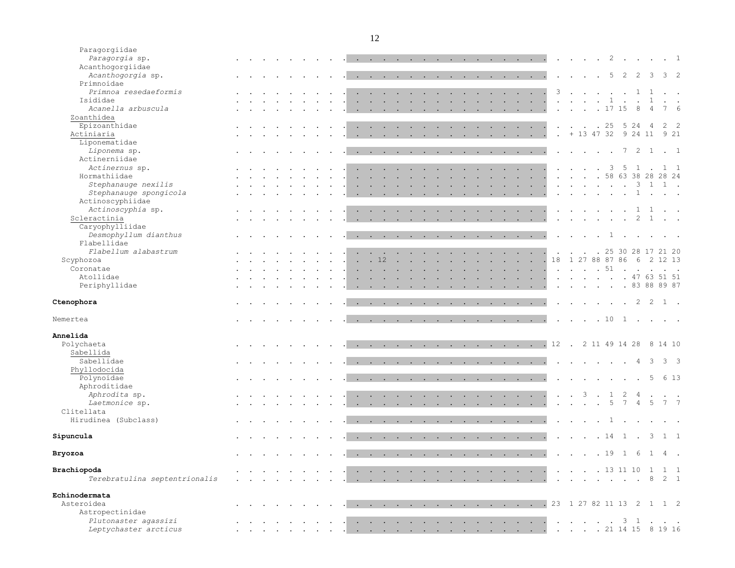| Paragorgiidae                                 |  |  |                        |                                                           |  |                              |                      |                                                       |                                          |                      |                                                 |                           |                            |                           |                                                                                 |                           |                  |                                                                                                                                                                                                                                |                                                                                                                                                                                                                                                                                                                                                                                                                                                            |                                |                                   |               |                                                           |           |                                      |                                   |                                                           |                         |                            |            |
|-----------------------------------------------|--|--|------------------------|-----------------------------------------------------------|--|------------------------------|----------------------|-------------------------------------------------------|------------------------------------------|----------------------|-------------------------------------------------|---------------------------|----------------------------|---------------------------|---------------------------------------------------------------------------------|---------------------------|------------------|--------------------------------------------------------------------------------------------------------------------------------------------------------------------------------------------------------------------------------|------------------------------------------------------------------------------------------------------------------------------------------------------------------------------------------------------------------------------------------------------------------------------------------------------------------------------------------------------------------------------------------------------------------------------------------------------------|--------------------------------|-----------------------------------|---------------|-----------------------------------------------------------|-----------|--------------------------------------|-----------------------------------|-----------------------------------------------------------|-------------------------|----------------------------|------------|
| Paragorgia sp.                                |  |  |                        |                                                           |  |                              |                      |                                                       |                                          |                      |                                                 |                           |                            |                           |                                                                                 |                           |                  |                                                                                                                                                                                                                                | and the contract of the contract of the contract of the contract of the contract of the contract of the contract of the contract of the contract of the contract of the contract of the contract of the contract of the contra                                                                                                                                                                                                                             |                                |                                   |               |                                                           |           |                                      |                                   | $\cdot$ $\cdot$ $\cdot$ $\cdot$ 2 $\cdot$ $\cdot$ $\cdot$ |                         | $\cdot$ 1                  |            |
| Acanthogorgiidae                              |  |  |                        |                                                           |  |                              |                      |                                                       |                                          |                      |                                                 |                           |                            |                           |                                                                                 |                           |                  |                                                                                                                                                                                                                                |                                                                                                                                                                                                                                                                                                                                                                                                                                                            |                                |                                   |               |                                                           |           |                                      |                                   |                                                           |                         |                            |            |
| Acanthogorgia sp.                             |  |  |                        |                                                           |  |                              |                      |                                                       |                                          |                      |                                                 |                           |                            |                           |                                                                                 |                           |                  |                                                                                                                                                                                                                                | the contract of the contract of the contract of the contract of the contract of the contract of the contract of                                                                                                                                                                                                                                                                                                                                            |                                | $\sim$                            |               |                                                           |           | 5                                    | 2                                 | $2 \quad 3$                                               |                         | $3 \quad 2$                |            |
| Primnoidae                                    |  |  |                        |                                                           |  |                              |                      |                                                       |                                          |                      |                                                 |                           |                            |                           |                                                                                 |                           |                  |                                                                                                                                                                                                                                |                                                                                                                                                                                                                                                                                                                                                                                                                                                            |                                |                                   |               |                                                           |           |                                      |                                   |                                                           |                         |                            |            |
| Primnoa resedaeformis                         |  |  |                        |                                                           |  |                              | <b>Service</b>       | <b>Contract Contract</b>                              |                                          |                      |                                                 |                           |                            |                           |                                                                                 |                           |                  |                                                                                                                                                                                                                                | <b>Contract Contract Contract</b>                                                                                                                                                                                                                                                                                                                                                                                                                          | 3                              |                                   |               | $\mathbf{r}$ , $\mathbf{r}$ , $\mathbf{r}$ , $\mathbf{r}$ |           |                                      |                                   | 1                                                         |                         | $\mathcal{L}^{\text{max}}$ |            |
| Isididae                                      |  |  |                        |                                                           |  |                              | $\ddot{\phantom{0}}$ | $\sim$                                                | $\sim$                                   | $\ddot{\phantom{a}}$ |                                                 |                           |                            | $\ddot{\phantom{a}}$      |                                                                                 | $\ddot{\phantom{a}}$      | $\sim$ 100 $\pm$ |                                                                                                                                                                                                                                | $\sim$ $\sim$ $\sim$ $\sim$                                                                                                                                                                                                                                                                                                                                                                                                                                |                                | <b>Contract Contract</b>          |               |                                                           | $\sim$    | 1                                    |                                   |                                                           | $\mathbf{1}$            |                            |            |
| Acanella arbuscula                            |  |  |                        |                                                           |  |                              |                      |                                                       |                                          |                      |                                                 |                           |                            |                           |                                                                                 | $\sim$                    |                  |                                                                                                                                                                                                                                | <b>Contract Contract Contract</b>                                                                                                                                                                                                                                                                                                                                                                                                                          | $\ddot{\phantom{a}}$           |                                   | $\sim$        |                                                           |           | . 17 15                              |                                   | 8                                                         | $\overline{4}$          |                            | $\epsilon$ |
| Zoanthidea                                    |  |  |                        |                                                           |  |                              |                      |                                                       |                                          |                      |                                                 |                           |                            |                           |                                                                                 |                           |                  |                                                                                                                                                                                                                                |                                                                                                                                                                                                                                                                                                                                                                                                                                                            |                                |                                   |               |                                                           |           |                                      |                                   |                                                           |                         |                            |            |
| Epizoanthidae                                 |  |  |                        |                                                           |  |                              |                      |                                                       |                                          |                      |                                                 |                           |                            |                           |                                                                                 |                           | $\sim$           | <b>Service</b> State                                                                                                                                                                                                           |                                                                                                                                                                                                                                                                                                                                                                                                                                                            | $\ddot{\phantom{a}}$           | $\sim$                            |               | $\cdot$ $\cdot$ 25                                        |           |                                      | 5 2 4                             |                                                           | -4                      | $2 \quad 2$                |            |
| Actiniaria                                    |  |  |                        |                                                           |  |                              |                      |                                                       |                                          |                      |                                                 |                           |                            |                           |                                                                                 |                           |                  |                                                                                                                                                                                                                                |                                                                                                                                                                                                                                                                                                                                                                                                                                                            |                                |                                   |               |                                                           |           |                                      |                                   | + 13 47 32 9 24 11                                        |                         | 9 21                       |            |
| Liponematidae                                 |  |  |                        |                                                           |  |                              | $\ddot{\phantom{a}}$ | $\sim$                                                | $\sim$ 100 $\pm$                         |                      | <b>Contract Contract Contract</b>               |                           | $\mathcal{L}^{\text{max}}$ |                           |                                                                                 | $\mathbf{L} = \mathbf{L}$ |                  | <b>Contract Contract Contract</b>                                                                                                                                                                                              |                                                                                                                                                                                                                                                                                                                                                                                                                                                            | $\ddot{\phantom{a}}$           |                                   |               |                                                           |           |                                      |                                   |                                                           |                         |                            |            |
|                                               |  |  |                        |                                                           |  |                              |                      |                                                       |                                          |                      |                                                 |                           |                            |                           |                                                                                 |                           |                  |                                                                                                                                                                                                                                |                                                                                                                                                                                                                                                                                                                                                                                                                                                            |                                |                                   |               |                                                           |           |                                      |                                   |                                                           |                         |                            |            |
| Liponema sp.                                  |  |  |                        |                                                           |  |                              |                      |                                                       |                                          |                      |                                                 |                           |                            |                           |                                                                                 |                           |                  | the contract of the contract of the contract of the contract of the contract of the contract of the contract of the contract of the contract of the contract of the contract of the contract of the contract of the contract o |                                                                                                                                                                                                                                                                                                                                                                                                                                                            |                                |                                   | $\sim$ $\sim$ |                                                           |           | $\sim$ $\sim$                        |                                   | $7\quad2\quad1$                                           |                         | $\cdot$ 1                  |            |
| Actinerniidae                                 |  |  |                        |                                                           |  |                              |                      |                                                       |                                          |                      |                                                 |                           |                            |                           |                                                                                 |                           |                  |                                                                                                                                                                                                                                |                                                                                                                                                                                                                                                                                                                                                                                                                                                            |                                |                                   |               |                                                           |           |                                      |                                   |                                                           |                         |                            |            |
| Actinernus sp.                                |  |  |                        |                                                           |  |                              | $\ddot{\phantom{a}}$ | <b>Contract Contract</b>                              |                                          | $\sim$               | <b>Service</b>                                  |                           | $\sim$                     | n.                        |                                                                                 | $\sim$                    |                  |                                                                                                                                                                                                                                | the contract of the contract of                                                                                                                                                                                                                                                                                                                                                                                                                            |                                |                                   |               | $\sim$                                                    | $\cdot$ 3 |                                      | 5                                 | 1.                                                        |                         | $1\quad1$                  |            |
| Hormathiidae                                  |  |  |                        |                                                           |  |                              | $\sim$               | $\sim$                                                | $\sim$                                   |                      | the contract of the contract of the             |                           |                            |                           |                                                                                 |                           |                  |                                                                                                                                                                                                                                | $\begin{array}{cccccccccccccc} \bullet & \bullet & \bullet & \bullet & \bullet & \bullet & \bullet & \bullet & \bullet & \bullet & \bullet \end{array}$                                                                                                                                                                                                                                                                                                    | $\ddot{\phantom{a}}$           | $\ddot{\phantom{a}}$              |               |                                                           |           |                                      |                                   | . . 58 63 38 28 28 24                                     |                         |                            |            |
| Stephanauge nexilis                           |  |  |                        |                                                           |  |                              |                      |                                                       |                                          | $\sim$               |                                                 | $\mathbf{r} = \mathbf{r}$ |                            | $\mathbf{r}$              |                                                                                 |                           |                  |                                                                                                                                                                                                                                | the contract of the contract of the                                                                                                                                                                                                                                                                                                                                                                                                                        |                                | $\sim$ $\sim$ $\sim$ $\sim$       |               |                                                           |           |                                      |                                   | $\cdot$ $\cdot$ $\cdot$ $\cdot$ 3 1                       |                         | 1.                         |            |
| Stephanauge spongicola                        |  |  |                        |                                                           |  |                              |                      |                                                       |                                          |                      | the contract of the contract of the contract of |                           |                            |                           |                                                                                 |                           |                  |                                                                                                                                                                                                                                | $\mathbf{r}$ , and $\mathbf{r}$ , and $\mathbf{r}$ , and $\mathbf{r}$                                                                                                                                                                                                                                                                                                                                                                                      | $\ddot{\phantom{a}}$           | $\sim$                            |               |                                                           |           |                                      |                                   |                                                           |                         |                            |            |
| Actinoscyphiidae                              |  |  |                        |                                                           |  |                              |                      |                                                       |                                          |                      |                                                 |                           |                            |                           |                                                                                 |                           |                  |                                                                                                                                                                                                                                |                                                                                                                                                                                                                                                                                                                                                                                                                                                            |                                |                                   |               |                                                           |           |                                      |                                   |                                                           |                         |                            |            |
| Actinoscyphia sp.                             |  |  |                        |                                                           |  |                              |                      |                                                       |                                          |                      |                                                 |                           |                            |                           |                                                                                 |                           |                  |                                                                                                                                                                                                                                |                                                                                                                                                                                                                                                                                                                                                                                                                                                            |                                |                                   |               |                                                           |           |                                      |                                   |                                                           |                         |                            |            |
| Scleractinia                                  |  |  |                        |                                                           |  |                              |                      |                                                       |                                          |                      |                                                 |                           |                            |                           |                                                                                 |                           |                  | $\sim$                                                                                                                                                                                                                         |                                                                                                                                                                                                                                                                                                                                                                                                                                                            | $\ddot{\phantom{a}}$           |                                   |               |                                                           |           |                                      |                                   | $\overline{2}$                                            | $\overline{1}$          |                            |            |
| Caryophylliidae                               |  |  |                        |                                                           |  |                              |                      |                                                       |                                          |                      |                                                 |                           |                            |                           |                                                                                 |                           |                  |                                                                                                                                                                                                                                |                                                                                                                                                                                                                                                                                                                                                                                                                                                            |                                |                                   |               |                                                           |           |                                      |                                   |                                                           |                         |                            |            |
| Desmophyllum dianthus                         |  |  |                        |                                                           |  |                              |                      |                                                       |                                          |                      |                                                 |                           |                            |                           |                                                                                 |                           |                  |                                                                                                                                                                                                                                |                                                                                                                                                                                                                                                                                                                                                                                                                                                            | $\sim$                         |                                   |               | $\cdots$ $\cdots$ $\cdots$                                |           |                                      | $\sim$                            |                                                           |                         |                            |            |
| Flabellidae                                   |  |  |                        |                                                           |  |                              |                      |                                                       |                                          |                      |                                                 |                           |                            |                           |                                                                                 |                           |                  |                                                                                                                                                                                                                                |                                                                                                                                                                                                                                                                                                                                                                                                                                                            |                                |                                   |               |                                                           |           |                                      |                                   |                                                           |                         |                            |            |
| Flabellum alabastrum                          |  |  |                        |                                                           |  |                              | $\sim$               | <b>Contract Contract</b>                              |                                          | $\sim$               | $\sim$                                          | $\sim$                    | $\sim$                     | $\ddot{\phantom{a}}$      |                                                                                 | $\sim$                    |                  |                                                                                                                                                                                                                                | and the state of the state of the                                                                                                                                                                                                                                                                                                                                                                                                                          |                                |                                   |               |                                                           |           |                                      |                                   | $\cdot$ $\cdot$ $\cdot$ 25 30 28 17                       |                         | 21 20                      |            |
| Scyphozoa                                     |  |  |                        |                                                           |  |                              | $\cdot$ $\cdot$ 12   |                                                       | the contract of the contract of          |                      |                                                 |                           | $\sim$ 10 $\pm$            | $\sim$                    |                                                                                 |                           |                  |                                                                                                                                                                                                                                | . 18 1 27 88 87 86 6 2                                                                                                                                                                                                                                                                                                                                                                                                                                     |                                |                                   |               |                                                           |           |                                      |                                   |                                                           |                         | 12 13                      |            |
| Coronatae                                     |  |  |                        |                                                           |  |                              |                      |                                                       |                                          |                      |                                                 |                           |                            |                           |                                                                                 |                           |                  |                                                                                                                                                                                                                                | the contract of the contract of                                                                                                                                                                                                                                                                                                                                                                                                                            |                                | . 51                              |               |                                                           |           |                                      | $\sim 10^{-1}$ and $\sim 10^{-1}$ |                                                           |                         |                            |            |
| Atollidae                                     |  |  |                        |                                                           |  |                              |                      |                                                       |                                          |                      |                                                 |                           |                            |                           |                                                                                 |                           |                  |                                                                                                                                                                                                                                | $\begin{array}{cccccccccccccc} \bullet & \bullet & \bullet & \bullet & \bullet & \bullet & \bullet & \bullet & \bullet & \bullet \end{array}$                                                                                                                                                                                                                                                                                                              |                                |                                   |               |                                                           |           |                                      |                                   | $\cdot$ $\cdot$ $\cdot$ 47 63 51 51                       |                         |                            |            |
|                                               |  |  |                        |                                                           |  |                              |                      |                                                       |                                          |                      |                                                 |                           | $\sim$                     | $\sim$                    |                                                                                 |                           |                  |                                                                                                                                                                                                                                |                                                                                                                                                                                                                                                                                                                                                                                                                                                            |                                | <b>Contract Contract Contract</b> |               |                                                           |           |                                      |                                   | . 83 88 89 87                                             |                         |                            |            |
| Periphyllidae                                 |  |  |                        |                                                           |  |                              |                      |                                                       |                                          |                      |                                                 |                           |                            |                           |                                                                                 |                           |                  |                                                                                                                                                                                                                                | $\mathbf{r}$ , and $\mathbf{r}$ , and $\mathbf{r}$ , and $\mathbf{r}$                                                                                                                                                                                                                                                                                                                                                                                      |                                |                                   |               |                                                           |           |                                      |                                   |                                                           |                         |                            |            |
| Ctenophora                                    |  |  |                        |                                                           |  |                              |                      |                                                       |                                          |                      |                                                 |                           |                            |                           |                                                                                 |                           |                  |                                                                                                                                                                                                                                | the contract of the contract of the contract of the contract of the contract of the contract of the contract of                                                                                                                                                                                                                                                                                                                                            | $\ddot{\phantom{a}}$           |                                   | $\sim$ $\sim$ |                                                           |           | $\sim$ $\sim$ $\sim$ $\sim$          |                                   | $2 \quad 2$                                               |                         | $1$ .                      |            |
|                                               |  |  |                        |                                                           |  |                              |                      |                                                       |                                          |                      |                                                 |                           |                            |                           |                                                                                 |                           |                  |                                                                                                                                                                                                                                |                                                                                                                                                                                                                                                                                                                                                                                                                                                            |                                |                                   |               |                                                           |           |                                      |                                   |                                                           |                         |                            |            |
|                                               |  |  |                        |                                                           |  |                              |                      |                                                       |                                          |                      |                                                 |                           |                            |                           |                                                                                 |                           |                  |                                                                                                                                                                                                                                |                                                                                                                                                                                                                                                                                                                                                                                                                                                            |                                |                                   |               |                                                           |           |                                      |                                   |                                                           |                         |                            |            |
| Nemertea                                      |  |  |                        |                                                           |  |                              |                      |                                                       |                                          |                      |                                                 |                           |                            |                           |                                                                                 |                           |                  |                                                                                                                                                                                                                                | the contract of the contract of the contract of the contract of the contract of the contract of the contract of                                                                                                                                                                                                                                                                                                                                            |                                |                                   |               |                                                           |           | $\cdot$ $\cdot$ $\cdot$ 10 1         |                                   |                                                           |                         |                            |            |
|                                               |  |  |                        |                                                           |  |                              |                      |                                                       |                                          |                      |                                                 |                           |                            |                           |                                                                                 |                           |                  |                                                                                                                                                                                                                                |                                                                                                                                                                                                                                                                                                                                                                                                                                                            |                                |                                   |               |                                                           |           |                                      |                                   |                                                           |                         |                            |            |
| Annelida                                      |  |  |                        |                                                           |  |                              |                      |                                                       |                                          |                      |                                                 |                           |                            |                           |                                                                                 |                           |                  |                                                                                                                                                                                                                                |                                                                                                                                                                                                                                                                                                                                                                                                                                                            |                                |                                   |               |                                                           |           |                                      |                                   |                                                           |                         |                            |            |
| Polychaeta                                    |  |  |                        |                                                           |  |                              |                      |                                                       |                                          |                      |                                                 |                           |                            |                           |                                                                                 |                           |                  | the contract of the contract of the contract of the contract of the contract of the contract of the contract of                                                                                                                |                                                                                                                                                                                                                                                                                                                                                                                                                                                            | 12 . 2 11 49 14 28 8 14 10     |                                   |               |                                                           |           |                                      |                                   |                                                           |                         |                            |            |
| Sabellida                                     |  |  |                        |                                                           |  |                              |                      |                                                       |                                          |                      |                                                 |                           |                            |                           |                                                                                 |                           |                  |                                                                                                                                                                                                                                |                                                                                                                                                                                                                                                                                                                                                                                                                                                            |                                |                                   |               |                                                           |           |                                      |                                   |                                                           |                         |                            |            |
| Sabellidae                                    |  |  |                        |                                                           |  |                              |                      |                                                       |                                          |                      |                                                 |                           |                            |                           |                                                                                 |                           |                  | the contract of the contract of the contract of the contract of the contract of the contract of the contract of the contract of the contract of the contract of the contract of the contract of the contract of the contract o |                                                                                                                                                                                                                                                                                                                                                                                                                                                            | $\ddot{\phantom{a}}$<br>$\sim$ |                                   |               |                                                           |           |                                      |                                   | . 4 3                                                     |                         | 3 <sup>3</sup>             |            |
| Phyllodocida                                  |  |  |                        |                                                           |  |                              |                      |                                                       |                                          |                      |                                                 |                           |                            |                           |                                                                                 |                           |                  |                                                                                                                                                                                                                                |                                                                                                                                                                                                                                                                                                                                                                                                                                                            |                                |                                   |               |                                                           |           |                                      |                                   |                                                           |                         |                            |            |
| Polynoidae                                    |  |  |                        |                                                           |  |                              |                      |                                                       |                                          |                      |                                                 |                           |                            |                           |                                                                                 |                           |                  |                                                                                                                                                                                                                                | the contract of the contract of the contract of the contract of the contract of the contract of the contract of                                                                                                                                                                                                                                                                                                                                            |                                |                                   |               |                                                           |           |                                      |                                   | . 5                                                       |                         | 6 13                       |            |
| Aphroditidae                                  |  |  |                        |                                                           |  |                              |                      |                                                       |                                          |                      |                                                 |                           |                            |                           |                                                                                 |                           |                  |                                                                                                                                                                                                                                |                                                                                                                                                                                                                                                                                                                                                                                                                                                            |                                |                                   |               |                                                           |           |                                      |                                   |                                                           |                         |                            |            |
| Aphrodita sp.                                 |  |  |                        |                                                           |  |                              | $\sim 100$           | $\sim$                                                |                                          |                      |                                                 |                           |                            |                           |                                                                                 |                           |                  |                                                                                                                                                                                                                                | $\cdot$ $\cdot$ $\cdot$ $\cdot$ $\cdot$                                                                                                                                                                                                                                                                                                                                                                                                                    | $\sim$                         |                                   | $\cdot$ 3     |                                                           | $\cdot$ 1 |                                      | 2                                 |                                                           |                         |                            |            |
| Laetmonice sp.                                |  |  |                        |                                                           |  |                              |                      | $\mathbf{r} = \mathbf{r} + \mathbf{r} + \mathbf{r}$ . |                                          |                      | <b>Contract Contract</b>                        |                           |                            | $\sim 100$ km s $^{-1}$   |                                                                                 |                           |                  |                                                                                                                                                                                                                                | the contract of the contract of the                                                                                                                                                                                                                                                                                                                                                                                                                        |                                | . 5                               |               |                                                           |           |                                      | $\overline{7}$                    | $\overline{4}$                                            | - 5                     | 7 7                        |            |
| Clitellata                                    |  |  |                        |                                                           |  |                              |                      |                                                       |                                          |                      |                                                 |                           |                            |                           |                                                                                 |                           |                  |                                                                                                                                                                                                                                |                                                                                                                                                                                                                                                                                                                                                                                                                                                            |                                |                                   |               |                                                           |           |                                      |                                   |                                                           |                         |                            |            |
|                                               |  |  |                        |                                                           |  |                              |                      |                                                       |                                          |                      |                                                 |                           |                            |                           |                                                                                 |                           |                  |                                                                                                                                                                                                                                |                                                                                                                                                                                                                                                                                                                                                                                                                                                            |                                |                                   |               |                                                           |           | $\mathbf{1}$                         |                                   |                                                           |                         |                            |            |
| Hirudinea (Subclass)                          |  |  |                        |                                                           |  |                              |                      |                                                       |                                          |                      |                                                 |                           |                            |                           |                                                                                 |                           |                  |                                                                                                                                                                                                                                | $\mathbf{1}_{\mathbf{1}_{\mathbf{1}}}\mathbf{1}_{\mathbf{1}_{\mathbf{1}}}\mathbf{1}_{\mathbf{1}_{\mathbf{1}}}\mathbf{1}_{\mathbf{1}_{\mathbf{1}}}\mathbf{1}_{\mathbf{1}_{\mathbf{1}}}\mathbf{1}_{\mathbf{1}_{\mathbf{1}}}\mathbf{1}_{\mathbf{1}_{\mathbf{1}}}\mathbf{1}_{\mathbf{1}_{\mathbf{1}}}\mathbf{1}_{\mathbf{1}_{\mathbf{1}}}\mathbf{1}_{\mathbf{1}_{\mathbf{1}}}\mathbf{1}_{\mathbf{1}_{\mathbf{1}}}\mathbf{1}_{\mathbf{1}_{\mathbf{1}}}\mathbf{$ |                                |                                   |               |                                                           |           |                                      |                                   |                                                           |                         |                            |            |
|                                               |  |  |                        |                                                           |  |                              |                      |                                                       |                                          |                      |                                                 |                           |                            |                           |                                                                                 |                           |                  |                                                                                                                                                                                                                                | .                                                                                                                                                                                                                                                                                                                                                                                                                                                          | $\sim$                         |                                   |               |                                                           |           | $\cdot$ $\cdot$ $\cdot$ 14 1 $\cdot$ |                                   |                                                           | $\overline{\mathbf{3}}$ | 1 1                        |            |
| Sipuncula                                     |  |  |                        |                                                           |  |                              |                      |                                                       |                                          |                      |                                                 |                           |                            |                           |                                                                                 |                           |                  |                                                                                                                                                                                                                                |                                                                                                                                                                                                                                                                                                                                                                                                                                                            |                                |                                   |               |                                                           |           |                                      |                                   |                                                           |                         |                            |            |
| Bryozoa                                       |  |  |                        |                                                           |  |                              |                      |                                                       |                                          |                      |                                                 |                           |                            |                           |                                                                                 |                           |                  |                                                                                                                                                                                                                                |                                                                                                                                                                                                                                                                                                                                                                                                                                                            |                                |                                   |               |                                                           |           |                                      |                                   |                                                           |                         | 4.                         |            |
|                                               |  |  |                        | $\mathbf{r}$ , $\mathbf{r}$ , $\mathbf{r}$ , $\mathbf{r}$ |  |                              |                      |                                                       |                                          |                      |                                                 |                           |                            |                           |                                                                                 |                           |                  |                                                                                                                                                                                                                                | and a series of the contract of the contract of the contract of the contract of the contract of the contract of                                                                                                                                                                                                                                                                                                                                            |                                |                                   |               |                                                           |           |                                      |                                   | $\cdot$ $\cdot$ $\cdot$ $\cdot$ 19 1 6 1                  |                         |                            |            |
|                                               |  |  |                        |                                                           |  |                              |                      |                                                       |                                          |                      |                                                 |                           |                            |                           |                                                                                 |                           |                  |                                                                                                                                                                                                                                |                                                                                                                                                                                                                                                                                                                                                                                                                                                            |                                |                                   |               |                                                           |           |                                      |                                   |                                                           |                         |                            |            |
| Brachiopoda                                   |  |  |                        |                                                           |  |                              |                      |                                                       |                                          |                      |                                                 |                           |                            |                           |                                                                                 |                           |                  |                                                                                                                                                                                                                                | and a series of the contract of the contract of the contract of the contract of the contract of the contract of                                                                                                                                                                                                                                                                                                                                            |                                |                                   |               |                                                           |           |                                      |                                   | . 13 11 10 1 1 1                                          |                         |                            |            |
| Terebratulina septentrionalis                 |  |  |                        |                                                           |  |                              |                      |                                                       | and a strategic control of the strategic |                      |                                                 |                           |                            | $\mathbf{L} = \mathbf{L}$ |                                                                                 |                           |                  |                                                                                                                                                                                                                                | $\mathbf{L} = \mathbf{L} \mathbf{L} + \mathbf{L} \mathbf{L} + \mathbf{L} \mathbf{L}$                                                                                                                                                                                                                                                                                                                                                                       |                                |                                   |               |                                                           |           |                                      |                                   | $\cdot$ $\cdot$ 8                                         |                         | 2 1                        |            |
|                                               |  |  |                        |                                                           |  |                              |                      |                                                       |                                          |                      |                                                 |                           |                            |                           |                                                                                 |                           |                  |                                                                                                                                                                                                                                |                                                                                                                                                                                                                                                                                                                                                                                                                                                            |                                |                                   |               |                                                           |           |                                      |                                   |                                                           |                         |                            |            |
| Echinodermata                                 |  |  |                        |                                                           |  |                              |                      |                                                       |                                          |                      |                                                 |                           |                            |                           |                                                                                 |                           |                  |                                                                                                                                                                                                                                |                                                                                                                                                                                                                                                                                                                                                                                                                                                            |                                |                                   |               |                                                           |           |                                      |                                   |                                                           |                         |                            |            |
| Asteroidea                                    |  |  | <b>Service Control</b> |                                                           |  |                              |                      |                                                       |                                          |                      |                                                 |                           |                            |                           |                                                                                 |                           |                  |                                                                                                                                                                                                                                |                                                                                                                                                                                                                                                                                                                                                                                                                                                            |                                |                                   |               |                                                           |           |                                      |                                   |                                                           |                         | $1 \quad 2$                |            |
| Astropectinidae                               |  |  |                        |                                                           |  |                              |                      |                                                       |                                          |                      |                                                 |                           |                            |                           |                                                                                 |                           |                  |                                                                                                                                                                                                                                |                                                                                                                                                                                                                                                                                                                                                                                                                                                            |                                |                                   |               |                                                           |           |                                      |                                   |                                                           |                         |                            |            |
| Plutonaster agassizi<br>Leptychaster arcticus |  |  |                        |                                                           |  | the contract of the contract |                      |                                                       |                                          |                      |                                                 |                           |                            |                           | the contract of the contract of the contract of the contract of the contract of |                           |                  |                                                                                                                                                                                                                                |                                                                                                                                                                                                                                                                                                                                                                                                                                                            | $\sim$ $\sim$                  |                                   |               |                                                           |           |                                      |                                   | . 3 1                                                     |                         |                            |            |